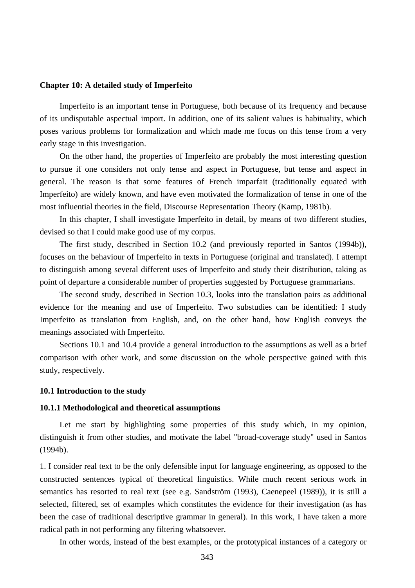#### **Chapter 10: A detailed study of Imperfeito**

Imperfeito is an important tense in Portuguese, both because of its frequency and because of its undisputable aspectual import. In addition, one of its salient values is habituality, which poses various problems for formalization and which made me focus on this tense from a very early stage in this investigation.

On the other hand, the properties of Imperfeito are probably the most interesting question to pursue if one considers not only tense and aspect in Portuguese, but tense and aspect in general. The reason is that some features of French imparfait (traditionally equated with Imperfeito) are widely known, and have even motivated the formalization of tense in one of the most influential theories in the field, Discourse Representation Theory (Kamp, 1981b).

In this chapter, I shall investigate Imperfeito in detail, by means of two different studies, devised so that I could make good use of my corpus.

The first study, described in Section 10.2 (and previously reported in Santos (1994b)), focuses on the behaviour of Imperfeito in texts in Portuguese (original and translated). I attempt to distinguish among several different uses of Imperfeito and study their distribution, taking as point of departure a considerable number of properties suggested by Portuguese grammarians.

The second study, described in Section 10.3, looks into the translation pairs as additional evidence for the meaning and use of Imperfeito. Two substudies can be identified: I study Imperfeito as translation from English, and, on the other hand, how English conveys the meanings associated with Imperfeito.

Sections 10.1 and 10.4 provide a general introduction to the assumptions as well as a brief comparison with other work, and some discussion on the whole perspective gained with this study, respectively.

# **10.1 Introduction to the study**

#### **10.1.1 Methodological and theoretical assumptions**

Let me start by highlighting some properties of this study which, in my opinion, distinguish it from other studies, and motivate the label "broad-coverage study" used in Santos (1994b).

1. I consider real text to be the only defensible input for language engineering, as opposed to the constructed sentences typical of theoretical linguistics. While much recent serious work in semantics has resorted to real text (see e.g. Sandström (1993), Caenepeel (1989)), it is still a selected, filtered, set of examples which constitutes the evidence for their investigation (as has been the case of traditional descriptive grammar in general). In this work, I have taken a more radical path in not performing any filtering whatsoever.

In other words, instead of the best examples, or the prototypical instances of a category or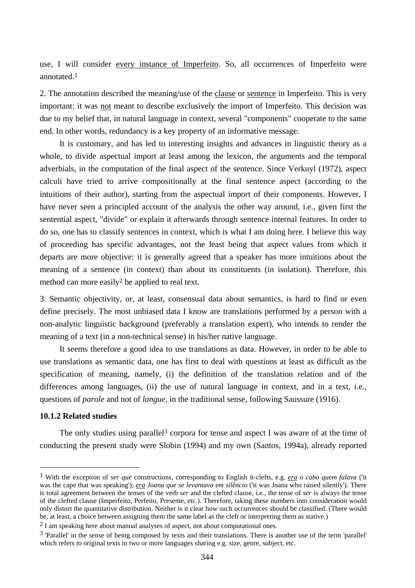use, I will consider every instance of Imperfeito. So, all occurrences of Imperfeito were annotated.1

2. The annotation described the meaning/use of the clause or sentence in Imperfeito. This is very important: it was not meant to describe exclusively the import of Imperfeito. This decision was due to my belief that, in natural language in context, several "components" cooperate to the same end. In other words, redundancy is a key property of an informative message.

It is customary, and has led to interesting insights and advances in linguistic theory as a whole, to divide aspectual import at least among the lexicon, the arguments and the temporal adverbials, in the computation of the final aspect of the sentence. Since Verkuyl (1972), aspect calculi have tried to arrive compositionally at the final sentence aspect (according to the intuitions of their author), starting from the aspectual import of their components. However, I have never seen a principled account of the analysis the other way around, i.e., given first the sentential aspect, "divide" or explain it afterwards through sentence internal features. In order to do so, one has to classify sentences in context, which is what I am doing here. I believe this way of proceeding has specific advantages, not the least being that aspect values from which it departs are more objective: it is generally agreed that a speaker has more intuitions about the meaning of a sentence (in context) than about its constituents (in isolation). Therefore, this method can more easily<sup>2</sup> be applied to real text.

3. Semantic objectivity, or, at least, consensual data about semantics, is hard to find or even define precisely. The most unbiased data I know are translations performed by a person with a non-analytic linguistic background (preferably a translation expert), who intends to render the meaning of a text (in a non-technical sense) in his/her native language.

It seems therefore a good idea to use translations as data. However, in order to be able to use translations as semantic data, one has first to deal with questions at least as difficult as the specification of meaning, namely, (i) the definition of the translation relation and of the differences among languages, (ii) the use of natural language in context, and in a text, i.e., questions of *parole* and not of *langue*, in the traditional sense, following Saussure (1916).

# **10.1.2 Related studies**

 $\overline{a}$ 

The only studies using parallel<sup>3</sup> corpora for tense and aspect I was aware of at the time of conducting the present study were Slobin (1994) and my own (Santos, 1994a), already reported

<sup>1</sup> With the exception of *ser que* constructions, corresponding to English it-clefts, e.g. *era o cabo quem falava* ('it was the cape that was speaking'); *era Joana que se levantava em silêncio* ('it was Joana who raised silently'). There is total agreement between the tenses of the verb *ser* and the clefted clause, i.e., the tense of *ser* is always the tense of the clefted clause (Imperfeito, Perfeito, Presente, etc.). Therefore, taking these numbers into consideration would only distort the quantitative distribution. Neither is it clear how such occurrences should be classified. (There would be, at least, a choice between assigning them the same label as the cleft or interpreting them as stative.)

<sup>2</sup> I am speaking here about manual analyses of aspect, not about computational ones.

 $3$  'Parallel' in the sense of being composed by texts and their translations. There is another use of the term 'parallel' which refers to original texts in two or more languages sharing e.g. size, genre, subject, etc.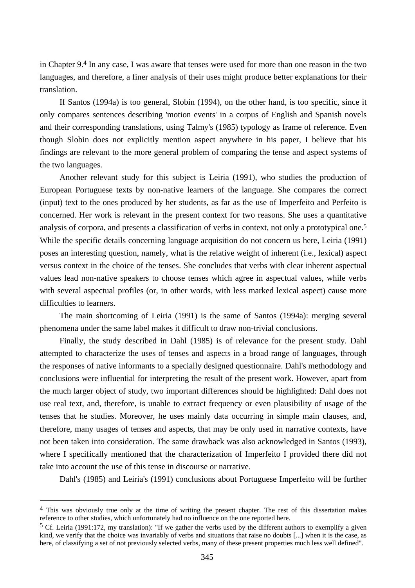in Chapter 9.4 In any case, I was aware that tenses were used for more than one reason in the two languages, and therefore, a finer analysis of their uses might produce better explanations for their translation.

If Santos (1994a) is too general, Slobin (1994), on the other hand, is too specific, since it only compares sentences describing 'motion events' in a corpus of English and Spanish novels and their corresponding translations, using Talmy's (1985) typology as frame of reference. Even though Slobin does not explicitly mention aspect anywhere in his paper, I believe that his findings are relevant to the more general problem of comparing the tense and aspect systems of the two languages.

Another relevant study for this subject is Leiria (1991), who studies the production of European Portuguese texts by non-native learners of the language. She compares the correct (input) text to the ones produced by her students, as far as the use of Imperfeito and Perfeito is concerned. Her work is relevant in the present context for two reasons. She uses a quantitative analysis of corpora, and presents a classification of verbs in context, not only a prototypical one.5 While the specific details concerning language acquisition do not concern us here, Leiria (1991) poses an interesting question, namely, what is the relative weight of inherent (i.e., lexical) aspect versus context in the choice of the tenses. She concludes that verbs with clear inherent aspectual values lead non-native speakers to choose tenses which agree in aspectual values, while verbs with several aspectual profiles (or, in other words, with less marked lexical aspect) cause more difficulties to learners.

The main shortcoming of Leiria (1991) is the same of Santos (1994a): merging several phenomena under the same label makes it difficult to draw non-trivial conclusions.

Finally, the study described in Dahl (1985) is of relevance for the present study. Dahl attempted to characterize the uses of tenses and aspects in a broad range of languages, through the responses of native informants to a specially designed questionnaire. Dahl's methodology and conclusions were influential for interpreting the result of the present work. However, apart from the much larger object of study, two important differences should be highlighted: Dahl does not use real text, and, therefore, is unable to extract frequency or even plausibility of usage of the tenses that he studies. Moreover, he uses mainly data occurring in simple main clauses, and, therefore, many usages of tenses and aspects, that may be only used in narrative contexts, have not been taken into consideration. The same drawback was also acknowledged in Santos (1993), where I specifically mentioned that the characterization of Imperfeito I provided there did not take into account the use of this tense in discourse or narrative.

Dahl's (1985) and Leiria's (1991) conclusions about Portuguese Imperfeito will be further

<sup>4</sup> This was obviously true only at the time of writing the present chapter. The rest of this dissertation makes reference to other studies, which unfortunately had no influence on the one reported here.

<sup>&</sup>lt;sup>5</sup> Cf. Leiria (1991:172, my translation): "If we gather the verbs used by the different authors to exemplify a given kind, we verify that the choice was invariably of verbs and situations that raise no doubts [...] when it is the case, as here, of classifying a set of not previously selected verbs, many of these present properties much less well defined".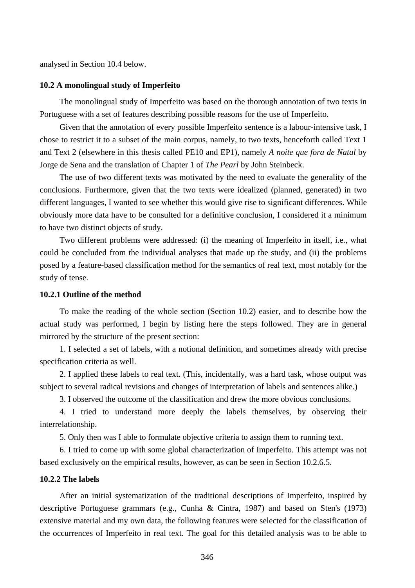analysed in Section 10.4 below.

#### **10.2 A monolingual study of Imperfeito**

The monolingual study of Imperfeito was based on the thorough annotation of two texts in Portuguese with a set of features describing possible reasons for the use of Imperfeito.

Given that the annotation of every possible Imperfeito sentence is a labour-intensive task, I chose to restrict it to a subset of the main corpus, namely, to two texts, henceforth called Text 1 and Text 2 (elsewhere in this thesis called PE10 and EP1), namely *A noite que fora de Natal* by Jorge de Sena and the translation of Chapter 1 of *The Pearl* by John Steinbeck.

The use of two different texts was motivated by the need to evaluate the generality of the conclusions. Furthermore, given that the two texts were idealized (planned, generated) in two different languages, I wanted to see whether this would give rise to significant differences. While obviously more data have to be consulted for a definitive conclusion, I considered it a minimum to have two distinct objects of study.

Two different problems were addressed: (i) the meaning of Imperfeito in itself, i.e., what could be concluded from the individual analyses that made up the study, and (ii) the problems posed by a feature-based classification method for the semantics of real text, most notably for the study of tense.

# **10.2.1 Outline of the method**

To make the reading of the whole section (Section 10.2) easier, and to describe how the actual study was performed, I begin by listing here the steps followed. They are in general mirrored by the structure of the present section:

1. I selected a set of labels, with a notional definition, and sometimes already with precise specification criteria as well.

2. I applied these labels to real text. (This, incidentally, was a hard task, whose output was subject to several radical revisions and changes of interpretation of labels and sentences alike.)

3. I observed the outcome of the classification and drew the more obvious conclusions.

4. I tried to understand more deeply the labels themselves, by observing their interrelationship.

5. Only then was I able to formulate objective criteria to assign them to running text.

6. I tried to come up with some global characterization of Imperfeito. This attempt was not based exclusively on the empirical results, however, as can be seen in Section 10.2.6.5.

# **10.2.2 The labels**

After an initial systematization of the traditional descriptions of Imperfeito, inspired by descriptive Portuguese grammars (e.g., Cunha & Cintra, 1987) and based on Sten's (1973) extensive material and my own data, the following features were selected for the classification of the occurrences of Imperfeito in real text. The goal for this detailed analysis was to be able to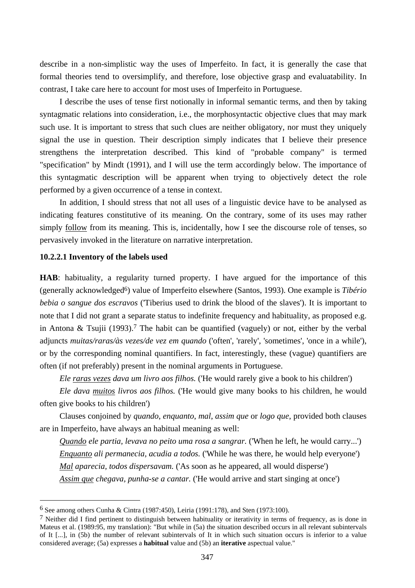describe in a non-simplistic way the uses of Imperfeito. In fact, it is generally the case that formal theories tend to oversimplify, and therefore, lose objective grasp and evaluatability. In contrast, I take care here to account for most uses of Imperfeito in Portuguese.

I describe the uses of tense first notionally in informal semantic terms, and then by taking syntagmatic relations into consideration, i.e., the morphosyntactic objective clues that may mark such use. It is important to stress that such clues are neither obligatory, nor must they uniquely signal the use in question. Their description simply indicates that I believe their presence strengthens the interpretation described. This kind of "probable company" is termed "specification" by Mindt (1991), and I will use the term accordingly below. The importance of this syntagmatic description will be apparent when trying to objectively detect the role performed by a given occurrence of a tense in context.

In addition, I should stress that not all uses of a linguistic device have to be analysed as indicating features constitutive of its meaning. On the contrary, some of its uses may rather simply <u>follow</u> from its meaning. This is, incidentally, how I see the discourse role of tenses, so pervasively invoked in the literature on narrative interpretation.

# **10.2.2.1 Inventory of the labels used**

 $\overline{a}$ 

**HAB**: habituality, a regularity turned property. I have argued for the importance of this (generally acknowledged6) value of Imperfeito elsewhere (Santos, 1993). One example is *Tibério bebia o sangue dos escravos* ('Tiberius used to drink the blood of the slaves'). It is important to note that I did not grant a separate status to indefinite frequency and habituality, as proposed e.g. in Antona & Tsujii (1993).<sup>7</sup> The habit can be quantified (vaguely) or not, either by the verbal adjuncts *muitas/raras/às vezes/de vez em quando* ('often', 'rarely', 'sometimes', 'once in a while'), or by the corresponding nominal quantifiers. In fact, interestingly, these (vague) quantifiers are often (if not preferably) present in the nominal arguments in Portuguese.

*Ele raras vezes dava um livro aos filhos.* ('He would rarely give a book to his children')

*Ele dava muitos livros aos filhos.* ('He would give many books to his children, he would often give books to his children')

Clauses conjoined by *quando*, *enquanto*, *mal*, *assim que* or *logo que*, provided both clauses are in Imperfeito, have always an habitual meaning as well:

*Quando ele partia, levava no peito uma rosa a sangrar.* ('When he left, he would carry...') *Enquanto ali permanecia, acudia a todos.* ('While he was there, he would help everyone') *Mal aparecia, todos dispersavam.* ('As soon as he appeared, all would disperse') *Assim que chegava, punha-se a cantar.* ('He would arrive and start singing at once')

<sup>6</sup> See among others Cunha & Cintra (1987:450), Leiria (1991:178), and Sten (1973:100).

 $7$  Neither did I find pertinent to distinguish between habituality or iterativity in terms of frequency, as is done in Mateus et al. (1989:95, my translation): "But while in (5a) the situation described occurs in all relevant subintervals of It [...], in (5b) the number of relevant subintervals of It in which such situation occurs is inferior to a value considered average; (5a) expresses a **habitual** value and (5b) an **iterative** aspectual value."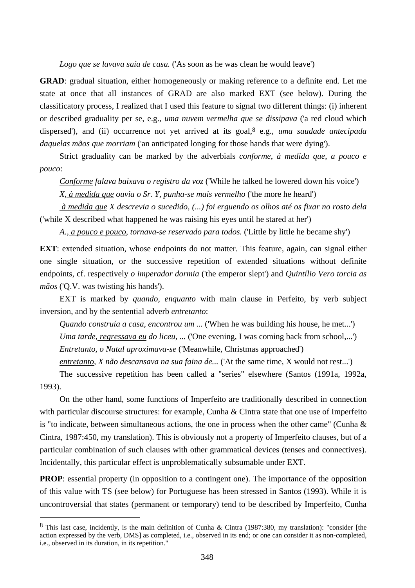*Logo que se lavava saía de casa.* ('As soon as he was clean he would leave')

**GRAD**: gradual situation, either homogeneously or making reference to a definite end. Let me state at once that all instances of GRAD are also marked EXT (see below). During the classificatory process, I realized that I used this feature to signal two different things: (i) inherent or described graduality per se, e.g., *uma nuvem vermelha que se dissipava* ('a red cloud which dispersed'), and (ii) occurrence not yet arrived at its goal,  $8$  e.g., *uma saudade antecipada daquelas mãos que morriam* ('an anticipated longing for those hands that were dying').

Strict graduality can be marked by the adverbials *conforme*, *à medida que*, *a pouco e pouco*:

*Conforme falava baixava o registro da voz* ('While he talked he lowered down his voice')

*X, à medida que ouvia o Sr. Y, punha-se mais vermelho* ('the more he heard')

 *à medida que X descrevia o sucedido, (...) foi erguendo os olhos até os fixar no rosto dela* ('while X described what happened he was raising his eyes until he stared at her')

*A., a pouco e pouco, tornava-se reservado para todos.* ('Little by little he became shy')

**EXT**: extended situation, whose endpoints do not matter. This feature, again, can signal either one single situation, or the successive repetition of extended situations without definite endpoints, cf. respectively *o imperador dormia* ('the emperor slept') and *Quintílio Vero torcia as mãos* ('Q.V. was twisting his hands').

EXT is marked by *quando*, *enquanto* with main clause in Perfeito, by verb subject inversion, and by the sentential adverb *entretanto*:

*Quando construía a casa, encontrou um ...* ('When he was building his house, he met...') *Uma tarde, regressava eu do liceu, ...* ('One evening, I was coming back from school,...') *Entretanto, o Natal aproximava-se* ('Meanwhile, Christmas approached')

*entretanto, X não descansava na sua faina de...* ('At the same time, X would not rest...')

The successive repetition has been called a "series" elsewhere (Santos (1991a, 1992a, 1993).

On the other hand, some functions of Imperfeito are traditionally described in connection with particular discourse structures: for example, Cunha & Cintra state that one use of Imperfeito is "to indicate, between simultaneous actions, the one in process when the other came" (Cunha  $\&$ Cintra, 1987:450, my translation). This is obviously not a property of Imperfeito clauses, but of a particular combination of such clauses with other grammatical devices (tenses and connectives). Incidentally, this particular effect is unproblematically subsumable under EXT.

**PROP**: essential property (in opposition to a contingent one). The importance of the opposition of this value with TS (see below) for Portuguese has been stressed in Santos (1993). While it is uncontroversial that states (permanent or temporary) tend to be described by Imperfeito, Cunha

<sup>8</sup> This last case, incidently, is the main definition of Cunha & Cintra (1987:380, my translation): "consider [the action expressed by the verb, DMS] as completed, i.e., observed in its end; or one can consider it as non-completed, i.e., observed in its duration, in its repetition."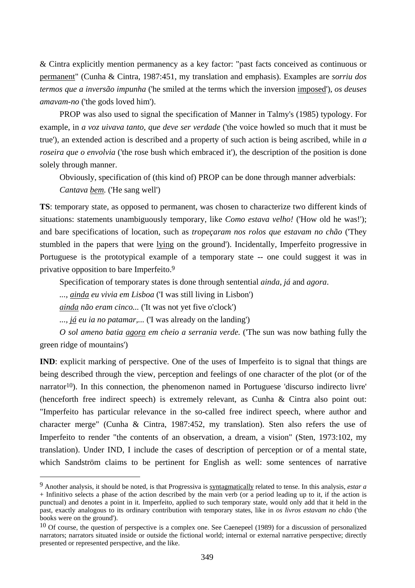& Cintra explicitly mention permanency as a key factor: "past facts conceived as continuous or permanent" (Cunha & Cintra, 1987:451, my translation and emphasis). Examples are *sorriu dos termos que a inversão impunha* ('he smiled at the terms which the inversion imposed'), *os deuses amavam-no* ('the gods loved him').

PROP was also used to signal the specification of Manner in Talmy's (1985) typology. For example, in *a voz uivava tanto, que deve ser verdade* ('the voice howled so much that it must be true'), an extended action is described and a property of such action is being ascribed, while in *a roseira que o envolvia* ('the rose bush which embraced it'), the description of the position is done solely through manner.

Obviously, specification of (this kind of) PROP can be done through manner adverbials:

*Cantava bem.* ('He sang well')

 $\overline{a}$ 

**TS**: temporary state, as opposed to permanent, was chosen to characterize two different kinds of situations: statements unambiguously temporary, like *Como estava velho!* ('How old he was!'); and bare specifications of location, such as *tropeçaram nos rolos que estavam no chão* ('They stumbled in the papers that were lying on the ground'). Incidentally, Imperfeito progressive in Portuguese is the prototypical example of a temporary state -- one could suggest it was in privative opposition to bare Imperfeito.9

Specification of temporary states is done through sentential *ainda*, *já* and *agora*.

*..., ainda eu vivia em Lisboa* ('I was still living in Lisbon')

*ainda não eram cinco...* ('It was not yet five o'clock')

*..., já eu ia no patamar,...* ('I was already on the landing')

*O sol ameno batia agora em cheio a serrania verde.* ('The sun was now bathing fully the green ridge of mountains')

**IND**: explicit marking of perspective. One of the uses of Imperfeito is to signal that things are being described through the view, perception and feelings of one character of the plot (or of the narrator<sup>10</sup>). In this connection, the phenomenon named in Portuguese 'discurso indirecto livre' (henceforth free indirect speech) is extremely relevant, as Cunha & Cintra also point out: "Imperfeito has particular relevance in the so-called free indirect speech, where author and character merge" (Cunha & Cintra, 1987:452, my translation). Sten also refers the use of Imperfeito to render "the contents of an observation, a dream, a vision" (Sten, 1973:102, my translation). Under IND, I include the cases of description of perception or of a mental state, which Sandström claims to be pertinent for English as well: some sentences of narrative

<sup>9</sup> Another analysis, it should be noted, is that Progressiva is syntagmatically related to tense. In this analysis, *estar a* + Infinitivo selects a phase of the action described by the main verb (or a period leading up to it, if the action is punctual) and denotes a point in it. Imperfeito, applied to such temporary state, would only add that it held in the past, exactly analogous to its ordinary contribution with temporary states, like in *os livros estavam no chão* ('the books were on the ground').

 $10$  Of course, the question of perspective is a complex one. See Caenepeel (1989) for a discussion of personalized narrators; narrators situated inside or outside the fictional world; internal or external narrative perspective; directly presented or represented perspective, and the like.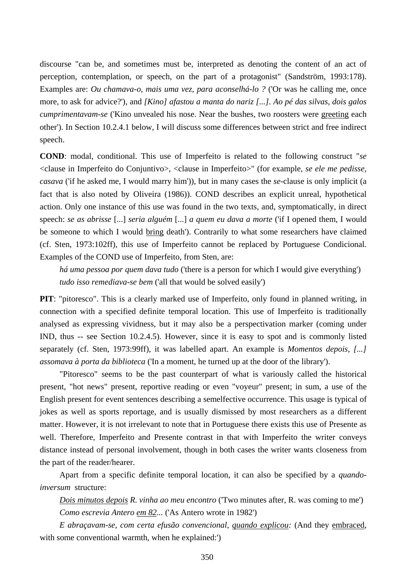discourse "can be, and sometimes must be, interpreted as denoting the content of an act of perception, contemplation, or speech, on the part of a protagonist" (Sandström, 1993:178). Examples are: *Ou chamava-o, mais uma vez, para aconselhá-lo ?* ('Or was he calling me, once more, to ask for advice?'), and *[Kino] afastou a manta do nariz [...]. Ao pé das silvas, dois galos cumprimentavam-se* ('Kino unvealed his nose. Near the bushes, two roosters were greeting each other'). In Section 10.2.4.1 below, I will discuss some differences between strict and free indirect speech.

**COND**: modal, conditional. This use of Imperfeito is related to the following construct "*se* <clause in Imperfeito do Conjuntivo>, <clause in Imperfeito>" (for example, *se ele me pedisse, casava* ('if he asked me, I would marry him')), but in many cases the *se*-clause is only implicit (a fact that is also noted by Oliveira (1986)). COND describes an explicit unreal, hypothetical action. Only one instance of this use was found in the two texts, and, symptomatically, in direct speech: *se as abrisse* [...] *seria alguém* [...] *a quem eu dava a morte* ('if I opened them, I would be someone to which I would bring death'). Contrarily to what some researchers have claimed (cf. Sten, 1973:102ff), this use of Imperfeito cannot be replaced by Portuguese Condicional. Examples of the COND use of Imperfeito, from Sten, are:

*há uma pessoa por quem dava tudo* ('there is a person for which I would give everything') *tudo isso remediava-se bem* ('all that would be solved easily')

**PIT**: "pitoresco". This is a clearly marked use of Imperfeito, only found in planned writing, in connection with a specified definite temporal location. This use of Imperfeito is traditionally analysed as expressing vividness, but it may also be a perspectivation marker (coming under IND, thus -- see Section 10.2.4.5). However, since it is easy to spot and is commonly listed separately (cf. Sten, 1973:99ff), it was labelled apart. An example is *Momentos depois, [...] assomava à porta da biblioteca* ('In a moment, he turned up at the door of the library').

"Pitoresco" seems to be the past counterpart of what is variously called the historical present, "hot news" present, reportive reading or even "voyeur" present; in sum, a use of the English present for event sentences describing a semelfective occurrence. This usage is typical of jokes as well as sports reportage, and is usually dismissed by most researchers as a different matter. However, it is not irrelevant to note that in Portuguese there exists this use of Presente as well. Therefore, Imperfeito and Presente contrast in that with Imperfeito the writer conveys distance instead of personal involvement, though in both cases the writer wants closeness from the part of the reader/hearer.

Apart from a specific definite temporal location, it can also be specified by a *quandoinversum* structure:

*Dois minutos depois R. vinha ao meu encontro* ('Two minutes after, R. was coming to me') *Como escrevia Antero em 82...* ('As Antero wrote in 1982')

*E abraçavam-se, com certa efusão convencional, quando explicou:* (And they embraced, with some conventional warmth, when he explained:')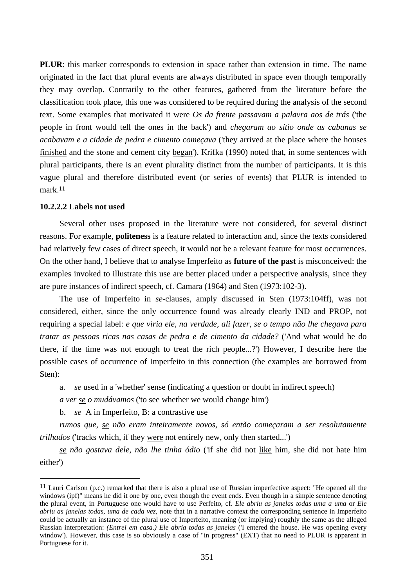**PLUR**: this marker corresponds to extension in space rather than extension in time. The name originated in the fact that plural events are always distributed in space even though temporally they may overlap. Contrarily to the other features, gathered from the literature before the classification took place, this one was considered to be required during the analysis of the second text. Some examples that motivated it were *Os da frente passavam a palavra aos de trás* ('the people in front would tell the ones in the back') and *chegaram ao sítio onde as cabanas se acabavam e a cidade de pedra e cimento começava* ('they arrived at the place where the houses finished and the stone and cement city began'). Krifka (1990) noted that, in some sentences with plural participants, there is an event plurality distinct from the number of participants. It is this vague plural and therefore distributed event (or series of events) that PLUR is intended to mark.11

#### **10.2.2.2 Labels not used**

 $\overline{a}$ 

Several other uses proposed in the literature were not considered, for several distinct reasons. For example, **politeness** is a feature related to interaction and, since the texts considered had relatively few cases of direct speech, it would not be a relevant feature for most occurrences. On the other hand, I believe that to analyse Imperfeito as **future of the past** is misconceived: the examples invoked to illustrate this use are better placed under a perspective analysis, since they are pure instances of indirect speech, cf. Camara (1964) and Sten (1973:102-3).

The use of Imperfeito in *se*-clauses, amply discussed in Sten (1973:104ff), was not considered, either, since the only occurrence found was already clearly IND and PROP, not requiring a special label: *e que viria ele, na verdade, ali fazer, se o tempo não lhe chegava para tratar as pessoas ricas nas casas de pedra e de cimento da cidade?* ('And what would he do there, if the time was not enough to treat the rich people...?') However, I describe here the possible cases of occurrence of Imperfeito in this connection (the examples are borrowed from Sten):

a. *se* used in a 'whether' sense (indicating a question or doubt in indirect speech)

*a ver se o mudávamos* ('to see whether we would change him')

b. *se* A in Imperfeito, B: a contrastive use

*rumos que, se não eram inteiramente novos, só então começaram a ser resolutamente trilhados* ('tracks which, if they were not entirely new, only then started...')

*se não gostava dele, não lhe tinha ódio* ('if she did not like him, she did not hate him either')

<sup>&</sup>lt;sup>11</sup> Lauri Carlson (p.c.) remarked that there is also a plural use of Russian imperfective aspect: "He opened all the windows (ipf)" means he did it one by one, even though the event ends. Even though in a simple sentence denoting the plural event, in Portuguese one would have to use Perfeito, cf. *Ele abriu as janelas todas uma a uma* or *Ele abriu as janelas todas, uma de cada vez*, note that in a narrative context the corresponding sentence in Imperfeito could be actually an instance of the plural use of Imperfeito, meaning (or implying) roughly the same as the alleged Russian interpretation: *(Entrei em casa.) Ele abria todas as janelas* ('I entered the house. He was opening every window'). However, this case is so obviously a case of "in progress" (EXT) that no need to PLUR is apparent in Portuguese for it.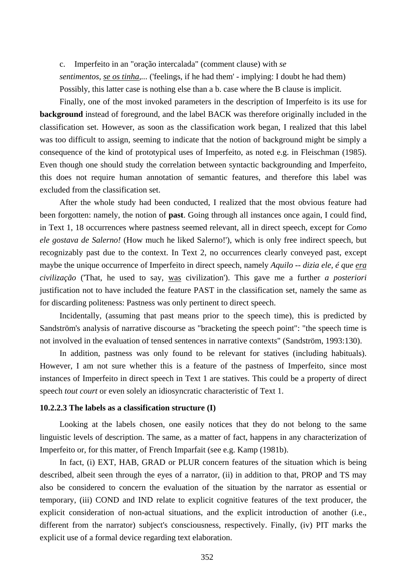c. Imperfeito in an "oração intercalada" (comment clause) with *se*

*sentimentos, se os tinha,...* ('feelings, if he had them' - implying: I doubt he had them) Possibly, this latter case is nothing else than a b. case where the B clause is implicit.

Finally, one of the most invoked parameters in the description of Imperfeito is its use for **background** instead of foreground, and the label BACK was therefore originally included in the classification set. However, as soon as the classification work began, I realized that this label was too difficult to assign, seeming to indicate that the notion of background might be simply a consequence of the kind of prototypical uses of Imperfeito, as noted e.g. in Fleischman (1985). Even though one should study the correlation between syntactic backgrounding and Imperfeito, this does not require human annotation of semantic features, and therefore this label was excluded from the classification set.

After the whole study had been conducted, I realized that the most obvious feature had been forgotten: namely, the notion of **past**. Going through all instances once again, I could find, in Text 1, 18 occurrences where pastness seemed relevant, all in direct speech, except for *Como ele gostava de Salerno!* (How much he liked Salerno!'), which is only free indirect speech, but recognizably past due to the context. In Text 2, no occurrences clearly conveyed past, except maybe the unique occurrence of Imperfeito in direct speech, namely *Aquilo -- dizia ele, é que era civilização* ('That, he used to say, was civilization'). This gave me a further *a posteriori*  justification not to have included the feature PAST in the classification set, namely the same as for discarding politeness: Pastness was only pertinent to direct speech.

Incidentally, (assuming that past means prior to the speech time), this is predicted by Sandström's analysis of narrative discourse as "bracketing the speech point": "the speech time is not involved in the evaluation of tensed sentences in narrative contexts" (Sandström, 1993:130).

In addition, pastness was only found to be relevant for statives (including habituals). However, I am not sure whether this is a feature of the pastness of Imperfeito, since most instances of Imperfeito in direct speech in Text 1 are statives. This could be a property of direct speech *tout court* or even solely an idiosyncratic characteristic of Text 1.

# **10.2.2.3 The labels as a classification structure (I)**

Looking at the labels chosen, one easily notices that they do not belong to the same linguistic levels of description. The same, as a matter of fact, happens in any characterization of Imperfeito or, for this matter, of French Imparfait (see e.g. Kamp (1981b).

In fact, (i) EXT, HAB, GRAD or PLUR concern features of the situation which is being described, albeit seen through the eyes of a narrator, (ii) in addition to that, PROP and TS may also be considered to concern the evaluation of the situation by the narrator as essential or temporary, (iii) COND and IND relate to explicit cognitive features of the text producer, the explicit consideration of non-actual situations, and the explicit introduction of another (i.e., different from the narrator) subject's consciousness, respectively. Finally, (iv) PIT marks the explicit use of a formal device regarding text elaboration.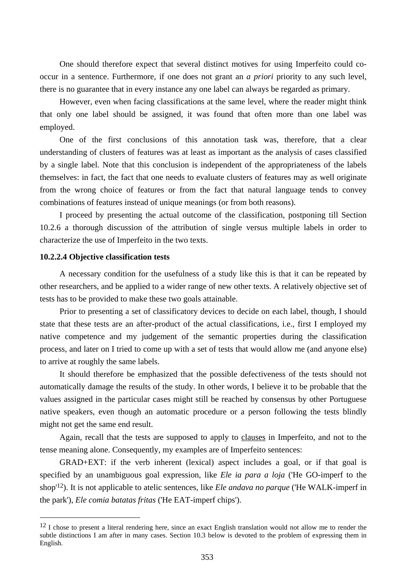One should therefore expect that several distinct motives for using Imperfeito could cooccur in a sentence. Furthermore, if one does not grant an *a priori* priority to any such level, there is no guarantee that in every instance any one label can always be regarded as primary.

However, even when facing classifications at the same level, where the reader might think that only one label should be assigned, it was found that often more than one label was employed.

One of the first conclusions of this annotation task was, therefore, that a clear understanding of clusters of features was at least as important as the analysis of cases classified by a single label. Note that this conclusion is independent of the appropriateness of the labels themselves: in fact, the fact that one needs to evaluate clusters of features may as well originate from the wrong choice of features or from the fact that natural language tends to convey combinations of features instead of unique meanings (or from both reasons).

I proceed by presenting the actual outcome of the classification, postponing till Section 10.2.6 a thorough discussion of the attribution of single versus multiple labels in order to characterize the use of Imperfeito in the two texts.

# **10.2.2.4 Objective classification tests**

 $\overline{a}$ 

A necessary condition for the usefulness of a study like this is that it can be repeated by other researchers, and be applied to a wider range of new other texts. A relatively objective set of tests has to be provided to make these two goals attainable.

Prior to presenting a set of classificatory devices to decide on each label, though, I should state that these tests are an after-product of the actual classifications, i.e., first I employed my native competence and my judgement of the semantic properties during the classification process, and later on I tried to come up with a set of tests that would allow me (and anyone else) to arrive at roughly the same labels.

It should therefore be emphasized that the possible defectiveness of the tests should not automatically damage the results of the study. In other words, I believe it to be probable that the values assigned in the particular cases might still be reached by consensus by other Portuguese native speakers, even though an automatic procedure or a person following the tests blindly might not get the same end result.

Again, recall that the tests are supposed to apply to clauses in Imperfeito, and not to the tense meaning alone. Consequently, my examples are of Imperfeito sentences:

GRAD+EXT: if the verb inherent (lexical) aspect includes a goal, or if that goal is specified by an unambiguous goal expression, like *Ele ia para a loja* ('He GO-imperf to the shop'12). It is not applicable to atelic sentences, like *Ele andava no parque* ('He WALK-imperf in the park'), *Ele comia batatas fritas* ('He EAT-imperf chips').

<sup>&</sup>lt;sup>12</sup> I chose to present a literal rendering here, since an exact English translation would not allow me to render the subtle distinctions I am after in many cases. Section 10.3 below is devoted to the problem of expressing them in English.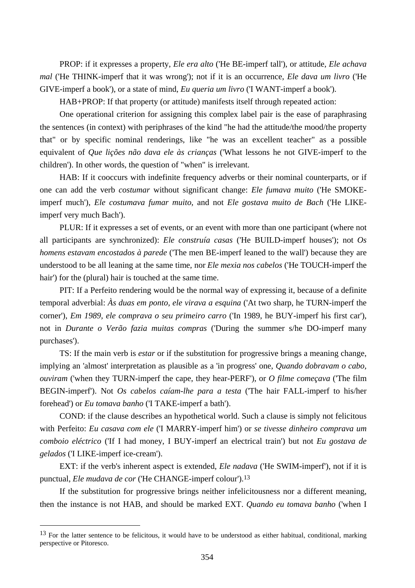PROP: if it expresses a property, *Ele era alto* ('He BE-imperf tall'), or attitude, *Ele achava mal* ('He THINK-imperf that it was wrong'); not if it is an occurrence, *Ele dava um livro* ('He GIVE-imperf a book'), or a state of mind, *Eu queria um livro* ('I WANT-imperf a book').

HAB+PROP: If that property (or attitude) manifests itself through repeated action:

One operational criterion for assigning this complex label pair is the ease of paraphrasing the sentences (in context) with periphrases of the kind "he had the attitude/the mood/the property that" or by specific nominal renderings, like "he was an excellent teacher" as a possible equivalent of *Que lições não dava ele às crianças* ('What lessons he not GIVE-imperf to the children'). In other words, the question of "when" is irrelevant.

HAB: If it cooccurs with indefinite frequency adverbs or their nominal counterparts, or if one can add the verb *costumar* without significant change: *Ele fumava muito* ('He SMOKEimperf much'), *Ele costumava fumar muito*, and not *Ele gostava muito de Bach* ('He LIKEimperf very much Bach').

PLUR: If it expresses a set of events, or an event with more than one participant (where not all participants are synchronized): *Ele construía casas* ('He BUILD-imperf houses'); not *Os homens estavam encostados à parede* ('The men BE-imperf leaned to the wall') because they are understood to be all leaning at the same time, nor *Ele mexia nos cabelos* ('He TOUCH-imperf the hair') for the (plural) hair is touched at the same time.

PIT: If a Perfeito rendering would be the normal way of expressing it, because of a definite temporal adverbial: *Às duas em ponto, ele virava a esquina* ('At two sharp, he TURN-imperf the corner'), *Em 1989, ele comprava o seu primeiro carro* ('In 1989, he BUY-imperf his first car'), not in *Durante o Verão fazia muitas compras* ('During the summer s/he DO-imperf many purchases').

TS: If the main verb is *estar* or if the substitution for progressive brings a meaning change, implying an 'almost' interpretation as plausible as a 'in progress' one, *Quando dobravam o cabo, ouviram* ('when they TURN-imperf the cape, they hear-PERF'), or *O filme começava* ('The film BEGIN-imperf'). Not *Os cabelos caíam-lhe para a testa* ('The hair FALL-imperf to his/her forehead') or *Eu tomava banho* ('I TAKE-imperf a bath').

COND: if the clause describes an hypothetical world. Such a clause is simply not felicitous with Perfeito: *Eu casava com ele* ('I MARRY-imperf him') or *se tivesse dinheiro comprava um comboio eléctrico* ('If I had money, I BUY-imperf an electrical train') but not *Eu gostava de gelados* ('I LIKE-imperf ice-cream').

EXT: if the verb's inherent aspect is extended, *Ele nadava* ('He SWIM-imperf'), not if it is punctual, *Ele mudava de cor* ('He CHANGE-imperf colour').13

If the substitution for progressive brings neither infelicitousness nor a different meaning, then the instance is not HAB, and should be marked EXT. *Quando eu tomava banho* ('when I

<sup>&</sup>lt;sup>13</sup> For the latter sentence to be felicitous, it would have to be understood as either habitual, conditional, marking perspective or Pitoresco.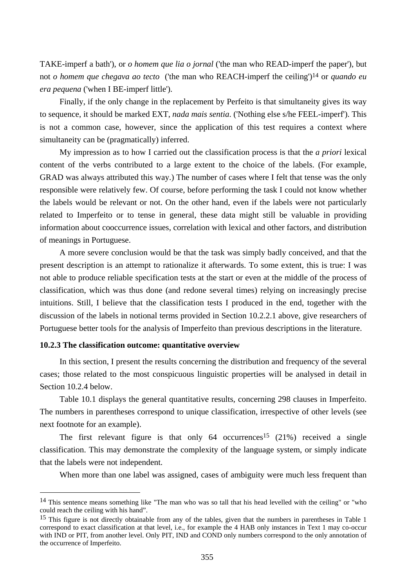TAKE-imperf a bath'), or *o homem que lia o jornal* ('the man who READ-imperf the paper'), but not *o homem que chegava ao tecto* ('the man who REACH-imperf the ceiling')14 or *quando eu era pequena* ('when I BE-imperf little').

Finally, if the only change in the replacement by Perfeito is that simultaneity gives its way to sequence, it should be marked EXT, *nada mais sentia*. ('Nothing else s/he FEEL-imperf'). This is not a common case, however, since the application of this test requires a context where simultaneity can be (pragmatically) inferred.

My impression as to how I carried out the classification process is that the *a priori* lexical content of the verbs contributed to a large extent to the choice of the labels. (For example, GRAD was always attributed this way.) The number of cases where I felt that tense was the only responsible were relatively few. Of course, before performing the task I could not know whether the labels would be relevant or not. On the other hand, even if the labels were not particularly related to Imperfeito or to tense in general, these data might still be valuable in providing information about cooccurrence issues, correlation with lexical and other factors, and distribution of meanings in Portuguese.

A more severe conclusion would be that the task was simply badly conceived, and that the present description is an attempt to rationalize it afterwards. To some extent, this is true: I was not able to produce reliable specification tests at the start or even at the middle of the process of classification, which was thus done (and redone several times) relying on increasingly precise intuitions. Still, I believe that the classification tests I produced in the end, together with the discussion of the labels in notional terms provided in Section 10.2.2.1 above, give researchers of Portuguese better tools for the analysis of Imperfeito than previous descriptions in the literature.

#### **10.2.3 The classification outcome: quantitative overview**

 $\overline{a}$ 

In this section, I present the results concerning the distribution and frequency of the several cases; those related to the most conspicuous linguistic properties will be analysed in detail in Section 10.2.4 below.

Table 10.1 displays the general quantitative results, concerning 298 clauses in Imperfeito. The numbers in parentheses correspond to unique classification, irrespective of other levels (see next footnote for an example).

The first relevant figure is that only  $64$  occurrences<sup>15</sup> (21%) received a single classification. This may demonstrate the complexity of the language system, or simply indicate that the labels were not independent.

When more than one label was assigned, cases of ambiguity were much less frequent than

<sup>14</sup> This sentence means something like "The man who was so tall that his head levelled with the ceiling" or "who could reach the ceiling with his hand".

<sup>&</sup>lt;sup>15</sup> This figure is not directly obtainable from any of the tables, given that the numbers in parentheses in Table 1 correspond to exact classification at that level, i.e., for example the 4 HAB only instances in Text 1 may co-occur with IND or PIT, from another level. Only PIT, IND and COND only numbers correspond to the only annotation of the occurrence of Imperfeito.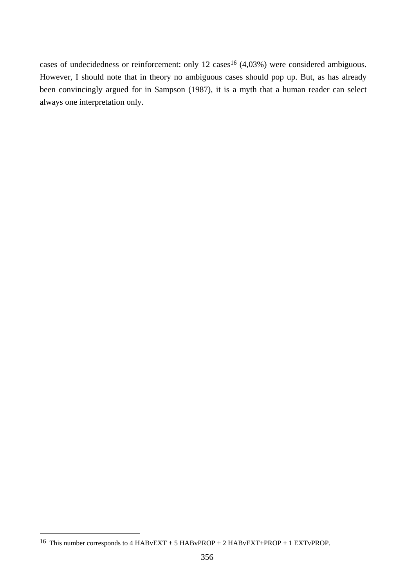cases of undecidedness or reinforcement: only 12 cases<sup>16</sup> (4,03%) were considered ambiguous. However, I should note that in theory no ambiguous cases should pop up. But, as has already been convincingly argued for in Sampson (1987), it is a myth that a human reader can select always one interpretation only.

<sup>&</sup>lt;sup>16</sup> This number corresponds to 4 HABvEXT + 5 HABvPROP + 2 HABvEXT+PROP + 1 EXTvPROP.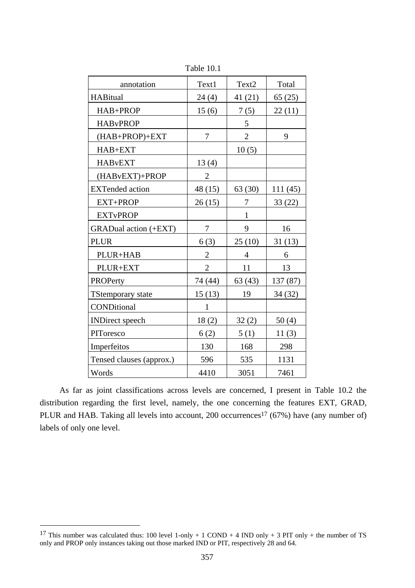| annotation                  | Text1          | Text2          | Total    |
|-----------------------------|----------------|----------------|----------|
| <b>HABitual</b>             | 24(4)          | 41(21)         | 65(25)   |
| HAB+PROP                    | 15(6)          | 7(5)           | 22(11)   |
| <b>HABvPROP</b>             |                | 5              |          |
| (HAB+PROP)+EXT              | 7              | $\overline{2}$ | 9        |
| HAB+EXT                     |                | 10(5)          |          |
| <b>HAB</b> <sub>v</sub> EXT | 13(4)          |                |          |
| (HABvEXT)+PROP              | $\overline{2}$ |                |          |
| <b>EXTended</b> action      | 48 (15)        | 63 (30)        | 111(45)  |
| EXT+PROP                    | 26(15)         | 7              | 33(22)   |
| <b>EXTvPROP</b>             |                | $\mathbf{1}$   |          |
| GRADual action (+EXT)       | $\tau$         | 9              | 16       |
| <b>PLUR</b>                 | 6(3)           | 25(10)         | 31(13)   |
| PLUR+HAB                    | $\mathbf{2}$   | $\overline{4}$ | 6        |
| PLUR+EXT                    | $\overline{2}$ | 11             | 13       |
| PROPerty                    | 74 (44)        | 63(43)         | 137 (87) |
| <b>TStemporary state</b>    | 15(13)         | 19             | 34 (32)  |
| CONDitional                 | $\mathbf{1}$   |                |          |
| <b>INDirect</b> speech      | 18(2)          | 32(2)          | 50(4)    |
| PIToresco                   | 6(2)           | 5(1)           | 11(3)    |
| Imperfeitos                 | 130            | 168            | 298      |
| Tensed clauses (approx.)    | 596            | 535            | 1131     |
| Words                       | 4410           | 3051           | 7461     |

Table 10.1

As far as joint classifications across levels are concerned, I present in Table 10.2 the distribution regarding the first level, namely, the one concerning the features EXT, GRAD, PLUR and HAB. Taking all levels into account, 200 occurrences<sup>17</sup> (67%) have (any number of) labels of only one level.

<sup>&</sup>lt;sup>17</sup> This number was calculated thus: 100 level 1-only + 1 COND + 4 IND only + 3 PIT only + the number of TS only and PROP only instances taking out those marked IND or PIT, respectively 28 and 64.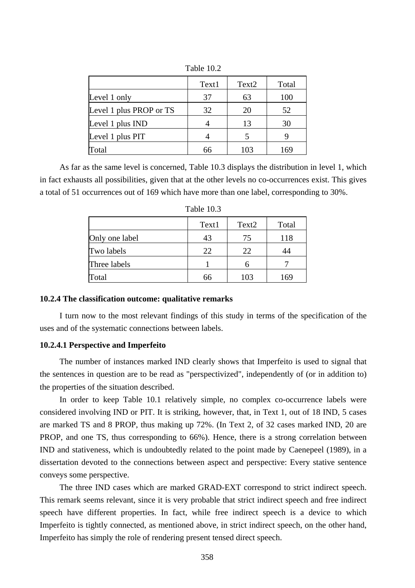|                         | Text1 | Text <sub>2</sub> | Total |
|-------------------------|-------|-------------------|-------|
| Level 1 only            | 37    | 63                | 100   |
| Level 1 plus PROP or TS | 32    | 20                | 52    |
| Level 1 plus IND        |       | 13                | 30    |
| Level 1 plus PIT        |       |                   |       |
| Total                   |       | 103               | 169   |

Table 10.2

As far as the same level is concerned, Table 10.3 displays the distribution in level 1, which in fact exhausts all possibilities, given that at the other levels no co-occurrences exist. This gives a total of 51 occurrences out of 169 which have more than one label, corresponding to 30%.

|                | 1 UUIV 1 VIJ |                   |       |
|----------------|--------------|-------------------|-------|
|                | Text1        | Text <sub>2</sub> | Total |
| Only one label | 43           | 75                | 118   |
| Two labels     | 22           | 22                | 14    |
| Three labels   |              |                   |       |
| Total          | 66           | 103               | 169   |

Table 10.3

# **10.2.4 The classification outcome: qualitative remarks**

I turn now to the most relevant findings of this study in terms of the specification of the uses and of the systematic connections between labels.

# **10.2.4.1 Perspective and Imperfeito**

The number of instances marked IND clearly shows that Imperfeito is used to signal that the sentences in question are to be read as "perspectivized", independently of (or in addition to) the properties of the situation described.

In order to keep Table 10.1 relatively simple, no complex co-occurrence labels were considered involving IND or PIT. It is striking, however, that, in Text 1, out of 18 IND, 5 cases are marked TS and 8 PROP, thus making up 72%. (In Text 2, of 32 cases marked IND, 20 are PROP, and one TS, thus corresponding to 66%). Hence, there is a strong correlation between IND and stativeness, which is undoubtedly related to the point made by Caenepeel (1989), in a dissertation devoted to the connections between aspect and perspective: Every stative sentence conveys some perspective.

The three IND cases which are marked GRAD-EXT correspond to strict indirect speech. This remark seems relevant, since it is very probable that strict indirect speech and free indirect speech have different properties. In fact, while free indirect speech is a device to which Imperfeito is tightly connected, as mentioned above, in strict indirect speech, on the other hand, Imperfeito has simply the role of rendering present tensed direct speech.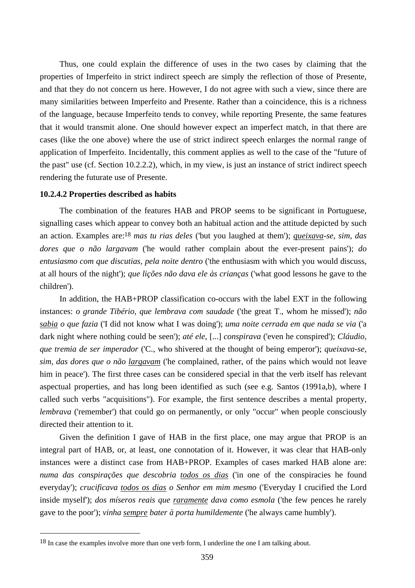Thus, one could explain the difference of uses in the two cases by claiming that the properties of Imperfeito in strict indirect speech are simply the reflection of those of Presente, and that they do not concern us here. However, I do not agree with such a view, since there are many similarities between Imperfeito and Presente. Rather than a coincidence, this is a richness of the language, because Imperfeito tends to convey, while reporting Presente, the same features that it would transmit alone. One should however expect an imperfect match, in that there are cases (like the one above) where the use of strict indirect speech enlarges the normal range of application of Imperfeito. Incidentally, this comment applies as well to the case of the "future of the past" use (cf. Section 10.2.2.2), which, in my view, is just an instance of strict indirect speech rendering the futurate use of Presente.

#### **10.2.4.2 Properties described as habits**

 $\overline{a}$ 

The combination of the features HAB and PROP seems to be significant in Portuguese, signalling cases which appear to convey both an habitual action and the attitude depicted by such an action. Examples are:18 *mas tu rias deles* ('but you laughed at them'); *queixava-se, sim, das dores que o não largavam* ('he would rather complain about the ever-present pains'); *do entusiasmo com que discutias, pela noite dentro* ('the enthusiasm with which you would discuss, at all hours of the night'); *que lições não dava ele às crianças* ('what good lessons he gave to the children').

In addition, the HAB+PROP classification co-occurs with the label EXT in the following instances: *o grande Tibério, que lembrava com saudade* ('the great T., whom he missed'); *não sabia o que fazia* ('I did not know what I was doing'); *uma noite cerrada em que nada se via* ('a dark night where nothing could be seen'); *até ele,* [...] *conspirava* ('even he conspired'); *Cláudio, que tremia de ser imperador* ('C., who shivered at the thought of being emperor'); *queixava-se, sim, das dores que o não largavam* ('he complained, rather, of the pains which would not leave him in peace'). The first three cases can be considered special in that the verb itself has relevant aspectual properties, and has long been identified as such (see e.g. Santos (1991a,b), where I called such verbs "acquisitions"). For example, the first sentence describes a mental property, *lembrava* ('remember') that could go on permanently, or only "occur" when people consciously directed their attention to it.

Given the definition I gave of HAB in the first place, one may argue that PROP is an integral part of HAB, or, at least, one connotation of it. However, it was clear that HAB-only instances were a distinct case from HAB+PROP. Examples of cases marked HAB alone are: *numa das conspirações que descobria todos os dias* ('in one of the conspiracies he found everyday'); *crucificava todos os dias o Senhor em mim mesmo* ('Everyday I crucified the Lord inside myself'); *dos míseros reais que raramente dava como esmola* ('the few pences he rarely gave to the poor'); *vinha sempre bater à porta humildemente* ('he always came humbly').

<sup>&</sup>lt;sup>18</sup> In case the examples involve more than one verb form, I underline the one I am talking about.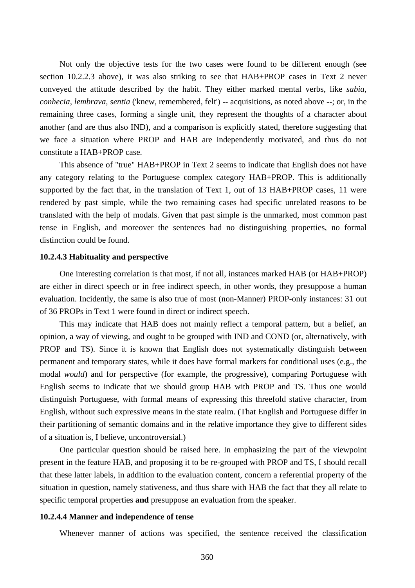Not only the objective tests for the two cases were found to be different enough (see section 10.2.2.3 above), it was also striking to see that HAB+PROP cases in Text 2 never conveyed the attitude described by the habit. They either marked mental verbs, like *sabia*, *conhecia*, *lembrava*, *sentia* ('knew, remembered, felt') -- acquisitions, as noted above --; or, in the remaining three cases, forming a single unit, they represent the thoughts of a character about another (and are thus also IND), and a comparison is explicitly stated, therefore suggesting that we face a situation where PROP and HAB are independently motivated, and thus do not constitute a HAB+PROP case.

This absence of "true" HAB+PROP in Text 2 seems to indicate that English does not have any category relating to the Portuguese complex category HAB+PROP. This is additionally supported by the fact that, in the translation of Text 1, out of 13 HAB+PROP cases, 11 were rendered by past simple, while the two remaining cases had specific unrelated reasons to be translated with the help of modals. Given that past simple is the unmarked, most common past tense in English, and moreover the sentences had no distinguishing properties, no formal distinction could be found.

# **10.2.4.3 Habituality and perspective**

One interesting correlation is that most, if not all, instances marked HAB (or HAB+PROP) are either in direct speech or in free indirect speech, in other words, they presuppose a human evaluation. Incidently, the same is also true of most (non-Manner) PROP-only instances: 31 out of 36 PROPs in Text 1 were found in direct or indirect speech.

This may indicate that HAB does not mainly reflect a temporal pattern, but a belief, an opinion, a way of viewing, and ought to be grouped with IND and COND (or, alternatively, with PROP and TS). Since it is known that English does not systematically distinguish between permanent and temporary states, while it does have formal markers for conditional uses (e.g., the modal *would*) and for perspective (for example, the progressive), comparing Portuguese with English seems to indicate that we should group HAB with PROP and TS. Thus one would distinguish Portuguese, with formal means of expressing this threefold stative character, from English, without such expressive means in the state realm. (That English and Portuguese differ in their partitioning of semantic domains and in the relative importance they give to different sides of a situation is, I believe, uncontroversial.)

One particular question should be raised here. In emphasizing the part of the viewpoint present in the feature HAB, and proposing it to be re-grouped with PROP and TS, I should recall that these latter labels, in addition to the evaluation content, concern a referential property of the situation in question, namely stativeness, and thus share with HAB the fact that they all relate to specific temporal properties **and** presuppose an evaluation from the speaker.

### **10.2.4.4 Manner and independence of tense**

Whenever manner of actions was specified, the sentence received the classification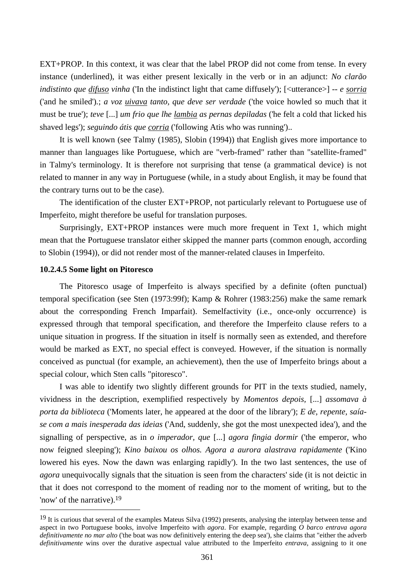EXT+PROP. In this context, it was clear that the label PROP did not come from tense. In every instance (underlined), it was either present lexically in the verb or in an adjunct: *No clarão indistinto que difuso vinha* ('In the indistinct light that came diffusely'); [<utterance>] *-- e sorria* ('and he smiled')*.*; *a voz uivava tanto, que deve ser verdade* ('the voice howled so much that it must be true'); *teve* [...] *um frio que lhe lambia as pernas depiladas* ('he felt a cold that licked his shaved legs'); *seguindo átis que corria* ('following Atis who was running')..

It is well known (see Talmy (1985), Slobin (1994)) that English gives more importance to manner than languages like Portuguese, which are "verb-framed" rather than "satellite-framed" in Talmy's terminology. It is therefore not surprising that tense (a grammatical device) is not related to manner in any way in Portuguese (while, in a study about English, it may be found that the contrary turns out to be the case).

The identification of the cluster EXT+PROP, not particularly relevant to Portuguese use of Imperfeito, might therefore be useful for translation purposes.

Surprisingly, EXT+PROP instances were much more frequent in Text 1, which might mean that the Portuguese translator either skipped the manner parts (common enough, according to Slobin (1994)), or did not render most of the manner-related clauses in Imperfeito.

## **10.2.4.5 Some light on Pitoresco**

 $\overline{a}$ 

The Pitoresco usage of Imperfeito is always specified by a definite (often punctual) temporal specification (see Sten (1973:99f); Kamp & Rohrer (1983:256) make the same remark about the corresponding French Imparfait). Semelfactivity (i.e., once-only occurrence) is expressed through that temporal specification, and therefore the Imperfeito clause refers to a unique situation in progress. If the situation in itself is normally seen as extended, and therefore would be marked as EXT, no special effect is conveyed. However, if the situation is normally conceived as punctual (for example, an achievement), then the use of Imperfeito brings about a special colour, which Sten calls "pitoresco".

I was able to identify two slightly different grounds for PIT in the texts studied, namely, vividness in the description, exemplified respectively by *Momentos depois,* [...] *assomava à porta da biblioteca* ('Moments later, he appeared at the door of the library'); *E de, repente, saíase com a mais inesperada das ideias* ('And, suddenly, she got the most unexpected idea'), and the signalling of perspective, as in *o imperador, que* [...] *agora fingia dormir* ('the emperor, who now feigned sleeping'); *Kino baixou os olhos. Agora a aurora alastrava rapidamente* ('Kino lowered his eyes. Now the dawn was enlarging rapidly'). In the two last sentences, the use of *agora* unequivocally signals that the situation is seen from the characters' side (it is not deictic in that it does not correspond to the moment of reading nor to the moment of writing, but to the 'now' of the narrative).19

<sup>&</sup>lt;sup>19</sup> It is curious that several of the examples Mateus Silva (1992) presents, analysing the interplay between tense and aspect in two Portuguese books, involve Imperfeito with *agora*. For example, regarding *O barco entrava agora definitivamente no mar alto* ('the boat was now definitively entering the deep sea'), she claims that "either the adverb *definitivamente* wins over the durative aspectual value attributed to the Imperfeito *entrava*, assigning to it one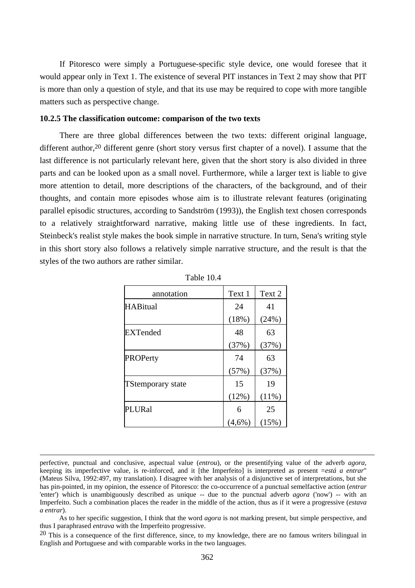If Pitoresco were simply a Portuguese-specific style device, one would foresee that it would appear only in Text 1. The existence of several PIT instances in Text 2 may show that PIT is more than only a question of style, and that its use may be required to cope with more tangible matters such as perspective change.

### **10.2.5 The classification outcome: comparison of the two texts**

There are three global differences between the two texts: different original language, different author,<sup>20</sup> different genre (short story versus first chapter of a novel). I assume that the last difference is not particularly relevant here, given that the short story is also divided in three parts and can be looked upon as a small novel. Furthermore, while a larger text is liable to give more attention to detail, more descriptions of the characters, of the background, and of their thoughts, and contain more episodes whose aim is to illustrate relevant features (originating parallel episodic structures, according to Sandström (1993)), the English text chosen corresponds to a relatively straightforward narrative, making little use of these ingredients. In fact, Steinbeck's realist style makes the book simple in narrative structure. In turn, Sena's writing style in this short story also follows a relatively simple narrative structure, and the result is that the styles of the two authors are rather similar.

| annotation               | Text 1    | Text 2   |
|--------------------------|-----------|----------|
| <b>HABitual</b>          | 24        | 41       |
|                          | (18%)     | (24%)    |
| <b>EXTended</b>          | 48        | 63       |
|                          | (37%)     | (37%)    |
| PROPerty                 | 74        | 63       |
|                          | (57%)     | (37%)    |
| <b>TStemporary state</b> | 15        | 19       |
|                          | (12%)     | $(11\%)$ |
| PLURal                   | 6         | 25       |
|                          | $(4,6\%)$ | (15%)    |

| Table 10.4 |  |  |
|------------|--|--|
|            |  |  |

<sup>20</sup> This is a consequence of the first difference, since, to my knowledge, there are no famous writers bilingual in English and Portuguese and with comparable works in the two languages.

perfective, punctual and conclusive, aspectual value (*entrou*), or the presentifying value of the adverb *agora*, keeping its imperfective value, is re-inforced, and it [the Imperfeito] is interpreted as present =*está a entrar*" (Mateus Silva, 1992:497, my translation). I disagree with her analysis of a disjunctive set of interpretations, but she has pin-pointed, in my opinion, the essence of Pitoresco: the co-occurrence of a punctual semelfactive action (*entrar* 'enter') which is unambiguously described as unique -- due to the punctual adverb *agora* ('now') -- with an Imperfeito. Such a combination places the reader in the middle of the action, thus as if it were a progressive (*estava a entrar*).

As to her specific suggestion, I think that the word *agora* is not marking present, but simple perspective, and thus I paraphrased *entrava* with the Imperfeito progressive.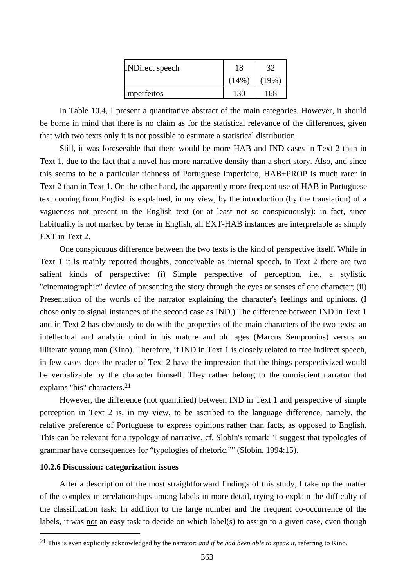| <b>INDirect</b> speech | 18   | 32  |
|------------------------|------|-----|
|                        | (14% | 19% |
| Imperfeitos            | 130  | 168 |

In Table 10.4, I present a quantitative abstract of the main categories. However, it should be borne in mind that there is no claim as for the statistical relevance of the differences, given that with two texts only it is not possible to estimate a statistical distribution.

Still, it was foreseeable that there would be more HAB and IND cases in Text 2 than in Text 1, due to the fact that a novel has more narrative density than a short story. Also, and since this seems to be a particular richness of Portuguese Imperfeito, HAB+PROP is much rarer in Text 2 than in Text 1. On the other hand, the apparently more frequent use of HAB in Portuguese text coming from English is explained, in my view, by the introduction (by the translation) of a vagueness not present in the English text (or at least not so conspicuously): in fact, since habituality is not marked by tense in English, all EXT-HAB instances are interpretable as simply EXT in Text 2.

One conspicuous difference between the two texts is the kind of perspective itself. While in Text 1 it is mainly reported thoughts, conceivable as internal speech, in Text 2 there are two salient kinds of perspective: (i) Simple perspective of perception, i.e., a stylistic "cinematographic" device of presenting the story through the eyes or senses of one character; (ii) Presentation of the words of the narrator explaining the character's feelings and opinions. (I chose only to signal instances of the second case as IND.) The difference between IND in Text 1 and in Text 2 has obviously to do with the properties of the main characters of the two texts: an intellectual and analytic mind in his mature and old ages (Marcus Sempronius) versus an illiterate young man (Kino). Therefore, if IND in Text 1 is closely related to free indirect speech, in few cases does the reader of Text 2 have the impression that the things perspectivized would be verbalizable by the character himself. They rather belong to the omniscient narrator that explains "his" characters.21

However, the difference (not quantified) between IND in Text 1 and perspective of simple perception in Text 2 is, in my view, to be ascribed to the language difference, namely, the relative preference of Portuguese to express opinions rather than facts, as opposed to English. This can be relevant for a typology of narrative, cf. Slobin's remark "I suggest that typologies of grammar have consequences for "typologies of rhetoric."" (Slobin, 1994:15).

# **10.2.6 Discussion: categorization issues**

 $\overline{a}$ 

After a description of the most straightforward findings of this study, I take up the matter of the complex interrelationships among labels in more detail, trying to explain the difficulty of the classification task: In addition to the large number and the frequent co-occurrence of the labels, it was not an easy task to decide on which label(s) to assign to a given case, even though

<sup>21</sup> This is even explicitly acknowledged by the narrator: *and if he had been able to speak it*, referring to Kino.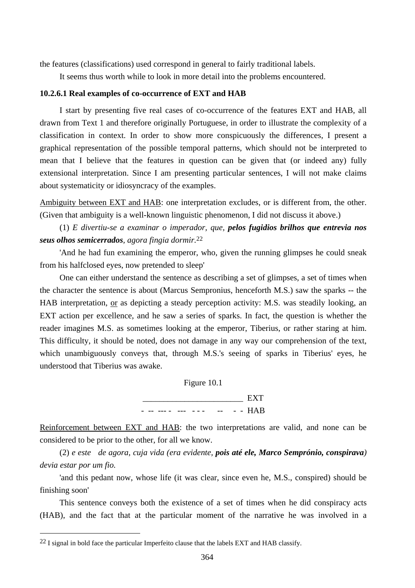the features (classifications) used correspond in general to fairly traditional labels.

It seems thus worth while to look in more detail into the problems encountered.

### **10.2.6.1 Real examples of co-occurrence of EXT and HAB**

I start by presenting five real cases of co-occurrence of the features EXT and HAB, all drawn from Text 1 and therefore originally Portuguese, in order to illustrate the complexity of a classification in context. In order to show more conspicuously the differences, I present a graphical representation of the possible temporal patterns, which should not be interpreted to mean that I believe that the features in question can be given that (or indeed any) fully extensional interpretation. Since I am presenting particular sentences, I will not make claims about systematicity or idiosyncracy of the examples.

Ambiguity between EXT and HAB: one interpretation excludes, or is different from, the other. (Given that ambiguity is a well-known linguistic phenomenon, I did not discuss it above.)

(1) *E divertiu-se a examinar o imperador, que, pelos fugidios brilhos que entrevia nos seus olhos semicerrados, agora fingia dormir.*22

'And he had fun examining the emperor, who, given the running glimpses he could sneak from his halfclosed eyes, now pretended to sleep'

One can either understand the sentence as describing a set of glimpses, a set of times when the character the sentence is about (Marcus Sempronius, henceforth M.S.) saw the sparks -- the HAB interpretation, or as depicting a steady perception activity: M.S. was steadily looking, an EXT action per excellence, and he saw a series of sparks. In fact, the question is whether the reader imagines M.S. as sometimes looking at the emperor, Tiberius, or rather staring at him. This difficulty, it should be noted, does not damage in any way our comprehension of the text, which unambiguously conveys that, through M.S.'s seeing of sparks in Tiberius' eyes, he understood that Tiberius was awake.



Reinforcement between EXT and HAB: the two interpretations are valid, and none can be considered to be prior to the other, for all we know.

(2) *e este de agora, cuja vida (era evidente, pois até ele, Marco Semprónio, conspirava) devia estar por um fio.*

'and this pedant now, whose life (it was clear, since even he, M.S., conspired) should be finishing soon'

This sentence conveys both the existence of a set of times when he did conspiracy acts (HAB), and the fact that at the particular moment of the narrative he was involved in a

 $22$  I signal in bold face the particular Imperfeito clause that the labels EXT and HAB classify.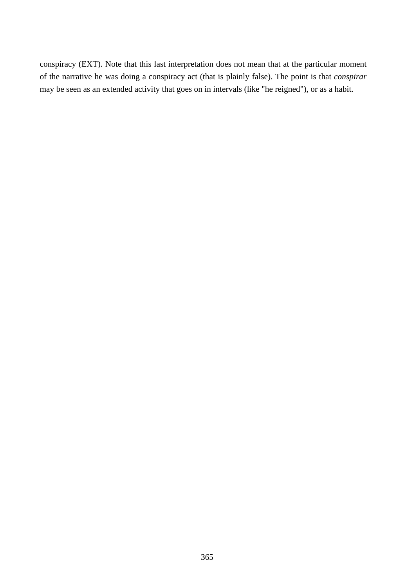conspiracy (EXT). Note that this last interpretation does not mean that at the particular moment of the narrative he was doing a conspiracy act (that is plainly false). The point is that *conspirar* may be seen as an extended activity that goes on in intervals (like "he reigned"), or as a habit.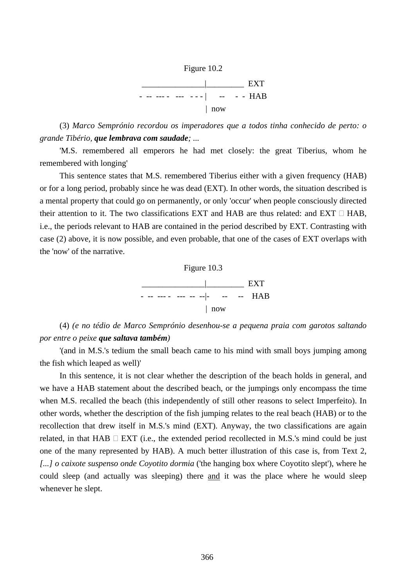

(3) *Marco Semprónio recordou os imperadores que a todos tinha conhecido de perto: o grande Tibério, que lembrava com saudade; ...*

'M.S. remembered all emperors he had met closely: the great Tiberius, whom he remembered with longing'

This sentence states that M.S. remembered Tiberius either with a given frequency (HAB) or for a long period, probably since he was dead (EXT). In other words, the situation described is a mental property that could go on permanently, or only 'occur' when people consciously directed their attention to it. The two classifications EXT and HAB are thus related: and EXT  $\Box$  HAB, i.e., the periods relevant to HAB are contained in the period described by EXT. Contrasting with case (2) above, it is now possible, and even probable, that one of the cases of EXT overlaps with the 'now' of the narrative.



(4) *(e no tédio de Marco Semprónio desenhou-se a pequena praia com garotos saltando por entre o peixe que saltava também)* 

'(and in M.S.'s tedium the small beach came to his mind with small boys jumping among the fish which leaped as well)'

In this sentence, it is not clear whether the description of the beach holds in general, and we have a HAB statement about the described beach, or the jumpings only encompass the time when M.S. recalled the beach (this independently of still other reasons to select Imperfeito). In other words, whether the description of the fish jumping relates to the real beach (HAB) or to the recollection that drew itself in M.S.'s mind (EXT). Anyway, the two classifications are again related, in that  $HAB \square EXT$  (i.e., the extended period recollected in M.S.'s mind could be just one of the many represented by HAB). A much better illustration of this case is, from Text 2, *[...] o caixote suspenso onde Coyotito dormia* ('the hanging box where Coyotito slept'), where he could sleep (and actually was sleeping) there and it was the place where he would sleep whenever he slept.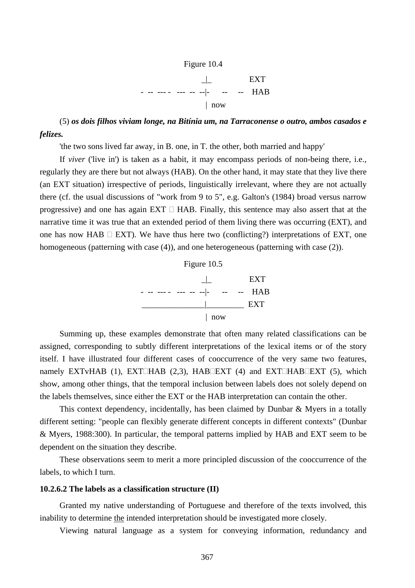

(5) *os dois filhos viviam longe, na Bitínia um, na Tarraconense o outro, ambos casados e felizes.*

'the two sons lived far away, in B. one, in T. the other, both married and happy'

If *viver* ('live in') is taken as a habit, it may encompass periods of non-being there, i.e., regularly they are there but not always (HAB). On the other hand, it may state that they live there (an EXT situation) irrespective of periods, linguistically irrelevant, where they are not actually there (cf. the usual discussions of "work from 9 to 5", e.g. Galton's (1984) broad versus narrow progressive) and one has again  $EXT \square HAB$ . Finally, this sentence may also assert that at the narrative time it was true that an extended period of them living there was occurring (EXT), and one has now HAB  $\Box$  EXT). We have thus here two (conflicting?) interpretations of EXT, one homogeneous (patterning with case (4)), and one heterogeneous (patterning with case (2)).



Summing up, these examples demonstrate that often many related classifications can be assigned, corresponding to subtly different interpretations of the lexical items or of the story itself. I have illustrated four different cases of cooccurrence of the very same two features, namely EXTvHAB (1), EXT $\Box$ HAB (2,3), HAB $\Box$ EXT (4) and EXT $\Box$ HAB $\Box$ EXT (5), which show, among other things, that the temporal inclusion between labels does not solely depend on the labels themselves, since either the EXT or the HAB interpretation can contain the other.

This context dependency, incidentally, has been claimed by Dunbar & Myers in a totally different setting: "people can flexibly generate different concepts in different contexts" (Dunbar & Myers, 1988:300). In particular, the temporal patterns implied by HAB and EXT seem to be dependent on the situation they describe.

These observations seem to merit a more principled discussion of the cooccurrence of the labels, to which I turn.

# **10.2.6.2 The labels as a classification structure (II)**

Granted my native understanding of Portuguese and therefore of the texts involved, this inability to determine the intended interpretation should be investigated more closely.

Viewing natural language as a system for conveying information, redundancy and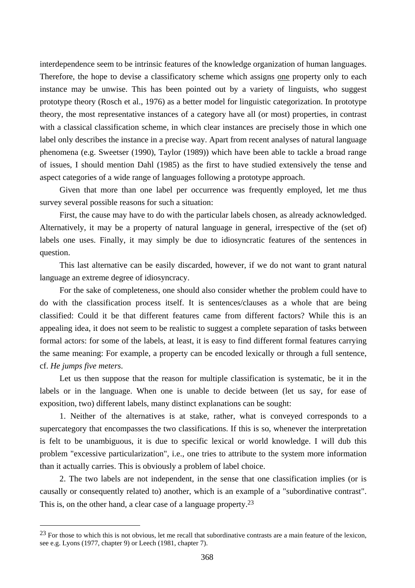interdependence seem to be intrinsic features of the knowledge organization of human languages. Therefore, the hope to devise a classificatory scheme which assigns one property only to each instance may be unwise. This has been pointed out by a variety of linguists, who suggest prototype theory (Rosch et al., 1976) as a better model for linguistic categorization. In prototype theory, the most representative instances of a category have all (or most) properties, in contrast with a classical classification scheme, in which clear instances are precisely those in which one label only describes the instance in a precise way. Apart from recent analyses of natural language phenomena (e.g. Sweetser (1990), Taylor (1989)) which have been able to tackle a broad range of issues, I should mention Dahl (1985) as the first to have studied extensively the tense and aspect categories of a wide range of languages following a prototype approach.

Given that more than one label per occurrence was frequently employed, let me thus survey several possible reasons for such a situation:

First, the cause may have to do with the particular labels chosen, as already acknowledged. Alternatively, it may be a property of natural language in general, irrespective of the (set of) labels one uses. Finally, it may simply be due to idiosyncratic features of the sentences in question.

This last alternative can be easily discarded, however, if we do not want to grant natural language an extreme degree of idiosyncracy.

For the sake of completeness, one should also consider whether the problem could have to do with the classification process itself. It is sentences/clauses as a whole that are being classified: Could it be that different features came from different factors? While this is an appealing idea, it does not seem to be realistic to suggest a complete separation of tasks between formal actors: for some of the labels, at least, it is easy to find different formal features carrying the same meaning: For example, a property can be encoded lexically or through a full sentence, cf. *He jumps five meters*.

Let us then suppose that the reason for multiple classification is systematic, be it in the labels or in the language. When one is unable to decide between (let us say, for ease of exposition, two) different labels, many distinct explanations can be sought:

1. Neither of the alternatives is at stake, rather, what is conveyed corresponds to a supercategory that encompasses the two classifications. If this is so, whenever the interpretation is felt to be unambiguous, it is due to specific lexical or world knowledge. I will dub this problem "excessive particularization", i.e., one tries to attribute to the system more information than it actually carries. This is obviously a problem of label choice.

2. The two labels are not independent, in the sense that one classification implies (or is causally or consequently related to) another, which is an example of a "subordinative contrast". This is, on the other hand, a clear case of a language property.23

<sup>&</sup>lt;sup>23</sup> For those to which this is not obvious, let me recall that subordinative contrasts are a main feature of the lexicon, see e.g. Lyons (1977, chapter 9) or Leech (1981, chapter 7).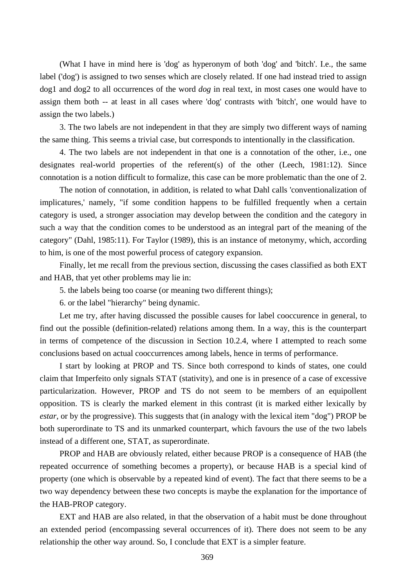(What I have in mind here is 'dog' as hyperonym of both 'dog' and 'bitch'. I.e., the same label ('dog') is assigned to two senses which are closely related. If one had instead tried to assign dog1 and dog2 to all occurrences of the word *dog* in real text, in most cases one would have to assign them both -- at least in all cases where 'dog' contrasts with 'bitch', one would have to assign the two labels.)

3. The two labels are not independent in that they are simply two different ways of naming the same thing. This seems a trivial case, but corresponds to intentionally in the classification.

4. The two labels are not independent in that one is a connotation of the other, i.e., one designates real-world properties of the referent(s) of the other (Leech, 1981:12). Since connotation is a notion difficult to formalize, this case can be more problematic than the one of 2.

The notion of connotation, in addition, is related to what Dahl calls 'conventionalization of implicatures,' namely, "if some condition happens to be fulfilled frequently when a certain category is used, a stronger association may develop between the condition and the category in such a way that the condition comes to be understood as an integral part of the meaning of the category" (Dahl, 1985:11). For Taylor (1989), this is an instance of metonymy, which, according to him, is one of the most powerful process of category expansion.

Finally, let me recall from the previous section, discussing the cases classified as both EXT and HAB, that yet other problems may lie in:

5. the labels being too coarse (or meaning two different things);

6. or the label "hierarchy" being dynamic.

Let me try, after having discussed the possible causes for label cooccurence in general, to find out the possible (definition-related) relations among them. In a way, this is the counterpart in terms of competence of the discussion in Section 10.2.4, where I attempted to reach some conclusions based on actual cooccurrences among labels, hence in terms of performance.

I start by looking at PROP and TS. Since both correspond to kinds of states, one could claim that Imperfeito only signals STAT (stativity), and one is in presence of a case of excessive particularization. However, PROP and TS do not seem to be members of an equipollent opposition. TS is clearly the marked element in this contrast (it is marked either lexically by *estar*, or by the progressive). This suggests that (in analogy with the lexical item "dog") PROP be both superordinate to TS and its unmarked counterpart, which favours the use of the two labels instead of a different one, STAT, as superordinate.

PROP and HAB are obviously related, either because PROP is a consequence of HAB (the repeated occurrence of something becomes a property), or because HAB is a special kind of property (one which is observable by a repeated kind of event). The fact that there seems to be a two way dependency between these two concepts is maybe the explanation for the importance of the HAB-PROP category.

EXT and HAB are also related, in that the observation of a habit must be done throughout an extended period (encompassing several occurrences of it). There does not seem to be any relationship the other way around. So, I conclude that EXT is a simpler feature.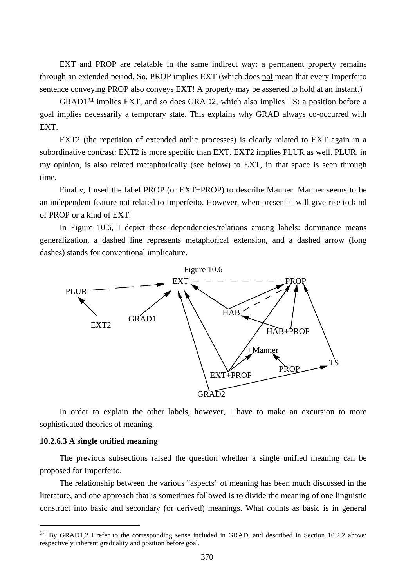EXT and PROP are relatable in the same indirect way: a permanent property remains through an extended period. So, PROP implies EXT (which does not mean that every Imperfeito sentence conveying PROP also conveys EXT! A property may be asserted to hold at an instant.)

GRAD124 implies EXT, and so does GRAD2, which also implies TS: a position before a goal implies necessarily a temporary state. This explains why GRAD always co-occurred with EXT.

EXT2 (the repetition of extended atelic processes) is clearly related to EXT again in a subordinative contrast: EXT2 is more specific than EXT. EXT2 implies PLUR as well. PLUR, in my opinion, is also related metaphorically (see below) to EXT, in that space is seen through time.

Finally, I used the label PROP (or EXT+PROP) to describe Manner. Manner seems to be an independent feature not related to Imperfeito. However, when present it will give rise to kind of PROP or a kind of EXT.

In Figure 10.6, I depict these dependencies/relations among labels: dominance means generalization, a dashed line represents metaphorical extension, and a dashed arrow (long dashes) stands for conventional implicature.



In order to explain the other labels, however, I have to make an excursion to more sophisticated theories of meaning.

#### **10.2.6.3 A single unified meaning**

 $\overline{a}$ 

The previous subsections raised the question whether a single unified meaning can be proposed for Imperfeito.

The relationship between the various "aspects" of meaning has been much discussed in the literature, and one approach that is sometimes followed is to divide the meaning of one linguistic construct into basic and secondary (or derived) meanings. What counts as basic is in general

<sup>&</sup>lt;sup>24</sup> By GRAD1,2 I refer to the corresponding sense included in GRAD, and described in Section 10.2.2 above: respectively inherent graduality and position before goal.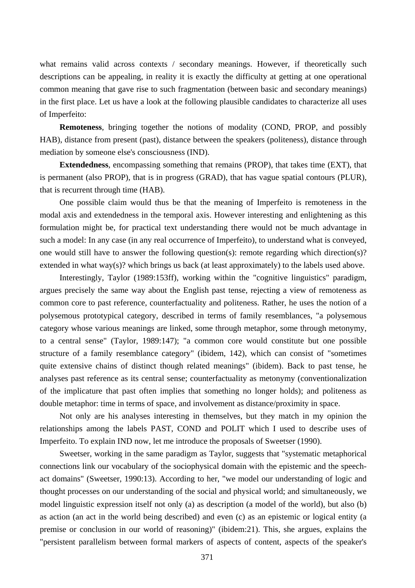what remains valid across contexts / secondary meanings. However, if theoretically such descriptions can be appealing, in reality it is exactly the difficulty at getting at one operational common meaning that gave rise to such fragmentation (between basic and secondary meanings) in the first place. Let us have a look at the following plausible candidates to characterize all uses of Imperfeito:

**Remoteness**, bringing together the notions of modality (COND, PROP, and possibly HAB), distance from present (past), distance between the speakers (politeness), distance through mediation by someone else's consciousness (IND).

**Extendedness**, encompassing something that remains (PROP), that takes time (EXT), that is permanent (also PROP), that is in progress (GRAD), that has vague spatial contours (PLUR), that is recurrent through time (HAB).

One possible claim would thus be that the meaning of Imperfeito is remoteness in the modal axis and extendedness in the temporal axis. However interesting and enlightening as this formulation might be, for practical text understanding there would not be much advantage in such a model: In any case (in any real occurrence of Imperfeito), to understand what is conveyed, one would still have to answer the following question(s): remote regarding which direction(s)? extended in what way(s)? which brings us back (at least approximately) to the labels used above.

Interestingly, Taylor (1989:153ff), working within the "cognitive linguistics" paradigm, argues precisely the same way about the English past tense, rejecting a view of remoteness as common core to past reference, counterfactuality and politeness. Rather, he uses the notion of a polysemous prototypical category, described in terms of family resemblances, "a polysemous category whose various meanings are linked, some through metaphor, some through metonymy, to a central sense" (Taylor, 1989:147); "a common core would constitute but one possible structure of a family resemblance category" (ibidem, 142), which can consist of "sometimes quite extensive chains of distinct though related meanings" (ibidem). Back to past tense, he analyses past reference as its central sense; counterfactuality as metonymy (conventionalization of the implicature that past often implies that something no longer holds); and politeness as double metaphor: time in terms of space, and involvement as distance/proximity in space.

Not only are his analyses interesting in themselves, but they match in my opinion the relationships among the labels PAST, COND and POLIT which I used to describe uses of Imperfeito. To explain IND now, let me introduce the proposals of Sweetser (1990).

Sweetser, working in the same paradigm as Taylor, suggests that "systematic metaphorical connections link our vocabulary of the sociophysical domain with the epistemic and the speechact domains" (Sweetser, 1990:13). According to her, "we model our understanding of logic and thought processes on our understanding of the social and physical world; and simultaneously, we model linguistic expression itself not only (a) as description (a model of the world), but also (b) as action (an act in the world being described) and even (c) as an epistemic or logical entity (a premise or conclusion in our world of reasoning)" (ibidem:21). This, she argues, explains the "persistent parallelism between formal markers of aspects of content, aspects of the speaker's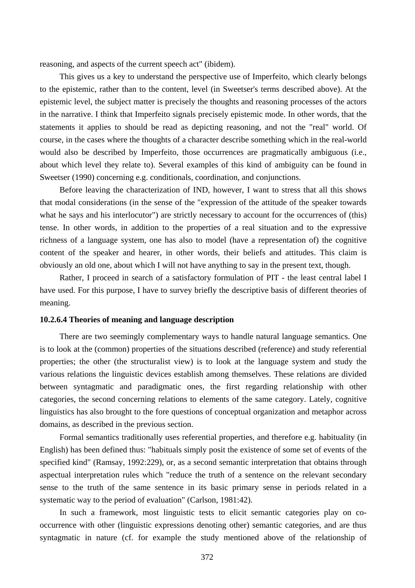reasoning, and aspects of the current speech act" (ibidem).

This gives us a key to understand the perspective use of Imperfeito, which clearly belongs to the epistemic, rather than to the content, level (in Sweetser's terms described above). At the epistemic level, the subject matter is precisely the thoughts and reasoning processes of the actors in the narrative. I think that Imperfeito signals precisely epistemic mode. In other words, that the statements it applies to should be read as depicting reasoning, and not the "real" world. Of course, in the cases where the thoughts of a character describe something which in the real-world would also be described by Imperfeito, those occurrences are pragmatically ambiguous (i.e., about which level they relate to). Several examples of this kind of ambiguity can be found in Sweetser (1990) concerning e.g. conditionals, coordination, and conjunctions.

Before leaving the characterization of IND, however, I want to stress that all this shows that modal considerations (in the sense of the "expression of the attitude of the speaker towards what he says and his interlocutor") are strictly necessary to account for the occurrences of (this) tense. In other words, in addition to the properties of a real situation and to the expressive richness of a language system, one has also to model (have a representation of) the cognitive content of the speaker and hearer, in other words, their beliefs and attitudes. This claim is obviously an old one, about which I will not have anything to say in the present text, though.

Rather, I proceed in search of a satisfactory formulation of PIT - the least central label I have used. For this purpose, I have to survey briefly the descriptive basis of different theories of meaning.

#### **10.2.6.4 Theories of meaning and language description**

There are two seemingly complementary ways to handle natural language semantics. One is to look at the (common) properties of the situations described (reference) and study referential properties; the other (the structuralist view) is to look at the language system and study the various relations the linguistic devices establish among themselves. These relations are divided between syntagmatic and paradigmatic ones, the first regarding relationship with other categories, the second concerning relations to elements of the same category. Lately, cognitive linguistics has also brought to the fore questions of conceptual organization and metaphor across domains, as described in the previous section.

Formal semantics traditionally uses referential properties, and therefore e.g. habituality (in English) has been defined thus: "habituals simply posit the existence of some set of events of the specified kind" (Ramsay, 1992:229), or, as a second semantic interpretation that obtains through aspectual interpretation rules which "reduce the truth of a sentence on the relevant secondary sense to the truth of the same sentence in its basic primary sense in periods related in a systematic way to the period of evaluation" (Carlson, 1981:42).

In such a framework, most linguistic tests to elicit semantic categories play on cooccurrence with other (linguistic expressions denoting other) semantic categories, and are thus syntagmatic in nature (cf. for example the study mentioned above of the relationship of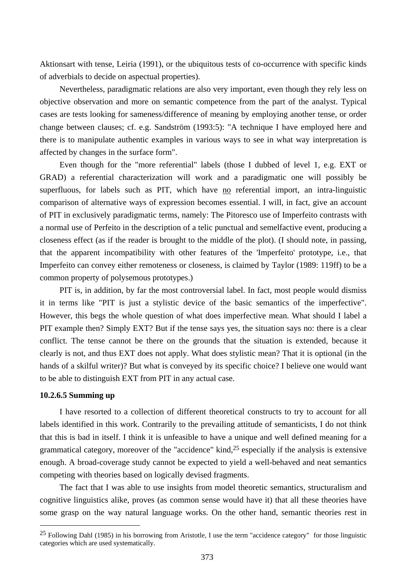Aktionsart with tense, Leiria (1991), or the ubiquitous tests of co-occurrence with specific kinds of adverbials to decide on aspectual properties).

Nevertheless, paradigmatic relations are also very important, even though they rely less on objective observation and more on semantic competence from the part of the analyst. Typical cases are tests looking for sameness/difference of meaning by employing another tense, or order change between clauses; cf. e.g. Sandström (1993:5): "A technique I have employed here and there is to manipulate authentic examples in various ways to see in what way interpretation is affected by changes in the surface form".

Even though for the "more referential" labels (those I dubbed of level 1, e.g. EXT or GRAD) a referential characterization will work and a paradigmatic one will possibly be superfluous, for labels such as PIT, which have no referential import, an intra-linguistic comparison of alternative ways of expression becomes essential. I will, in fact, give an account of PIT in exclusively paradigmatic terms, namely: The Pitoresco use of Imperfeito contrasts with a normal use of Perfeito in the description of a telic punctual and semelfactive event, producing a closeness effect (as if the reader is brought to the middle of the plot). (I should note, in passing, that the apparent incompatibility with other features of the 'Imperfeito' prototype, i.e., that Imperfeito can convey either remoteness or closeness, is claimed by Taylor (1989: 119ff) to be a common property of polysemous prototypes.)

PIT is, in addition, by far the most controversial label. In fact, most people would dismiss it in terms like "PIT is just a stylistic device of the basic semantics of the imperfective". However, this begs the whole question of what does imperfective mean. What should I label a PIT example then? Simply EXT? But if the tense says yes, the situation says no: there is a clear conflict. The tense cannot be there on the grounds that the situation is extended, because it clearly is not, and thus EXT does not apply. What does stylistic mean? That it is optional (in the hands of a skilful writer)? But what is conveyed by its specific choice? I believe one would want to be able to distinguish EXT from PIT in any actual case.

## **10.2.6.5 Summing up**

 $\overline{a}$ 

I have resorted to a collection of different theoretical constructs to try to account for all labels identified in this work. Contrarily to the prevailing attitude of semanticists, I do not think that this is bad in itself. I think it is unfeasible to have a unique and well defined meaning for a grammatical category, moreover of the "accidence" kind,25 especially if the analysis is extensive enough. A broad-coverage study cannot be expected to yield a well-behaved and neat semantics competing with theories based on logically devised fragments.

The fact that I was able to use insights from model theoretic semantics, structuralism and cognitive linguistics alike, proves (as common sense would have it) that all these theories have some grasp on the way natural language works. On the other hand, semantic theories rest in

<sup>25</sup> Following Dahl (1985) in his borrowing from Aristotle, I use the term "accidence category" for those linguistic categories which are used systematically.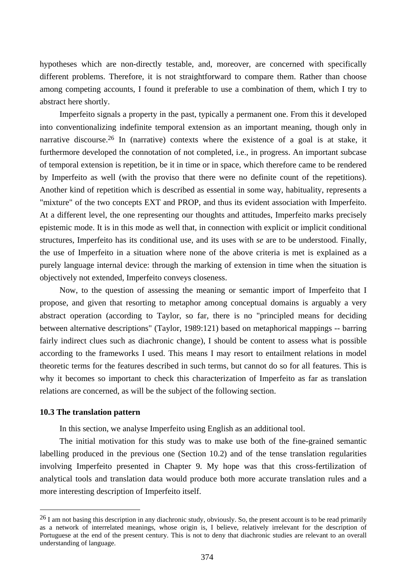hypotheses which are non-directly testable, and, moreover, are concerned with specifically different problems. Therefore, it is not straightforward to compare them. Rather than choose among competing accounts, I found it preferable to use a combination of them, which I try to abstract here shortly.

Imperfeito signals a property in the past, typically a permanent one. From this it developed into conventionalizing indefinite temporal extension as an important meaning, though only in narrative discourse.<sup>26</sup> In (narrative) contexts where the existence of a goal is at stake, it furthermore developed the connotation of not completed, i.e., in progress. An important subcase of temporal extension is repetition, be it in time or in space, which therefore came to be rendered by Imperfeito as well (with the proviso that there were no definite count of the repetitions). Another kind of repetition which is described as essential in some way, habituality, represents a "mixture" of the two concepts EXT and PROP, and thus its evident association with Imperfeito. At a different level, the one representing our thoughts and attitudes, Imperfeito marks precisely epistemic mode. It is in this mode as well that, in connection with explicit or implicit conditional structures, Imperfeito has its conditional use, and its uses with *se* are to be understood. Finally, the use of Imperfeito in a situation where none of the above criteria is met is explained as a purely language internal device: through the marking of extension in time when the situation is objectively not extended, Imperfeito conveys closeness.

Now, to the question of assessing the meaning or semantic import of Imperfeito that I propose, and given that resorting to metaphor among conceptual domains is arguably a very abstract operation (according to Taylor, so far, there is no "principled means for deciding between alternative descriptions" (Taylor, 1989:121) based on metaphorical mappings -- barring fairly indirect clues such as diachronic change), I should be content to assess what is possible according to the frameworks I used. This means I may resort to entailment relations in model theoretic terms for the features described in such terms, but cannot do so for all features. This is why it becomes so important to check this characterization of Imperfeito as far as translation relations are concerned, as will be the subject of the following section.

#### **10.3 The translation pattern**

 $\overline{a}$ 

In this section, we analyse Imperfeito using English as an additional tool.

The initial motivation for this study was to make use both of the fine-grained semantic labelling produced in the previous one (Section 10.2) and of the tense translation regularities involving Imperfeito presented in Chapter 9. My hope was that this cross-fertilization of analytical tools and translation data would produce both more accurate translation rules and a more interesting description of Imperfeito itself.

 $^{26}$  I am not basing this description in any diachronic study, obviously. So, the present account is to be read primarily as a network of interrelated meanings, whose origin is, I believe, relatively irrelevant for the description of Portuguese at the end of the present century. This is not to deny that diachronic studies are relevant to an overall understanding of language.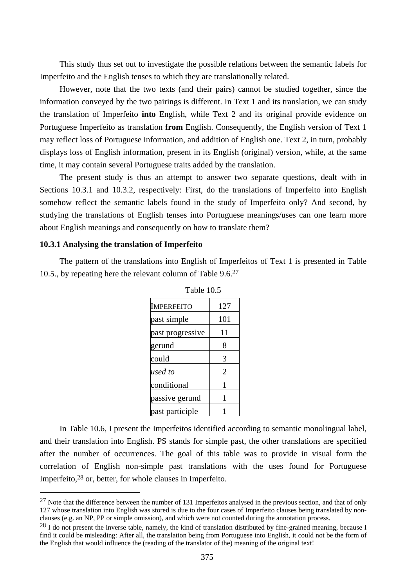This study thus set out to investigate the possible relations between the semantic labels for Imperfeito and the English tenses to which they are translationally related.

However, note that the two texts (and their pairs) cannot be studied together, since the information conveyed by the two pairings is different. In Text 1 and its translation, we can study the translation of Imperfeito **into** English, while Text 2 and its original provide evidence on Portuguese Imperfeito as translation **from** English. Consequently, the English version of Text 1 may reflect loss of Portuguese information, and addition of English one. Text 2, in turn, probably displays loss of English information, present in its English (original) version, while, at the same time, it may contain several Portuguese traits added by the translation.

The present study is thus an attempt to answer two separate questions, dealt with in Sections 10.3.1 and 10.3.2, respectively: First, do the translations of Imperfeito into English somehow reflect the semantic labels found in the study of Imperfeito only? And second, by studying the translations of English tenses into Portuguese meanings/uses can one learn more about English meanings and consequently on how to translate them?

# **10.3.1 Analysing the translation of Imperfeito**

 $\overline{a}$ 

The pattern of the translations into English of Imperfeitos of Text 1 is presented in Table 10.5., by repeating here the relevant column of Table 9.6.<sup>27</sup>

| 1 UUIV 19.J       |                |
|-------------------|----------------|
| <b>IMPERFEITO</b> | 127            |
| past simple       | 101            |
| past progressive  | 11             |
| gerund            | 8              |
| could             | 3              |
| used to           | $\overline{2}$ |
| conditional       | 1              |
| passive gerund    | 1              |
| past participle   |                |



In Table 10.6, I present the Imperfeitos identified according to semantic monolingual label, and their translation into English. PS stands for simple past, the other translations are specified after the number of occurrences. The goal of this table was to provide in visual form the correlation of English non-simple past translations with the uses found for Portuguese Imperfeito,28 or, better, for whole clauses in Imperfeito.

 $^{27}$  Note that the difference between the number of 131 Imperfeitos analysed in the previous section, and that of only 127 whose translation into English was stored is due to the four cases of Imperfeito clauses being translated by nonclauses (e.g. an NP, PP or simple omission), and which were not counted during the annotation process.

 $^{28}$  I do not present the inverse table, namely, the kind of translation distributed by fine-grained meaning, because I find it could be misleading: After all, the translation being from Portuguese into English, it could not be the form of the English that would influence the (reading of the translator of the) meaning of the original text!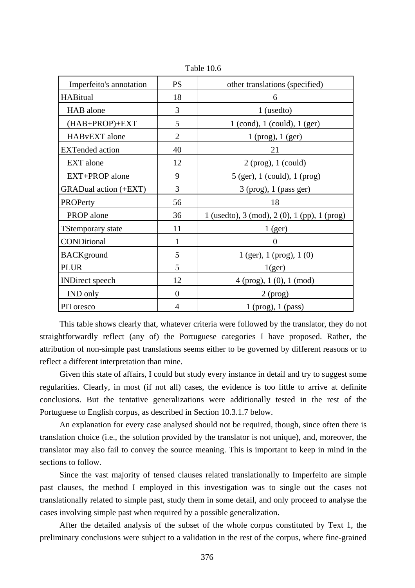| Imperfeito's annotation  | <b>PS</b>      | other translations (specified)               |
|--------------------------|----------------|----------------------------------------------|
| <b>HABitual</b>          | 18             | 6                                            |
| HAB alone                | 3              | $1$ (used to)                                |
| (HAB+PROP)+EXT           | 5              | $1$ (cond), $1$ (could), $1$ (ger)           |
| HABvEXT alone            | $\overline{2}$ | $1$ (prog), $1$ (ger)                        |
| <b>EXTended</b> action   | 40             | 21                                           |
| EXT alone                | 12             | $2$ (prog), 1 (could)                        |
| EXT+PROP alone           | 9              | 5 (ger), 1 (could), 1 (prog)                 |
| GRADual action (+EXT)    | 3              | $3$ (prog), 1 (pass ger)                     |
| PROPerty                 | 56             | 18                                           |
| PROP alone               | 36             | 1 (usedto), 3 (mod), 2 (0), 1 (pp), 1 (prog) |
| <b>TStemporary state</b> | 11             | 1 <sub>(ger)</sub>                           |
| CONDitional              | $\mathbf{1}$   | ∩                                            |
| <b>BACK</b> ground       | 5              | $1$ (ger), $1$ (prog), $1$ (0)               |
| <b>PLUR</b>              | 5              | 1(ger)                                       |
| <b>INDirect</b> speech   | 12             | $4$ (prog), $1$ (0), $1$ (mod)               |
| <b>IND</b> only          | $\theta$       | $2$ (prog)                                   |
| PIToresco                | 4              | $1$ (prog), $1$ (pass)                       |

Table 10.6

This table shows clearly that, whatever criteria were followed by the translator, they do not straightforwardly reflect (any of) the Portuguese categories I have proposed. Rather, the attribution of non-simple past translations seems either to be governed by different reasons or to reflect a different interpretation than mine.

Given this state of affairs, I could but study every instance in detail and try to suggest some regularities. Clearly, in most (if not all) cases, the evidence is too little to arrive at definite conclusions. But the tentative generalizations were additionally tested in the rest of the Portuguese to English corpus, as described in Section 10.3.1.7 below.

An explanation for every case analysed should not be required, though, since often there is translation choice (i.e., the solution provided by the translator is not unique), and, moreover, the translator may also fail to convey the source meaning. This is important to keep in mind in the sections to follow.

Since the vast majority of tensed clauses related translationally to Imperfeito are simple past clauses, the method I employed in this investigation was to single out the cases not translationally related to simple past, study them in some detail, and only proceed to analyse the cases involving simple past when required by a possible generalization.

After the detailed analysis of the subset of the whole corpus constituted by Text 1, the preliminary conclusions were subject to a validation in the rest of the corpus, where fine-grained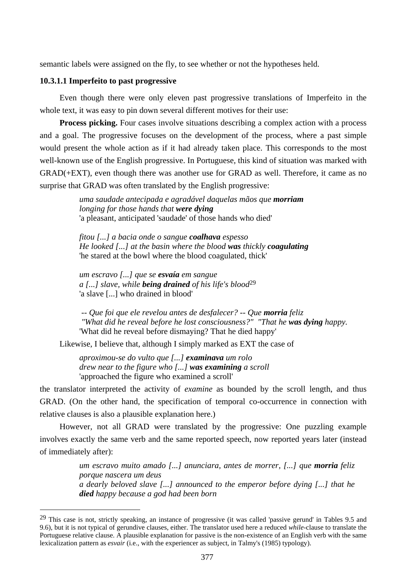semantic labels were assigned on the fly, to see whether or not the hypotheses held.

#### **10.3.1.1 Imperfeito to past progressive**

 $\overline{a}$ 

Even though there were only eleven past progressive translations of Imperfeito in the whole text, it was easy to pin down several different motives for their use:

**Process picking.** Four cases involve situations describing a complex action with a process and a goal. The progressive focuses on the development of the process, where a past simple would present the whole action as if it had already taken place. This corresponds to the most well-known use of the English progressive. In Portuguese, this kind of situation was marked with GRAD(+EXT), even though there was another use for GRAD as well. Therefore, it came as no surprise that GRAD was often translated by the English progressive:

> *uma saudade antecipada e agradável daquelas mãos que morriam longing for those hands that were dying* 'a pleasant, anticipated 'saudade' of those hands who died'

*fitou [...] a bacia onde o sangue coalhava espesso He looked [...] at the basin where the blood was thickly coagulating*  'he stared at the bowl where the blood coagulated, thick'

*um escravo [...] que se esvaía em sangue a [...] slave, while being drained of his life's blood*29 'a slave [...] who drained in blood'

 *-- Que foi que ele revelou antes de desfalecer? -- Que morria feliz "What did he reveal before he lost consciousness?" "That he was dying happy.*  'What did he reveal before dismaying? That he died happy'

Likewise, I believe that, although I simply marked as EXT the case of

*aproximou-se do vulto que [...] examinava um rolo drew near to the figure who [...] was examining a scroll*  'approached the figure who examined a scroll'

the translator interpreted the activity of *examine* as bounded by the scroll length, and thus GRAD. (On the other hand, the specification of temporal co-occurrence in connection with relative clauses is also a plausible explanation here.)

However, not all GRAD were translated by the progressive: One puzzling example involves exactly the same verb and the same reported speech, now reported years later (instead of immediately after):

> *um escravo muito amado [...] anunciara, antes de morrer, [...] que morria feliz porque nascera um deus a dearly beloved slave [...] announced to the emperor before dying [...] that he died happy because a god had been born*

 $29$  This case is not, strictly speaking, an instance of progressive (it was called 'passive gerund' in Tables 9.5 and 9.6), but it is not typical of gerundive clauses, either. The translator used here a reduced *while*-clause to translate the Portuguese relative clause. A plausible explanation for passive is the non-existence of an English verb with the same lexicalization pattern as *esvair* (i.e., with the experiencer as subject, in Talmy's (1985) typology).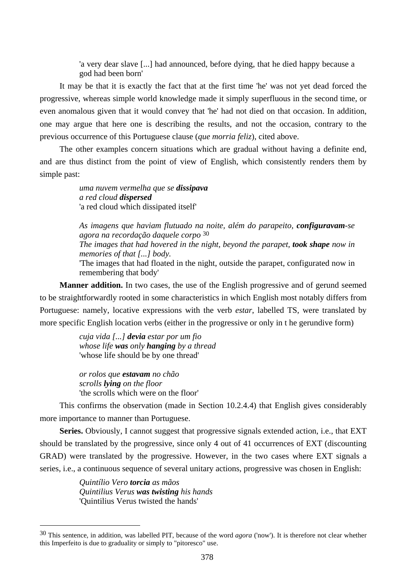'a very dear slave [...] had announced, before dying, that he died happy because a god had been born'

It may be that it is exactly the fact that at the first time 'he' was not yet dead forced the progressive, whereas simple world knowledge made it simply superfluous in the second time, or even anomalous given that it would convey that 'he' had not died on that occasion. In addition, one may argue that here one is describing the results, and not the occasion, contrary to the previous occurrence of this Portuguese clause (*que morria feliz*), cited above.

The other examples concern situations which are gradual without having a definite end, and are thus distinct from the point of view of English, which consistently renders them by simple past:

> *uma nuvem vermelha que se dissipava a red cloud dispersed*  'a red cloud which dissipated itself'

*As imagens que haviam flutuado na noite, além do parapeito, configuravam-se agora na recordação daquele corpo* 30 *The images that had hovered in the night, beyond the parapet, took shape now in memories of that [...] body.*

'The images that had floated in the night, outside the parapet, configurated now in remembering that body'

**Manner addition.** In two cases, the use of the English progressive and of gerund seemed to be straightforwardly rooted in some characteristics in which English most notably differs from Portuguese: namely, locative expressions with the verb *estar*, labelled TS, were translated by more specific English location verbs (either in the progressive or only in t he gerundive form)

> *cuja vida [...] devia estar por um fio whose life was only hanging by a thread*  'whose life should be by one thread'

*or rolos que estavam no chão scrolls lying on the floor*  'the scrolls which were on the floor'

This confirms the observation (made in Section 10.2.4.4) that English gives considerably more importance to manner than Portuguese.

**Series.** Obviously, I cannot suggest that progressive signals extended action, i.e., that EXT should be translated by the progressive, since only 4 out of 41 occurrences of EXT (discounting GRAD) were translated by the progressive. However, in the two cases where EXT signals a series, i.e., a continuous sequence of several unitary actions, progressive was chosen in English:

> *Quintílio Vero torcia as mãos Quintilius Verus was twisting his hands*  'Quintilius Verus twisted the hands'

<sup>30</sup> This sentence, in addition, was labelled PIT, because of the word *agora* ('now'). It is therefore not clear whether this Imperfeito is due to graduality or simply to "pitoresco" use.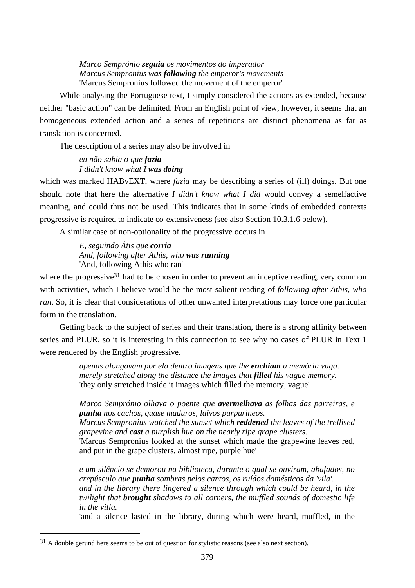*Marco Semprónio seguia os movimentos do imperador Marcus Sempronius was following the emperor's movements*  'Marcus Sempronius followed the movement of the emperor'

While analysing the Portuguese text, I simply considered the actions as extended, because neither "basic action" can be delimited. From an English point of view, however, it seems that an homogeneous extended action and a series of repetitions are distinct phenomena as far as translation is concerned.

The description of a series may also be involved in

*eu não sabia o que fazia I didn't know what I was doing* 

which was marked HABvEXT, where *fazia* may be describing a series of (ill) doings. But one should note that here the alternative *I didn't know what I did* would convey a semelfactive meaning, and could thus not be used. This indicates that in some kinds of embedded contexts progressive is required to indicate co-extensiveness (see also Section 10.3.1.6 below).

A similar case of non-optionality of the progressive occurs in

*E, seguindo Átis que corria And, following after Athis, who was running*  'And, following Athis who ran'

where the progressive<sup>31</sup> had to be chosen in order to prevent an inceptive reading, very common with activities, which I believe would be the most salient reading of *following after Athis, who ran*. So, it is clear that considerations of other unwanted interpretations may force one particular form in the translation.

Getting back to the subject of series and their translation, there is a strong affinity between series and PLUR, so it is interesting in this connection to see why no cases of PLUR in Text 1 were rendered by the English progressive.

> *apenas alongavam por ela dentro imagens que lhe enchiam a memória vaga. merely stretched along the distance the images that filled his vague memory.*  'they only stretched inside it images which filled the memory, vague'

*Marco Semprónio olhava o poente que avermelhava as folhas das parreiras, e punha nos cachos, quase maduros, laivos purpuríneos.* 

*Marcus Sempronius watched the sunset which reddened the leaves of the trellised grapevine and cast a purplish hue on the nearly ripe grape clusters.* 

'Marcus Sempronius looked at the sunset which made the grapewine leaves red, and put in the grape clusters, almost ripe, purple hue'

*e um silêncio se demorou na biblioteca, durante o qual se ouviram, abafados, no crepúsculo que punha sombras pelos cantos, os ruídos domésticos da 'vila'. and in the library there lingered a silence through which could be heard, in the twilight that brought shadows to all corners, the muffled sounds of domestic life in the villa.* 

'and a silence lasted in the library, during which were heard, muffled, in the

<sup>&</sup>lt;sup>31</sup> A double gerund here seems to be out of question for stylistic reasons (see also next section).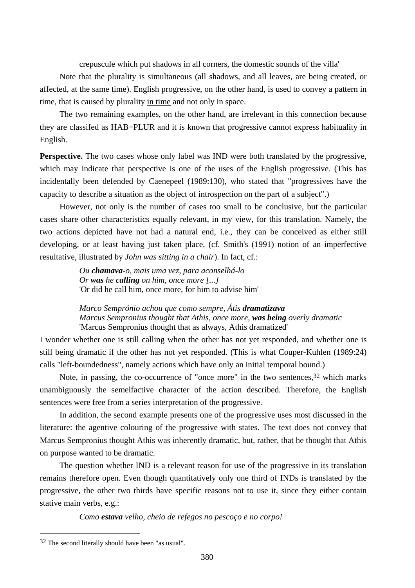crepuscule which put shadows in all corners, the domestic sounds of the villa'

Note that the plurality is simultaneous (all shadows, and all leaves, are being created, or affected, at the same time). English progressive, on the other hand, is used to convey a pattern in time, that is caused by plurality in time and not only in space.

The two remaining examples, on the other hand, are irrelevant in this connection because they are classifed as HAB+PLUR and it is known that progressive cannot express habituality in English.

**Perspective.** The two cases whose only label was IND were both translated by the progressive, which may indicate that perspective is one of the uses of the English progressive. (This has incidentally been defended by Caenepeel (1989:130), who stated that "progressives have the capacity to describe a situation as the object of introspection on the part of a subject".)

However, not only is the number of cases too small to be conclusive, but the particular cases share other characteristics equally relevant, in my view, for this translation. Namely, the two actions depicted have not had a natural end, i.e., they can be conceived as either still developing, or at least having just taken place, (cf. Smith's (1991) notion of an imperfective resultative, illustrated by *John was sitting in a chair*). In fact, cf.:

> *Ou chamava-o, mais uma vez, para aconselhá-lo Or was he calling on him, once more [...]*  'Or did he call him, once more, for him to advise him'

*Marco Semprónio achou que como sempre, Átis dramatizava Marcus Sempronius thought that Athis, once more, was being overly dramatic*  'Marcus Sempronius thought that as always, Athis dramatized'

I wonder whether one is still calling when the other has not yet responded, and whether one is still being dramatic if the other has not yet responded. (This is what Couper-Kuhlen (1989:24) calls "left-boundedness", namely actions which have only an initial temporal bound.)

Note, in passing, the co-occurrence of "once more" in the two sentences,  $32$  which marks unambiguously the semelfactive character of the action described. Therefore, the English sentences were free from a series interpretation of the progressive.

In addition, the second example presents one of the progressive uses most discussed in the literature: the agentive colouring of the progressive with states. The text does not convey that Marcus Sempronius thought Athis was inherently dramatic, but, rather, that he thought that Athis on purpose wanted to be dramatic.

The question whether IND is a relevant reason for use of the progressive in its translation remains therefore open. Even though quantitatively only one third of INDs is translated by the progressive, the other two thirds have specific reasons not to use it, since they either contain stative main verbs, e.g.:

*Como estava velho, cheio de refegos no pescoço e no corpo!* 

<sup>32</sup> The second literally should have been "as usual".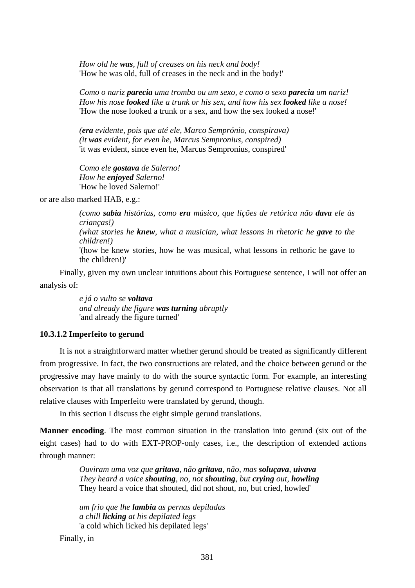*How old he was, full of creases on his neck and body!*  'How he was old, full of creases in the neck and in the body!'

*Como o nariz parecia uma tromba ou um sexo, e como o sexo parecia um nariz! How his nose looked like a trunk or his sex, and how his sex looked like a nose!*  'How the nose looked a trunk or a sex, and how the sex looked a nose!'

*(era evidente, pois que até ele, Marco Semprónio, conspirava) (it was evident, for even he, Marcus Sempronius, conspired)*  'it was evident, since even he, Marcus Sempronius, conspired'

*Como ele gostava de Salerno! How he enjoyed Salerno!*  'How he loved Salerno!'

or are also marked HAB, e.g.:

*(como sabia histórias, como era músico, que lições de retórica não dava ele às crianças!) (what stories he knew, what a musician, what lessons in rhetoric he gave to the children!)*  '(how he knew stories, how he was musical, what lessons in rethoric he gave to the children!)'

Finally, given my own unclear intuitions about this Portuguese sentence, I will not offer an analysis of:

> *e já o vulto se voltava and already the figure was turning abruptly*  'and already the figure turned'

## **10.3.1.2 Imperfeito to gerund**

It is not a straightforward matter whether gerund should be treated as significantly different from progressive. In fact, the two constructions are related, and the choice between gerund or the progressive may have mainly to do with the source syntactic form. For example, an interesting observation is that all translations by gerund correspond to Portuguese relative clauses. Not all relative clauses with Imperfeito were translated by gerund, though.

In this section I discuss the eight simple gerund translations.

**Manner encoding**. The most common situation in the translation into gerund (six out of the eight cases) had to do with EXT-PROP-only cases, i.e., the description of extended actions through manner:

> *Ouviram uma voz que gritava, não gritava, não, mas soluçava, uivava They heard a voice shouting, no, not shouting, but crying out, howling*  They heard a voice that shouted, did not shout, no, but cried, howled'

*um frio que lhe lambia as pernas depiladas a chill licking at his depilated legs*  'a cold which licked his depilated legs'

Finally, in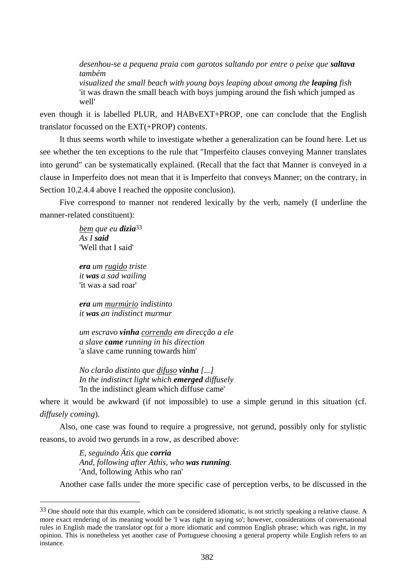*desenhou-se a pequena praia com garotos saltando por entre o peixe que saltava também* 

*visualized the small beach with young boys leaping about among the leaping fish*  'it was drawn the small beach with boys jumping around the fish which jumped as well'

even though it is labelled PLUR, and HABvEXT+PROP, one can conclude that the English translator focussed on the EXT(+PROP) contents.

It thus seems worth while to investigate whether a generalization can be found here. Let us see whether the ten exceptions to the rule that "Imperfeito clauses conveying Manner translates into gerund" can be systematically explained. (Recall that the fact that Manner is conveyed in a clause in Imperfeito does not mean that it is Imperfeito that conveys Manner; on the contrary, in Section 10.2.4.4 above I reached the opposite conclusion).

Five correspond to manner not rendered lexically by the verb, namely (I underline the manner-related constituent):

> *bem que eu dizia*33 *As I said*  'Well that I said'

*era um rugido triste it was a sad wailing*  'it was a sad roar'

 $\overline{a}$ 

*era um murmúrio indistinto it was an indistinct murmur* 

*um escravo vinha correndo em direcção a ele a slave came running in his direction*  'a slave came running towards him'

*No clarão distinto que difuso vinha [...] In the indistinct light which emerged diffusely*  'In the indistinct gleam which diffuse came'

where it would be awkward (if not impossible) to use a simple gerund in this situation (cf. *diffusely coming*).

Also, one case was found to require a progressive, not gerund, possibly only for stylistic reasons, to avoid two gerunds in a row, as described above:

> *E, seguindo Átis que corria And, following after Athis, who was running.*  'And, following Athis who ran'

Another case falls under the more specific case of perception verbs, to be discussed in the

 $33$  One should note that this example, which can be considered idiomatic, is not strictly speaking a relative clause. A more exact rendering of its meaning would be 'I was right in saying so'; however, considerations of conversational rules in English made the translator opt for a more idiomatic and common English phrase; which was right, in my opinion. This is nonetheless yet another case of Portuguese choosing a general property while English refers to an instance.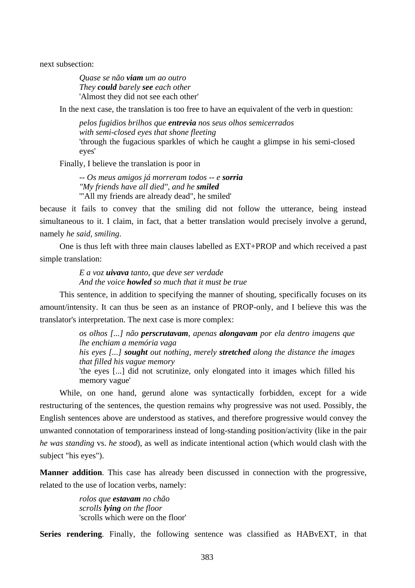next subsection:

*Quase se não viam um ao outro They could barely see each other*  'Almost they did not see each other'

In the next case, the translation is too free to have an equivalent of the verb in question:

*pelos fugidios brilhos que entrevia nos seus olhos semicerrados with semi-closed eyes that shone fleeting*  'through the fugacious sparkles of which he caught a glimpse in his semi-closed eyes'

Finally, I believe the translation is poor in

*-- Os meus amigos já morreram todos -- e sorria "My friends have all died", and he smiled*  '"All my friends are already dead", he smiled'

because it fails to convey that the smiling did not follow the utterance, being instead simultaneous to it. I claim, in fact, that a better translation would precisely involve a gerund, namely *he said, smiling*.

One is thus left with three main clauses labelled as EXT+PROP and which received a past simple translation:

> *E a voz uivava tanto, que deve ser verdade And the voice howled so much that it must be true*

This sentence, in addition to specifying the manner of shouting, specifically focuses on its amount/intensity. It can thus be seen as an instance of PROP-only, and I believe this was the translator's interpretation. The next case is more complex:

> *os olhos [...] não perscrutavam, apenas alongavam por ela dentro imagens que lhe enchiam a memória vaga his eyes [...] sought out nothing, merely stretched along the distance the images that filled his vague memory*  'the eyes [...] did not scrutinize, only elongated into it images which filled his

> memory vague'

While, on one hand, gerund alone was syntactically forbidden, except for a wide restructuring of the sentences, the question remains why progressive was not used. Possibly, the English sentences above are understood as statives, and therefore progressive would convey the unwanted connotation of temporariness instead of long-standing position/activity (like in the pair *he was standing* vs. *he stood*), as well as indicate intentional action (which would clash with the subject "his eyes").

**Manner addition**. This case has already been discussed in connection with the progressive, related to the use of location verbs, namely:

> *rolos que estavam no chão scrolls lying on the floor*  'scrolls which were on the floor'

**Series rendering**. Finally, the following sentence was classified as HABvEXT, in that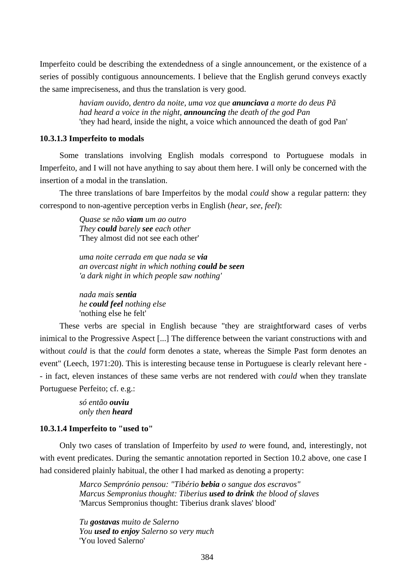Imperfeito could be describing the extendedness of a single announcement, or the existence of a series of possibly contiguous announcements. I believe that the English gerund conveys exactly the same impreciseness, and thus the translation is very good.

> *haviam ouvido, dentro da noite, uma voz que anunciava a morte do deus Pã had heard a voice in the night, announcing the death of the god Pan*  'they had heard, inside the night, a voice which announced the death of god Pan'

## **10.3.1.3 Imperfeito to modals**

Some translations involving English modals correspond to Portuguese modals in Imperfeito, and I will not have anything to say about them here. I will only be concerned with the insertion of a modal in the translation.

The three translations of bare Imperfeitos by the modal *could* show a regular pattern: they correspond to non-agentive perception verbs in English (*hear*, *see*, *feel*):

> *Quase se não viam um ao outro They could barely see each other*  'They almost did not see each other'

*uma noite cerrada em que nada se via an overcast night in which nothing could be seen 'a dark night in which people saw nothing'*

*nada mais sentia he could feel nothing else*  'nothing else he felt'

These verbs are special in English because "they are straightforward cases of verbs inimical to the Progressive Aspect [...] The difference between the variant constructions with and without *could* is that the *could* form denotes a state, whereas the Simple Past form denotes an event" (Leech, 1971:20). This is interesting because tense in Portuguese is clearly relevant here - - in fact, eleven instances of these same verbs are not rendered with *could* when they translate Portuguese Perfeito; cf. e.g.:

> *só então ouviu only then heard*

## **10.3.1.4 Imperfeito to "used to"**

Only two cases of translation of Imperfeito by *used to* were found, and, interestingly, not with event predicates. During the semantic annotation reported in Section 10.2 above, one case I had considered plainly habitual, the other I had marked as denoting a property:

> *Marco Semprónio pensou: "Tibério bebia o sangue dos escravos" Marcus Sempronius thought: Tiberius used to drink the blood of slaves*  'Marcus Sempronius thought: Tiberius drank slaves' blood'

*Tu gostavas muito de Salerno You used to enjoy Salerno so very much*  'You loved Salerno'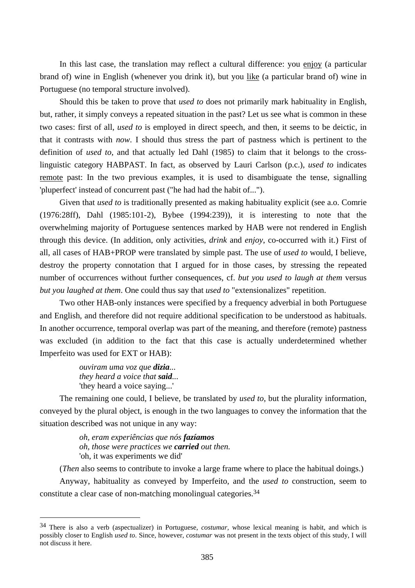In this last case, the translation may reflect a cultural difference: you enjoy (a particular brand of) wine in English (whenever you drink it), but you like (a particular brand of) wine in Portuguese (no temporal structure involved).

Should this be taken to prove that *used to* does not primarily mark habituality in English, but, rather, it simply conveys a repeated situation in the past? Let us see what is common in these two cases: first of all, *used to* is employed in direct speech, and then, it seems to be deictic, in that it contrasts with *now*. I should thus stress the part of pastness which is pertinent to the definition of *used to*, and that actually led Dahl (1985) to claim that it belongs to the crosslinguistic category HABPAST. In fact, as observed by Lauri Carlson (p.c.), *used to* indicates remote past: In the two previous examples, it is used to disambiguate the tense, signalling 'pluperfect' instead of concurrent past ("he had had the habit of...").

Given that *used to* is traditionally presented as making habituality explicit (see a.o. Comrie (1976:28ff), Dahl (1985:101-2), Bybee (1994:239)), it is interesting to note that the overwhelming majority of Portuguese sentences marked by HAB were not rendered in English through this device. (In addition, only activities, *drink* and *enjoy*, co-occurred with it.) First of all, all cases of HAB+PROP were translated by simple past. The use of *used to* would, I believe, destroy the property connotation that I argued for in those cases, by stressing the repeated number of occurrences without further consequences, cf. *but you used to laugh at them* versus *but you laughed at them*. One could thus say that *used to* "extensionalizes" repetition.

Two other HAB-only instances were specified by a frequency adverbial in both Portuguese and English, and therefore did not require additional specification to be understood as habituals. In another occurrence, temporal overlap was part of the meaning, and therefore (remote) pastness was excluded (in addition to the fact that this case is actually underdetermined whether Imperfeito was used for EXT or HAB):

> *ouviram uma voz que dizia... they heard a voice that said...*  'they heard a voice saying...'

 $\overline{a}$ 

The remaining one could, I believe, be translated by *used to*, but the plurality information, conveyed by the plural object, is enough in the two languages to convey the information that the situation described was not unique in any way:

> *oh, eram experiências que nós fazíamos oh, those were practices we carried out then.*  'oh, it was experiments we did'

(*Then* also seems to contribute to invoke a large frame where to place the habitual doings.)

Anyway, habituality as conveyed by Imperfeito, and the *used to* construction, seem to constitute a clear case of non-matching monolingual categories.34

<sup>34</sup> There is also a verb (aspectualizer) in Portuguese, *costumar*, whose lexical meaning is habit, and which is possibly closer to English *used to*. Since, however, *costumar* was not present in the texts object of this study, I will not discuss it here.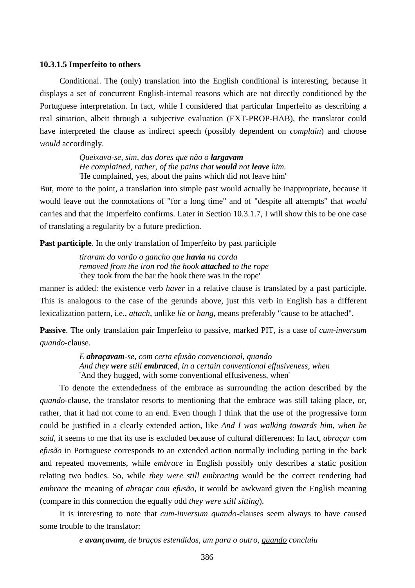#### **10.3.1.5 Imperfeito to others**

Conditional. The (only) translation into the English conditional is interesting, because it displays a set of concurrent English-internal reasons which are not directly conditioned by the Portuguese interpretation. In fact, while I considered that particular Imperfeito as describing a real situation, albeit through a subjective evaluation (EXT-PROP-HAB), the translator could have interpreted the clause as indirect speech (possibly dependent on *complain*) and choose *would* accordingly.

> *Queixava-se, sim, das dores que não o largavam He complained, rather, of the pains that would not leave him.*  'He complained, yes, about the pains which did not leave him'

But, more to the point, a translation into simple past would actually be inappropriate, because it would leave out the connotations of "for a long time" and of "despite all attempts" that *would* carries and that the Imperfeito confirms. Later in Section 10.3.1.7, I will show this to be one case of translating a regularity by a future prediction.

**Past participle**. In the only translation of Imperfeito by past participle

*tiraram do varão o gancho que havia na corda removed from the iron rod the hook attached to the rope*  'they took from the bar the hook there was in the rope'

manner is added: the existence verb *haver* in a relative clause is translated by a past participle. This is analogous to the case of the gerunds above, just this verb in English has a different lexicalization pattern, i.e., *attach*, unlike *lie* or *hang*, means preferably "cause to be attached".

**Passive**. The only translation pair Imperfeito to passive, marked PIT, is a case of *cum-inversum quando*-clause.

> *E abraçavam-se, com certa efusão convencional, quando And they were still embraced, in a certain conventional effusiveness, when*  'And they hugged, with some conventional effusiveness, when'

To denote the extendedness of the embrace as surrounding the action described by the *quando*-clause, the translator resorts to mentioning that the embrace was still taking place, or, rather, that it had not come to an end. Even though I think that the use of the progressive form could be justified in a clearly extended action, like *And I was walking towards him, when he said*, it seems to me that its use is excluded because of cultural differences: In fact, *abraçar com efusão* in Portuguese corresponds to an extended action normally including patting in the back and repeated movements, while *embrace* in English possibly only describes a static position relating two bodies. So, while *they were still embracing* would be the correct rendering had *embrace* the meaning of *abraçar com efusão*, it would be awkward given the English meaning (compare in this connection the equally odd *they were still sitting*).

It is interesting to note that *cum-inversum quando*-clauses seem always to have caused some trouble to the translator:

*e avançavam, de braços estendidos, um para o outro, quando concluiu*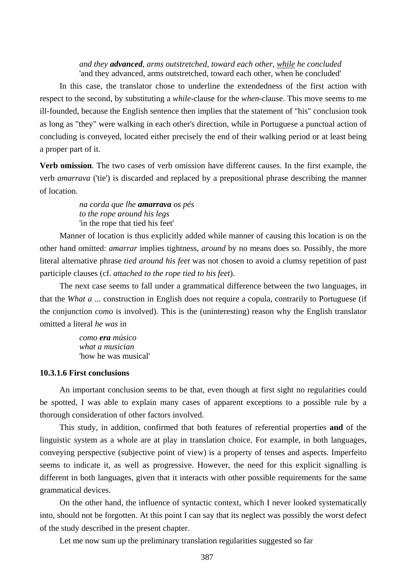## *and they advanced, arms outstretched, toward each other, while he concluded*  'and they advanced, arms outstretched, toward each other, when he concluded'

In this case, the translator chose to underline the extendedness of the first action with respect to the second, by substituting a *while*-clause for the *when*-clause. This move seems to me ill-founded, because the English sentence then implies that the statement of "his" conclusion took as long as "they" were walking in each other's direction, while in Portuguese a punctual action of concluding is conveyed, located either precisely the end of their walking period or at least being a proper part of it.

**Verb omission**. The two cases of verb omission have different causes. In the first example, the verb *amarrava* ('tie') is discarded and replaced by a prepositional phrase describing the manner of location.

> *na corda que lhe amarrava os pés to the rope around his legs*  'in the rope that tied his feet'

Manner of location is thus explicitly added while manner of causing this location is on the other hand omitted: *amarrar* implies tightness, *around* by no means does so. Possibly, the more literal alternative phrase *tied around his feet* was not chosen to avoid a clumsy repetition of past participle clauses (cf. *attached to the rope tied to his feet*).

The next case seems to fall under a grammatical difference between the two languages, in that the *What a* ... construction in English does not require a copula, contrarily to Portuguese (if the conjunction *como* is involved). This is the (uninteresting) reason why the English translator omitted a literal *he was* in

> *como era músico what a musician*  'how he was musical'

## **10.3.1.6 First conclusions**

An important conclusion seems to be that, even though at first sight no regularities could be spotted, I was able to explain many cases of apparent exceptions to a possible rule by a thorough consideration of other factors involved.

This study, in addition, confirmed that both features of referential properties **and** of the linguistic system as a whole are at play in translation choice. For example, in both languages, conveying perspective (subjective point of view) is a property of tenses and aspects. Imperfeito seems to indicate it, as well as progressive. However, the need for this explicit signalling is different in both languages, given that it interacts with other possible requirements for the same grammatical devices.

On the other hand, the influence of syntactic context, which I never looked systematically into, should not be forgotten. At this point I can say that its neglect was possibly the worst defect of the study described in the present chapter.

Let me now sum up the preliminary translation regularities suggested so far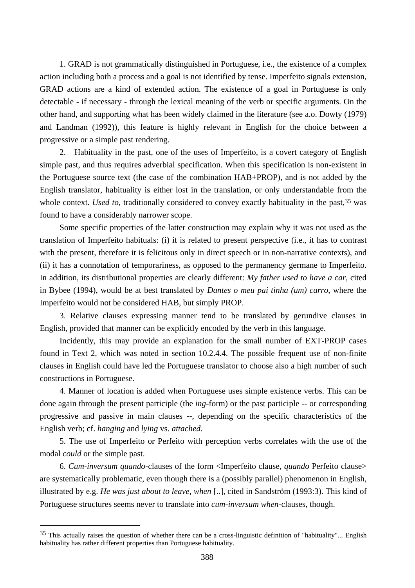1. GRAD is not grammatically distinguished in Portuguese, i.e., the existence of a complex action including both a process and a goal is not identified by tense. Imperfeito signals extension, GRAD actions are a kind of extended action. The existence of a goal in Portuguese is only detectable - if necessary - through the lexical meaning of the verb or specific arguments. On the other hand, and supporting what has been widely claimed in the literature (see a.o. Dowty (1979) and Landman (1992)), this feature is highly relevant in English for the choice between a progressive or a simple past rendering.

2. Habituality in the past, one of the uses of Imperfeito, is a covert category of English simple past, and thus requires adverbial specification. When this specification is non-existent in the Portuguese source text (the case of the combination HAB+PROP), and is not added by the English translator, habituality is either lost in the translation, or only understandable from the whole context. *Used to*, traditionally considered to convey exactly habituality in the past,<sup>35</sup> was found to have a considerably narrower scope.

Some specific properties of the latter construction may explain why it was not used as the translation of Imperfeito habituals: (i) it is related to present perspective (i.e., it has to contrast with the present, therefore it is felicitous only in direct speech or in non-narrative contexts), and (ii) it has a connotation of temporariness, as opposed to the permanency germane to Imperfeito. In addition, its distributional properties are clearly different: *My father used to have a car*, cited in Bybee (1994), would be at best translated by *Dantes o meu pai tinha (um) carro*, where the Imperfeito would not be considered HAB, but simply PROP.

3. Relative clauses expressing manner tend to be translated by gerundive clauses in English, provided that manner can be explicitly encoded by the verb in this language.

Incidently, this may provide an explanation for the small number of EXT-PROP cases found in Text 2, which was noted in section 10.2.4.4. The possible frequent use of non-finite clauses in English could have led the Portuguese translator to choose also a high number of such constructions in Portuguese.

4. Manner of location is added when Portuguese uses simple existence verbs. This can be done again through the present participle (the *ing*-form) or the past participle -- or corresponding progressive and passive in main clauses --, depending on the specific characteristics of the English verb; cf. *hanging* and *lying* vs. *attached*.

5. The use of Imperfeito or Perfeito with perception verbs correlates with the use of the modal *could* or the simple past.

6. *Cum-inversum quando*-clauses of the form <Imperfeito clause, *quando* Perfeito clause> are systematically problematic, even though there is a (possibly parallel) phenomenon in English, illustrated by e.g. *He was just about to leave, when* [..], cited in Sandström (1993:3). This kind of Portuguese structures seems never to translate into *cum-inversum when*-clauses, though.

 $35$  This actually raises the question of whether there can be a cross-linguistic definition of "habituality"... English habituality has rather different properties than Portuguese habituality.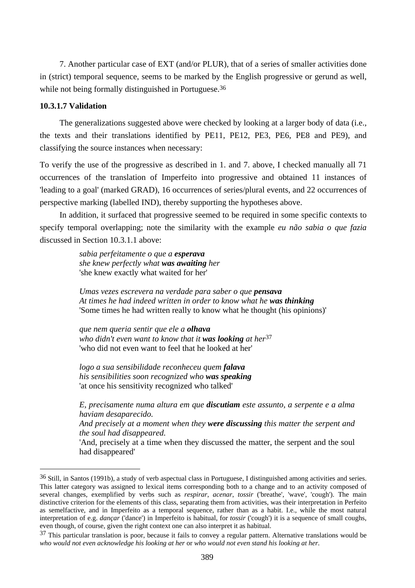7. Another particular case of EXT (and/or PLUR), that of a series of smaller activities done in (strict) temporal sequence, seems to be marked by the English progressive or gerund as well, while not being formally distinguished in Portuguese.<sup>36</sup>

## **10.3.1.7 Validation**

 $\overline{a}$ 

The generalizations suggested above were checked by looking at a larger body of data (i.e., the texts and their translations identified by PE11, PE12, PE3, PE6, PE8 and PE9), and classifying the source instances when necessary:

To verify the use of the progressive as described in 1. and 7. above, I checked manually all 71 occurrences of the translation of Imperfeito into progressive and obtained 11 instances of 'leading to a goal' (marked GRAD), 16 occurrences of series/plural events, and 22 occurrences of perspective marking (labelled IND), thereby supporting the hypotheses above.

In addition, it surfaced that progressive seemed to be required in some specific contexts to specify temporal overlapping; note the similarity with the example *eu não sabia o que fazia* discussed in Section 10.3.1.1 above:

> *sabia perfeitamente o que a esperava she knew perfectly what was awaiting her*  'she knew exactly what waited for her'

*Umas vezes escrevera na verdade para saber o que pensava At times he had indeed written in order to know what he was thinking* 'Some times he had written really to know what he thought (his opinions)'

*que nem queria sentir que ele a olhava who didn't even want to know that it was looking at her*37 'who did not even want to feel that he looked at her'

*logo a sua sensibilidade reconheceu quem falava his sensibilities soon recognized who was speaking*  'at once his sensitivity recognized who talked'

*E, precisamente numa altura em que discutiam este assunto, a serpente e a alma haviam desaparecido.* 

*And precisely at a moment when they were discussing this matter the serpent and the soul had disappeared.* 

'And, precisely at a time when they discussed the matter, the serpent and the soul had disappeared'

<sup>36</sup> Still, in Santos (1991b), a study of verb aspectual class in Portuguese, I distinguished among activities and series. This latter category was assigned to lexical items corresponding both to a change and to an activity composed of several changes, exemplified by verbs such as *respirar*, *acenar*, *tossir* ('breathe', 'wave', 'cough'). The main distinctive criterion for the elements of this class, separating them from activities, was their interpretation in Perfeito as semelfactive, and in Imperfeito as a temporal sequence, rather than as a habit. I.e., while the most natural interpretation of e.g. *dançar* ('dance') in Imperfeito is habitual, for *tossir* ('cough') it is a sequence of small coughs, even though, of course, given the right context one can also interpret it as habitual.

 $37$  This particular translation is poor, because it fails to convey a regular pattern. Alternative translations would be *who would not even acknowledge his looking at her* or *who would not even stand his looking at her*.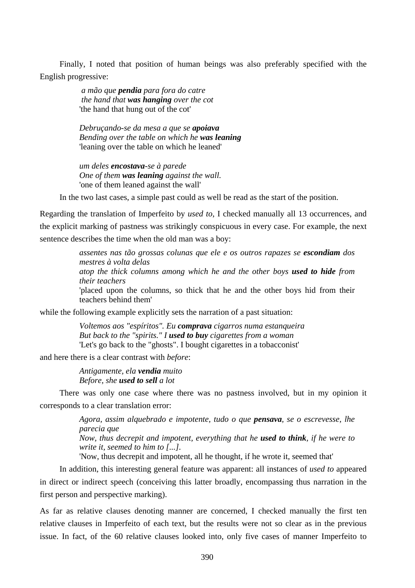Finally, I noted that position of human beings was also preferably specified with the English progressive:

> *a mão que pendia para fora do catre the hand that was hanging over the cot*  'the hand that hung out of the cot'

*Debruçando-se da mesa a que se apoiava Bending over the table on which he was leaning* 'leaning over the table on which he leaned'

*um deles encostava-se à parede One of them was leaning against the wall.*  'one of them leaned against the wall'

In the two last cases, a simple past could as well be read as the start of the position.

Regarding the translation of Imperfeito by *used to*, I checked manually all 13 occurrences, and the explicit marking of pastness was strikingly conspicuous in every case. For example, the next sentence describes the time when the old man was a boy:

> *assentes nas tão grossas colunas que ele e os outros rapazes se escondiam dos mestres à volta delas atop the thick columns among which he and the other boys used to hide from their teachers*  'placed upon the columns, so thick that he and the other boys hid from their teachers behind them'

while the following example explicitly sets the narration of a past situation:

*Voltemos aos "espíritos". Eu comprava cigarros numa estanqueira But back to the "spirits." I used to buy cigarettes from a woman*  'Let's go back to the "ghosts". I bought cigarettes in a tobacconist'

and here there is a clear contrast with *before*:

*Antigamente, ela vendia muito Before, she used to sell a lot* 

There was only one case where there was no pastness involved, but in my opinion it corresponds to a clear translation error:

> *Agora, assim alquebrado e impotente, tudo o que pensava, se o escrevesse, lhe parecia que Now, thus decrepit and impotent, everything that he used to think, if he were to write it, seemed to him to [...].*

'Now, thus decrepit and impotent, all he thought, if he wrote it, seemed that'

In addition, this interesting general feature was apparent: all instances of *used to* appeared in direct or indirect speech (conceiving this latter broadly, encompassing thus narration in the first person and perspective marking).

As far as relative clauses denoting manner are concerned, I checked manually the first ten relative clauses in Imperfeito of each text, but the results were not so clear as in the previous issue. In fact, of the 60 relative clauses looked into, only five cases of manner Imperfeito to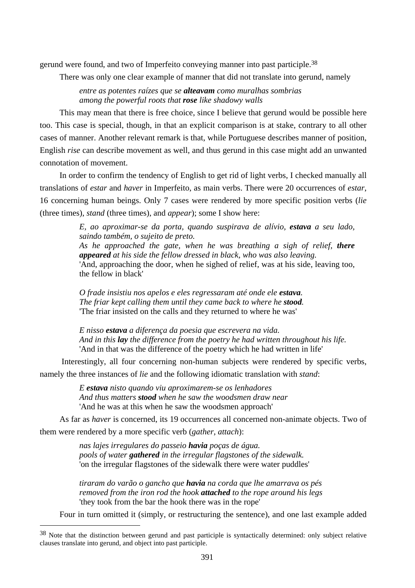gerund were found, and two of Imperfeito conveying manner into past participle.38

There was only one clear example of manner that did not translate into gerund, namely

*entre as potentes raízes que se alteavam como muralhas sombrias among the powerful roots that rose like shadowy walls* 

This may mean that there is free choice, since I believe that gerund would be possible here too. This case is special, though, in that an explicit comparison is at stake, contrary to all other cases of manner. Another relevant remark is that, while Portuguese describes manner of position, English *rise* can describe movement as well, and thus gerund in this case might add an unwanted connotation of movement.

In order to confirm the tendency of English to get rid of light verbs, I checked manually all translations of *estar* and *haver* in Imperfeito, as main verbs. There were 20 occurrences of *estar*, 16 concerning human beings. Only 7 cases were rendered by more specific position verbs (*lie* (three times), *stand* (three times), and *appear*); some I show here:

> *E, ao aproximar-se da porta, quando suspirava de alívio, estava a seu lado, saindo também, o sujeito de preto. As he approached the gate, when he was breathing a sigh of relief, there appeared at his side the fellow dressed in black, who was also leaving.*  'And, approaching the door, when he sighed of relief, was at his side, leaving too, the fellow in black'

*O frade insistiu nos apelos e eles regressaram até onde ele estava. The friar kept calling them until they came back to where he <i>stood*. 'The friar insisted on the calls and they returned to where he was'

*E nisso estava a diferença da poesia que escrevera na vida. And in this lay the difference from the poetry he had written throughout his life.*  'And in that was the difference of the poetry which he had written in life'

 Interestingly, all four concerning non-human subjects were rendered by specific verbs, namely the three instances of *lie* and the following idiomatic translation with *stand*:

> *E estava nisto quando viu aproximarem-se os lenhadores And thus matters stood when he saw the woodsmen draw near*  'And he was at this when he saw the woodsmen approach'

As far as *haver* is concerned, its 19 occurrences all concerned non-animate objects. Two of them were rendered by a more specific verb (*gather*, *attach*):

> *nas lajes irregulares do passeio havia poças de água. pools of water gathered in the irregular flagstones of the sidewalk.*  'on the irregular flagstones of the sidewalk there were water puddles'

*tiraram do varão o gancho que havia na corda que lhe amarrava os pés removed from the iron rod the hook attached to the rope around his legs*  'they took from the bar the hook there was in the rope'

Four in turn omitted it (simply, or restructuring the sentence), and one last example added

<sup>38</sup> Note that the distinction between gerund and past participle is syntactically determined: only subject relative clauses translate into gerund, and object into past participle.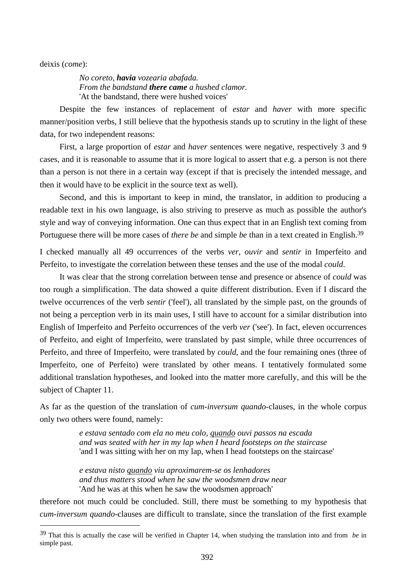deixis (*come*):

 $\overline{a}$ 

*No coreto, havia vozearia abafada. From the bandstand there came a hushed clamor.*  'At the bandstand, there were hushed voices'

Despite the few instances of replacement of *estar* and *haver* with more specific manner/position verbs, I still believe that the hypothesis stands up to scrutiny in the light of these data, for two independent reasons:

First, a large proportion of *estar* and *haver* sentences were negative, respectively 3 and 9 cases, and it is reasonable to assume that it is more logical to assert that e.g. a person is not there than a person is not there in a certain way (except if that is precisely the intended message, and then it would have to be explicit in the source text as well).

Second, and this is important to keep in mind, the translator, in addition to producing a readable text in his own language, is also striving to preserve as much as possible the author's style and way of conveying information. One can thus expect that in an English text coming from Portuguese there will be more cases of *there be* and simple *be* than in a text created in English.39

I checked manually all 49 occurrences of the verbs *ver*, *ouvir* and *sentir* in Imperfeito and Perfeito, to investigate the correlation between these tenses and the use of the modal *could*.

It was clear that the strong correlation between tense and presence or absence of *could* was too rough a simplification. The data showed a quite different distribution. Even if I discard the twelve occurrences of the verb *sentir* ('feel'), all translated by the simple past, on the grounds of not being a perception verb in its main uses, I still have to account for a similar distribution into English of Imperfeito and Perfeito occurrences of the verb *ver* ('see'). In fact, eleven occurrences of Perfeito, and eight of Imperfeito, were translated by past simple, while three occurrences of Perfeito, and three of Imperfeito, were translated by *could*, and the four remaining ones (three of Imperfeito, one of Perfeito) were translated by other means. I tentatively formulated some additional translation hypotheses, and looked into the matter more carefully, and this will be the subject of Chapter 11.

As far as the question of the translation of *cum-inversum quando*-clauses, in the whole corpus only two others were found, namely:

> *e estava sentado com ela no meu colo, quando ouvi passos na escada and was seated with her in my lap when I heard footsteps on the staircase*  'and I was sitting with her on my lap, when I head footsteps on the staircase'

*e estava nisto quando viu aproximarem-se os lenhadores and thus matters stood when he saw the woodsmen draw near*  'And he was at this when he saw the woodsmen approach'

therefore not much could be concluded. Still, there must be something to my hypothesis that *cum-inversum quando*-clauses are difficult to translate, since the translation of the first example

<sup>39</sup> That this is actually the case will be verified in Chapter 14, when studying the translation into and from *be* in simple past.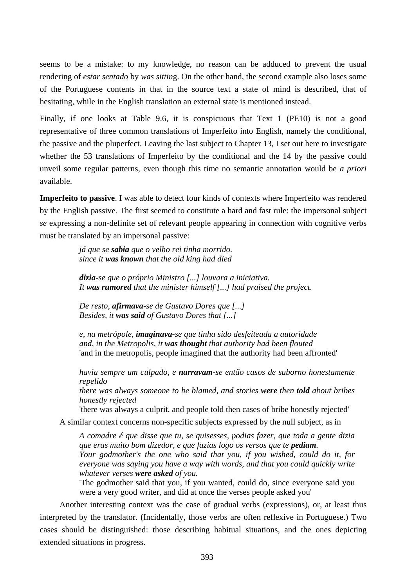seems to be a mistake: to my knowledge, no reason can be adduced to prevent the usual rendering of *estar sentado* by *was sittin*g. On the other hand, the second example also loses some of the Portuguese contents in that in the source text a state of mind is described, that of hesitating, while in the English translation an external state is mentioned instead.

Finally, if one looks at Table 9.6, it is conspicuous that Text 1 (PE10) is not a good representative of three common translations of Imperfeito into English, namely the conditional, the passive and the pluperfect. Leaving the last subject to Chapter 13, I set out here to investigate whether the 53 translations of Imperfeito by the conditional and the 14 by the passive could unveil some regular patterns, even though this time no semantic annotation would be *a priori* available.

**Imperfeito to passive**. I was able to detect four kinds of contexts where Imperfeito was rendered by the English passive. The first seemed to constitute a hard and fast rule: the impersonal subject *se* expressing a non-definite set of relevant people appearing in connection with cognitive verbs must be translated by an impersonal passive:

> *já que se sabia que o velho rei tinha morrido. since it was known that the old king had died*

*dizia-se que o próprio Ministro [...] louvara a iniciativa. It was rumored that the minister himself [...] had praised the project.* 

*De resto, afirmava-se de Gustavo Dores que [...] Besides, it was said of Gustavo Dores that [...]* 

*e, na metrópole, imaginava-se que tinha sido desfeiteada a autoridade and, in the Metropolis, it was thought that authority had been flouted*  'and in the metropolis, people imagined that the authority had been affronted'

*havia sempre um culpado, e narravam-se então casos de suborno honestamente repelido there was always someone to be blamed, and stories were then told about bribes honestly rejected* 

'there was always a culprit, and people told then cases of bribe honestly rejected'

A similar context concerns non-specific subjects expressed by the null subject, as in

*A comadre é que disse que tu, se quisesses, podias fazer, que toda a gente dizia que eras muito bom dizedor, e que fazias logo os versos que te pediam. Your godmother's the one who said that you, if you wished, could do it, for everyone was saying you have a way with words, and that you could quickly write whatever verses were asked of you.* 

'The godmother said that you, if you wanted, could do, since everyone said you were a very good writer, and did at once the verses people asked you'

Another interesting context was the case of gradual verbs (expressions), or, at least thus interpreted by the translator. (Incidentally, those verbs are often reflexive in Portuguese.) Two cases should be distinguished: those describing habitual situations, and the ones depicting extended situations in progress.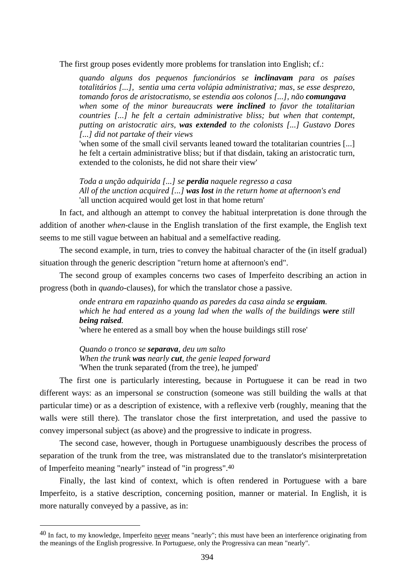The first group poses evidently more problems for translation into English; cf.:

*quando alguns dos pequenos funcionários se inclinavam para os países totalitários [...], sentia uma certa volúpia administrativa; mas, se esse desprezo, tomando foros de aristocratismo, se estendia aos colonos [...], não comungava when some of the minor bureaucrats were inclined to favor the totalitarian countries [...] he felt a certain administrative bliss; but when that contempt, putting on aristocratic airs, was extended to the colonists [...] Gustavo Dores [...] did not partake of their views* 

'when some of the small civil servants leaned toward the totalitarian countries [...] he felt a certain administrative bliss; but if that disdain, taking an aristocratic turn, extended to the colonists, he did not share their view'

*Toda a unção adquirida [...] se perdia naquele regresso a casa All of the unction acquired [...] was lost in the return home at afternoon's end*  'all unction acquired would get lost in that home return'

In fact, and although an attempt to convey the habitual interpretation is done through the addition of another *when*-clause in the English translation of the first example, the English text seems to me still vague between an habitual and a semelfactive reading.

The second example, in turn, tries to convey the habitual character of the (in itself gradual) situation through the generic description "return home at afternoon's end".

The second group of examples concerns two cases of Imperfeito describing an action in progress (both in *quando*-clauses), for which the translator chose a passive.

> *onde entrara em rapazinho quando as paredes da casa ainda se erguiam. which he had entered as a young lad when the walls of the buildings were still being raised.*

'where he entered as a small boy when the house buildings still rose'

*Quando o tronco se separava, deu um salto When the trunk was nearly cut, the genie leaped forward*  'When the trunk separated (from the tree), he jumped'

The first one is particularly interesting, because in Portuguese it can be read in two different ways: as an impersonal *se* construction (someone was still building the walls at that particular time) or as a description of existence, with a reflexive verb (roughly, meaning that the walls were still there). The translator chose the first interpretation, and used the passive to convey impersonal subject (as above) and the progressive to indicate in progress.

The second case, however, though in Portuguese unambiguously describes the process of separation of the trunk from the tree, was mistranslated due to the translator's misinterpretation of Imperfeito meaning "nearly" instead of "in progress".40

Finally, the last kind of context, which is often rendered in Portuguese with a bare Imperfeito, is a stative description, concerning position, manner or material. In English, it is more naturally conveyed by a passive, as in:

<sup>40</sup> In fact, to my knowledge, Imperfeito never means "nearly"; this must have been an interference originating from the meanings of the English progressive. In Portuguese, only the Progressiva can mean "nearly".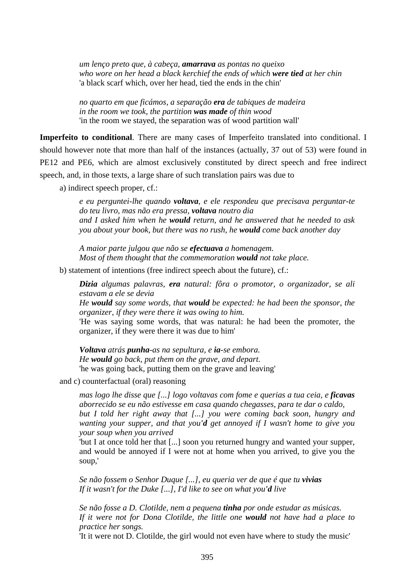*um lenço preto que, à cabeça, amarrava as pontas no queixo who wore on her head a black kerchief the ends of which were tied at her chin*  'a black scarf which, over her head, tied the ends in the chin'

*no quarto em que ficámos, a separação era de tabiques de madeira in the room we took, the partition was made of thin wood*  'in the room we stayed, the separation was of wood partition wall'

**Imperfeito to conditional**. There are many cases of Imperfeito translated into conditional. I should however note that more than half of the instances (actually, 37 out of 53) were found in PE12 and PE6, which are almost exclusively constituted by direct speech and free indirect speech, and, in those texts, a large share of such translation pairs was due to

a) indirect speech proper, cf.:

*e eu perguntei-lhe quando voltava, e ele respondeu que precisava perguntar-te do teu livro, mas não era pressa, voltava noutro dia and I asked him when he would return, and he answered that he needed to ask you about your book, but there was no rush, he would come back another day* 

*A maior parte julgou que não se efectuava a homenagem. Most of them thought that the commemoration would not take place.* 

b) statement of intentions (free indirect speech about the future), cf.:

*Dizia algumas palavras, era natural: fôra o promotor, o organizador, se ali estavam a ele se devia* 

*He would say some words, that would be expected: he had been the sponsor, the organizer, if they were there it was owing to him.* 

'He was saying some words, that was natural: he had been the promoter, the organizer, if they were there it was due to him'

*Voltava atrás punha-as na sepultura, e ia-se embora. He would go back, put them on the grave, and depart.*  'he was going back, putting them on the grave and leaving'

and c) counterfactual (oral) reasoning

*mas logo lhe disse que [...] logo voltavas com fome e querias a tua ceia, e ficavas aborrecido se eu não estivesse em casa quando chegasses, para te dar o caldo, but I told her right away that [...] you were coming back soon, hungry and wanting your supper, and that you'd get annoyed if I wasn't home to give you your soup when you arrived* 

'but I at once told her that [...] soon you returned hungry and wanted your supper, and would be annoyed if I were not at home when you arrived, to give you the soup,'

*Se não fossem o Senhor Duque [...], eu queria ver de que é que tu vivias If it wasn't for the Duke [...], I'd like to see on what you'd live* 

*Se não fosse a D. Clotilde, nem a pequena tinha por onde estudar as músicas. If it were not for Dona Clotilde, the little one would not have had a place to practice her songs.* 

'It it were not D. Clotilde, the girl would not even have where to study the music'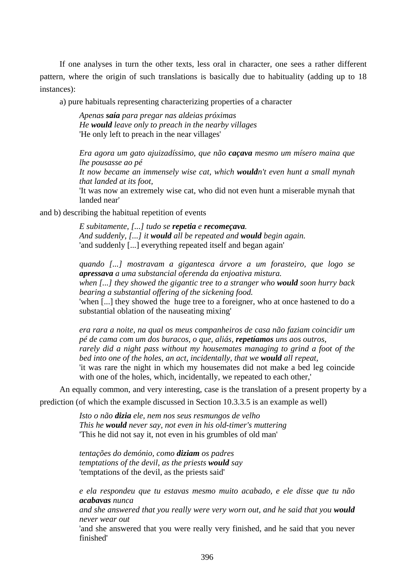If one analyses in turn the other texts, less oral in character, one sees a rather different pattern, where the origin of such translations is basically due to habituality (adding up to 18 instances):

a) pure habituals representing characterizing properties of a character

*Apenas saía para pregar nas aldeias próximas He would leave only to preach in the nearby villages*  'He only left to preach in the near villages'

*Era agora um gato ajuizadíssimo, que não caçava mesmo um mísero maina que lhe pousasse ao pé* 

*It now became an immensely wise cat, which wouldn't even hunt a small mynah that landed at its foot,* 

'It was now an extremely wise cat, who did not even hunt a miserable mynah that landed near'

and b) describing the habitual repetition of events

*E subitamente, [...] tudo se repetia e recomeçava. And suddenly, [...] it would all be repeated and would begin again.*  'and suddenly [...] everything repeated itself and began again'

*quando [...] mostravam a gigantesca árvore a um forasteiro, que logo se apressava a uma substancial oferenda da enjoativa mistura. when [...] they showed the gigantic tree to a stranger who would soon hurry back bearing a substantial offering of the sickening food.*  'when [...] they showed the huge tree to a foreigner, who at once hastened to do a

substantial oblation of the nauseating mixing'

*era rara a noite, na qual os meus companheiros de casa não faziam coincidir um pé de cama com um dos buracos, o que, aliás, repetíamos uns aos outros, rarely did a night pass without my housemates managing to grind a foot of the bed into one of the holes, an act, incidentally, that we would all repeat,*  'it was rare the night in which my housemates did not make a bed leg coincide with one of the holes, which, incidentally, we repeated to each other,'

An equally common, and very interesting, case is the translation of a present property by a

prediction (of which the example discussed in Section 10.3.3.5 is an example as well)

*Isto o não dizia ele, nem nos seus resmungos de velho This he would never say, not even in his old-timer's muttering*  'This he did not say it, not even in his grumbles of old man'

*tentações do demónio, como diziam os padres temptations of the devil, as the priests would say*  'temptations of the devil, as the priests said'

*e ela respondeu que tu estavas mesmo muito acabado, e ele disse que tu não acabavas nunca* 

*and she answered that you really were very worn out, and he said that you would never wear out* 

'and she answered that you were really very finished, and he said that you never finished'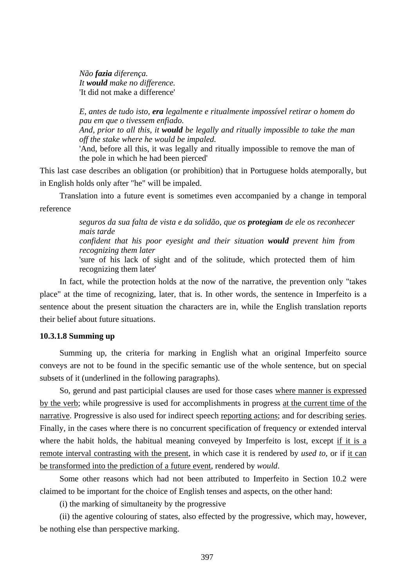*Não fazia diferença. It would make no difference.*  'It did not make a difference'

*E, antes de tudo isto, era legalmente e ritualmente impossível retirar o homem do pau em que o tivessem enfiado.* 

*And, prior to all this, it would be legally and ritually impossible to take the man off the stake where he would be impaled.* 

'And, before all this, it was legally and ritually impossible to remove the man of the pole in which he had been pierced'

This last case describes an obligation (or prohibition) that in Portuguese holds atemporally, but in English holds only after "he" will be impaled.

Translation into a future event is sometimes even accompanied by a change in temporal reference

> *seguros da sua falta de vista e da solidão, que os protegiam de ele os reconhecer mais tarde*

> *confident that his poor eyesight and their situation would prevent him from recognizing them later*

> 'sure of his lack of sight and of the solitude, which protected them of him recognizing them later'

In fact, while the protection holds at the now of the narrative, the prevention only "takes place" at the time of recognizing, later, that is. In other words, the sentence in Imperfeito is a sentence about the present situation the characters are in, while the English translation reports their belief about future situations.

## **10.3.1.8 Summing up**

Summing up, the criteria for marking in English what an original Imperfeito source conveys are not to be found in the specific semantic use of the whole sentence, but on special subsets of it (underlined in the following paragraphs).

So, gerund and past participial clauses are used for those cases where manner is expressed by the verb; while progressive is used for accomplishments in progress at the current time of the narrative. Progressive is also used for indirect speech reporting actions; and for describing series. Finally, in the cases where there is no concurrent specification of frequency or extended interval where the habit holds, the habitual meaning conveyed by Imperfeito is lost, except if it is a remote interval contrasting with the present, in which case it is rendered by *used to*, or if it can be transformed into the prediction of a future event, rendered by *would*.

Some other reasons which had not been attributed to Imperfeito in Section 10.2 were claimed to be important for the choice of English tenses and aspects, on the other hand:

(i) the marking of simultaneity by the progressive

(ii) the agentive colouring of states, also effected by the progressive, which may, however, be nothing else than perspective marking.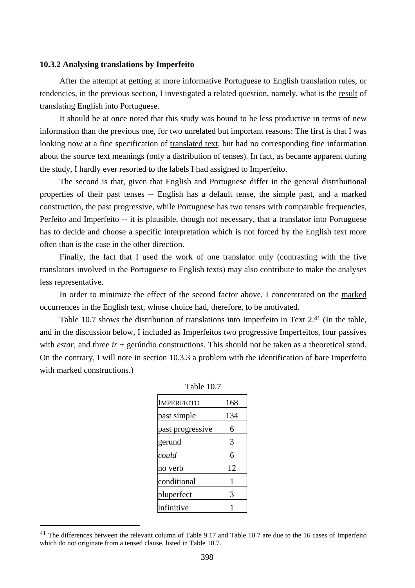#### **10.3.2 Analysing translations by Imperfeito**

After the attempt at getting at more informative Portuguese to English translation rules, or tendencies, in the previous section, I investigated a related question, namely, what is the result of translating English into Portuguese.

It should be at once noted that this study was bound to be less productive in terms of new information than the previous one, for two unrelated but important reasons: The first is that I was looking now at a fine specification of translated text, but had no corresponding fine information about the source text meanings (only a distribution of tenses). In fact, as became apparent during the study, I hardly ever resorted to the labels I had assigned to Imperfeito.

The second is that, given that English and Portuguese differ in the general distributional properties of their past tenses -- English has a default tense, the simple past, and a marked construction, the past progressive, while Portuguese has two tenses with comparable frequencies, Perfeito and Imperfeito -- it is plausible, though not necessary, that a translator into Portuguese has to decide and choose a specific interpretation which is not forced by the English text more often than is the case in the other direction.

Finally, the fact that I used the work of one translator only (contrasting with the five translators involved in the Portuguese to English texts) may also contribute to make the analyses less representative.

In order to minimize the effect of the second factor above, I concentrated on the marked occurrences in the English text, whose choice had, therefore, to be motivated.

Table 10.7 shows the distribution of translations into Imperfeito in Text 2.<sup>41</sup> (In the table, and in the discussion below, I included as Imperfeitos two progressive Imperfeitos, four passives with *estar*, and three *ir* + gerúndio constructions. This should not be taken as a theoretical stand. On the contrary, I will note in section 10.3.3 a problem with the identification of bare Imperfeito with marked constructions.)

| IMPERFEITO       | 168 |
|------------------|-----|
| past simple      | 134 |
| past progressive | 6   |
| gerund           | 3   |
| could            | 6   |
| no verb          | 12  |
| conditional      | 1   |
| pluperfect       | 3   |
| infinitive       |     |
|                  |     |

<sup>&</sup>lt;sup>41</sup> The differences between the relevant column of Table 9.17 and Table 10.7 are due to the 16 cases of Imperfeito which do not originate from a tensed clause, listed in Table 10.7.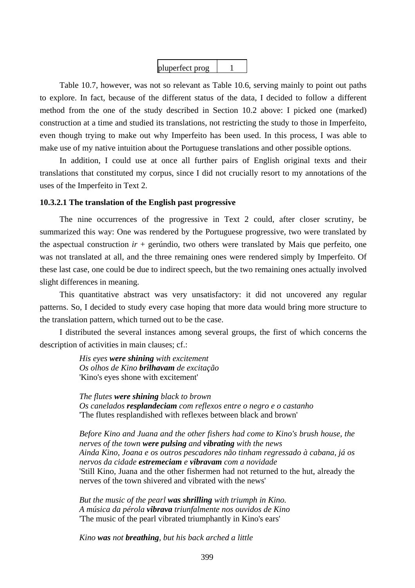

Table 10.7, however, was not so relevant as Table 10.6, serving mainly to point out paths to explore. In fact, because of the different status of the data, I decided to follow a different method from the one of the study described in Section 10.2 above: I picked one (marked) construction at a time and studied its translations, not restricting the study to those in Imperfeito, even though trying to make out why Imperfeito has been used. In this process, I was able to make use of my native intuition about the Portuguese translations and other possible options.

In addition, I could use at once all further pairs of English original texts and their translations that constituted my corpus, since I did not crucially resort to my annotations of the uses of the Imperfeito in Text 2.

## **10.3.2.1 The translation of the English past progressive**

The nine occurrences of the progressive in Text 2 could, after closer scrutiny, be summarized this way: One was rendered by the Portuguese progressive, two were translated by the aspectual construction  $ir +$  gerúndio, two others were translated by Mais que perfeito, one was not translated at all, and the three remaining ones were rendered simply by Imperfeito. Of these last case, one could be due to indirect speech, but the two remaining ones actually involved slight differences in meaning.

This quantitative abstract was very unsatisfactory: it did not uncovered any regular patterns. So, I decided to study every case hoping that more data would bring more structure to the translation pattern, which turned out to be the case.

I distributed the several instances among several groups, the first of which concerns the description of activities in main clauses; cf.:

> *His eyes were shining with excitement Os olhos de Kino brilhavam de excitação*  'Kino's eyes shone with excitement'

*The flutes were shining black to brown Os canelados resplandeciam com reflexos entre o negro e o castanho*  'The flutes resplandished with reflexes between black and brown'

*Before Kino and Juana and the other fishers had come to Kino's brush house, the nerves of the town were pulsing and vibrating with the news Ainda Kino, Joana e os outros pescadores não tinham regressado à cabana, já os nervos da cidade estremeciam e vibravam com a novidade*  'Still Kino, Juana and the other fishermen had not returned to the hut, already the nerves of the town shivered and vibrated with the news'

*But the music of the pearl was shrilling with triumph in Kino. A música da pérola vibrava triunfalmente nos ouvidos de Kino*  'The music of the pearl vibrated triumphantly in Kino's ears'

*Kino was not breathing, but his back arched a little*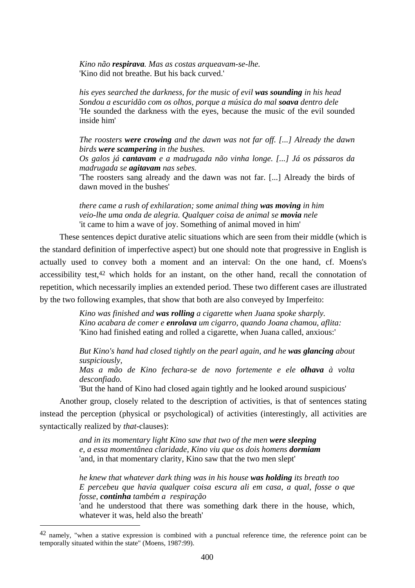*Kino não respirava. Mas as costas arqueavam-se-lhe.*  'Kino did not breathe. But his back curved.'

*his eyes searched the darkness, for the music of evil was sounding in his head Sondou a escuridão com os olhos, porque a música do mal soava dentro dele*  'He sounded the darkness with the eyes, because the music of the evil sounded inside him'

*The roosters were crowing and the dawn was not far off. [...] Already the dawn birds were scampering in the bushes.* 

*Os galos já cantavam e a madrugada não vinha longe. [...] Já os pássaros da madrugada se agitavam nas sebes.* 

'The roosters sang already and the dawn was not far. [...] Already the birds of dawn moved in the bushes'

*there came a rush of exhilaration; some animal thing was moving in him veio-lhe uma onda de alegria. Qualquer coisa de animal se movia nele*  'it came to him a wave of joy. Something of animal moved in him'

These sentences depict durative atelic situations which are seen from their middle (which is the standard definition of imperfective aspect) but one should note that progressive in English is actually used to convey both a moment and an interval: On the one hand, cf. Moens's accessibility test,42 which holds for an instant, on the other hand, recall the connotation of repetition, which necessarily implies an extended period. These two different cases are illustrated by the two following examples, that show that both are also conveyed by Imperfeito:

> *Kino was finished and was rolling a cigarette when Juana spoke sharply. Kino acabara de comer e enrolava um cigarro, quando Joana chamou, aflita:*  'Kino had finished eating and rolled a cigarette, when Juana called, anxious:'

*But Kino's hand had closed tightly on the pearl again, and he was glancing about suspiciously,* 

*Mas a mão de Kino fechara-se de novo fortemente e ele olhava à volta desconfiado.* 

'But the hand of Kino had closed again tightly and he looked around suspicious'

Another group, closely related to the description of activities, is that of sentences stating instead the perception (physical or psychological) of activities (interestingly, all activities are syntactically realized by *that*-clauses):

> *and in its momentary light Kino saw that two of the men were sleeping e, a essa momentânea claridade, Kino viu que os dois homens dormiam*  'and, in that momentary clarity, Kino saw that the two men slept'

*he knew that whatever dark thing was in his house was holding its breath too E percebeu que havia qualquer coisa escura ali em casa, a qual, fosse o que fosse, continha também a respiração* 

'and he understood that there was something dark there in the house, which, whatever it was, held also the breath'

<sup>&</sup>lt;sup>42</sup> namely, "when a stative expression is combined with a punctual reference time, the reference point can be temporally situated within the state" (Moens, 1987:99).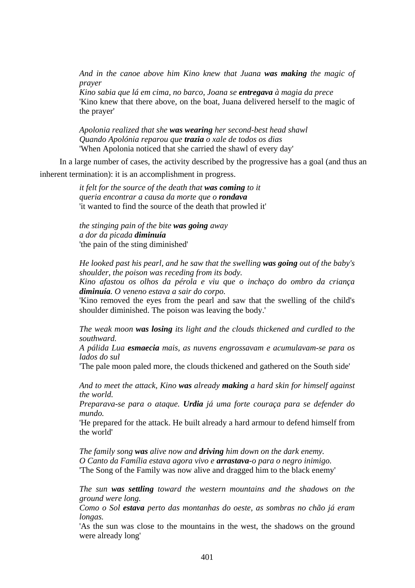*And in the canoe above him Kino knew that Juana was making the magic of prayer* 

*Kino sabia que lá em cima, no barco, Joana se entregava à magia da prece*  'Kino knew that there above, on the boat, Juana delivered herself to the magic of the prayer'

*Apolonia realized that she was wearing her second-best head shawl Quando Apolónia reparou que trazia o xale de todos os dias*  'When Apolonia noticed that she carried the shawl of every day'

In a large number of cases, the activity described by the progressive has a goal (and thus an inherent termination): it is an accomplishment in progress.

> *it felt for the source of the death that was coming to it queria encontrar a causa da morte que o rondava*  'it wanted to find the source of the death that prowled it'

*the stinging pain of the bite was going away a dor da picada diminuía*  'the pain of the sting diminished'

*He looked past his pearl, and he saw that the swelling was going out of the baby's shoulder, the poison was receding from its body.* 

*Kino afastou os olhos da pérola e viu que o inchaço do ombro da criança diminuía. O veneno estava a sair do corpo.* 

'Kino removed the eyes from the pearl and saw that the swelling of the child's shoulder diminished. The poison was leaving the body.'

*The weak moon was losing its light and the clouds thickened and curdled to the southward.* 

*A pálida Lua esmaecia mais, as nuvens engrossavam e acumulavam-se para os lados do sul* 

'The pale moon paled more, the clouds thickened and gathered on the South side'

*And to meet the attack, Kino was already making a hard skin for himself against the world.* 

*Preparava-se para o ataque. Urdia já uma forte couraça para se defender do mundo.* 

'He prepared for the attack. He built already a hard armour to defend himself from the world'

*The family song was alive now and driving him down on the dark enemy. O Canto da Família estava agora vivo e arrastava-o para o negro inimigo.*  'The Song of the Family was now alive and dragged him to the black enemy'

*The sun was settling toward the western mountains and the shadows on the ground were long.* 

*Como o Sol estava perto das montanhas do oeste, as sombras no chão já eram longas.* 

'As the sun was close to the mountains in the west, the shadows on the ground were already long'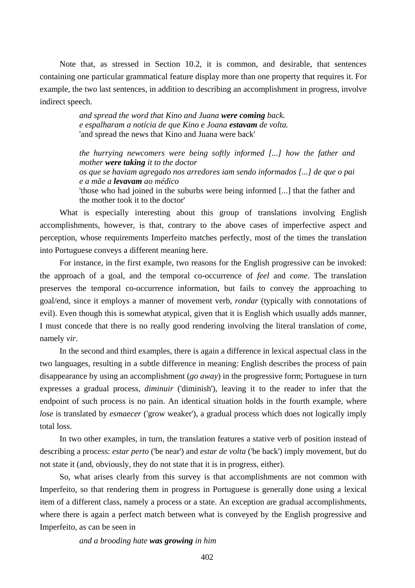Note that, as stressed in Section 10.2, it is common, and desirable, that sentences containing one particular grammatical feature display more than one property that requires it. For example, the two last sentences, in addition to describing an accomplishment in progress, involve indirect speech.

> *and spread the word that Kino and Juana were coming back. e espalharam a notícia de que Kino e Joana estavam de volta.*  'and spread the news that Kino and Juana were back'

*the hurrying newcomers were being softly informed [...] how the father and mother were taking it to the doctor os que se haviam agregado nos arredores iam sendo informados [...] de que o pai e a mãe a levavam ao médico*  'those who had joined in the suburbs were being informed [...] that the father and the mother took it to the doctor'

What is especially interesting about this group of translations involving English accomplishments, however, is that, contrary to the above cases of imperfective aspect and perception, whose requirements Imperfeito matches perfectly, most of the times the translation into Portuguese conveys a different meaning here.

For instance, in the first example, two reasons for the English progressive can be invoked: the approach of a goal, and the temporal co-occurrence of *feel* and *come*. The translation preserves the temporal co-occurrence information, but fails to convey the approaching to goal/end, since it employs a manner of movement verb, *rondar* (typically with connotations of evil). Even though this is somewhat atypical, given that it is English which usually adds manner, I must concede that there is no really good rendering involving the literal translation of *come*, namely *vir*.

In the second and third examples, there is again a difference in lexical aspectual class in the two languages, resulting in a subtle difference in meaning: English describes the process of pain disappearance by using an accomplishment (*go away*) in the progressive form; Portuguese in turn expresses a gradual process, *diminuir* ('diminish'), leaving it to the reader to infer that the endpoint of such process is no pain. An identical situation holds in the fourth example, where *lose* is translated by *esmaecer* ('grow weaker'), a gradual process which does not logically imply total loss.

In two other examples, in turn, the translation features a stative verb of position instead of describing a process: *estar perto* ('be near') and *estar de volta* ('be back') imply movement, but do not state it (and, obviously, they do not state that it is in progress, either).

So, what arises clearly from this survey is that accomplishments are not common with Imperfeito, so that rendering them in progress in Portuguese is generally done using a lexical item of a different class, namely a process or a state. An exception are gradual accomplishments, where there is again a perfect match between what is conveyed by the English progressive and Imperfeito, as can be seen in

#### *and a brooding hate was growing in him*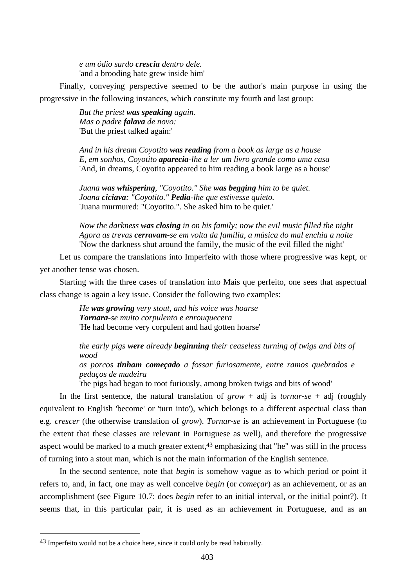*e um ódio surdo crescia dentro dele.*  'and a brooding hate grew inside him'

Finally, conveying perspective seemed to be the author's main purpose in using the progressive in the following instances, which constitute my fourth and last group:

> *But the priest was speaking again. Mas o padre falava de novo:*  'But the priest talked again:'

*And in his dream Coyotito was reading from a book as large as a house E, em sonhos, Coyotito aparecia-lhe a ler um livro grande como uma casa*  'And, in dreams, Coyotito appeared to him reading a book large as a house'

*Juana was whispering, "Coyotito." She was begging him to be quiet. Joana ciciava: "Coyotito." Pedia-lhe que estivesse quieto.*  'Juana murmured: "Coyotito.". She asked him to be quiet.'

*Now the darkness was closing in on his family; now the evil music filled the night Agora as trevas cerravam-se em volta da família, a música do mal enchia a noite*  'Now the darkness shut around the family, the music of the evil filled the night'

Let us compare the translations into Imperfeito with those where progressive was kept, or yet another tense was chosen.

Starting with the three cases of translation into Mais que perfeito, one sees that aspectual class change is again a key issue. Consider the following two examples:

> *He was growing very stout, and his voice was hoarse Tornara-se muito corpulento e enrouquecera*  'He had become very corpulent and had gotten hoarse'

*the early pigs were already beginning their ceaseless turning of twigs and bits of wood* 

# *os porcos tinham começado a fossar furiosamente, entre ramos quebrados e pedaços de madeira*

'the pigs had began to root furiously, among broken twigs and bits of wood'

In the first sentence, the natural translation of  $grow + adj$  is *tornar-se* + adj (roughly equivalent to English 'become' or 'turn into'), which belongs to a different aspectual class than e.g. *crescer* (the otherwise translation of *grow*). *Tornar-se* is an achievement in Portuguese (to the extent that these classes are relevant in Portuguese as well), and therefore the progressive aspect would be marked to a much greater extent, $43$  emphasizing that "he" was still in the process of turning into a stout man, which is not the main information of the English sentence.

In the second sentence, note that *begin* is somehow vague as to which period or point it refers to, and, in fact, one may as well conceive *begin* (or *começar*) as an achievement, or as an accomplishment (see Figure 10.7: does *begin* refer to an initial interval, or the initial point?). It seems that, in this particular pair, it is used as an achievement in Portuguese, and as an

<sup>43</sup> Imperfeito would not be a choice here, since it could only be read habitually.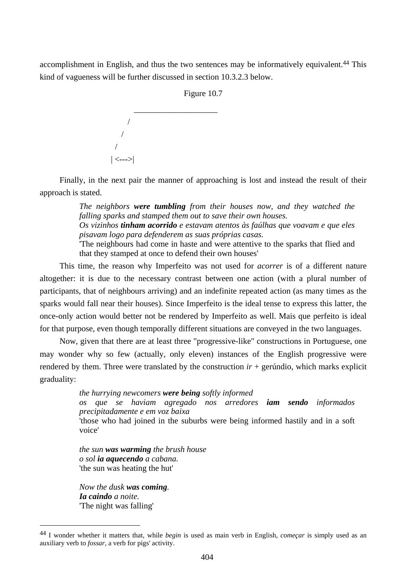accomplishment in English, and thus the two sentences may be informatively equivalent.44 This kind of vagueness will be further discussed in section 10.3.2.3 below.



Finally, in the next pair the manner of approaching is lost and instead the result of their approach is stated.

> *The neighbors were tumbling from their houses now, and they watched the falling sparks and stamped them out to save their own houses. Os vizinhos tinham acorrido e estavam atentos às faúlhas que voavam e que eles pisavam logo para defenderem as suas próprias casas.*  'The neighbours had come in haste and were attentive to the sparks that flied and that they stamped at once to defend their own houses'

This time, the reason why Imperfeito was not used for *acorrer* is of a different nature altogether: it is due to the necessary contrast between one action (with a plural number of participants, that of neighbours arriving) and an indefinite repeated action (as many times as the sparks would fall near their houses). Since Imperfeito is the ideal tense to express this latter, the once-only action would better not be rendered by Imperfeito as well. Mais que perfeito is ideal for that purpose, even though temporally different situations are conveyed in the two languages.

Now, given that there are at least three "progressive-like" constructions in Portuguese, one may wonder why so few (actually, only eleven) instances of the English progressive were rendered by them. Three were translated by the construction  $ir +$  gerundio, which marks explicit graduality:

> *the hurrying newcomers were being softly informed os que se haviam agregado nos arredores iam sendo informados precipitadamente e em voz baixa*  'those who had joined in the suburbs were being informed hastily and in a soft voice'

*the sun was warming the brush house o sol ia aquecendo a cabana.*  'the sun was heating the hut'

*Now the dusk was coming. Ia caindo a noite.*  'The night was falling'

<sup>44</sup> I wonder whether it matters that, while *begin* is used as main verb in English, *começar* is simply used as an auxiliary verb to *fossar*, a verb for pigs' activity.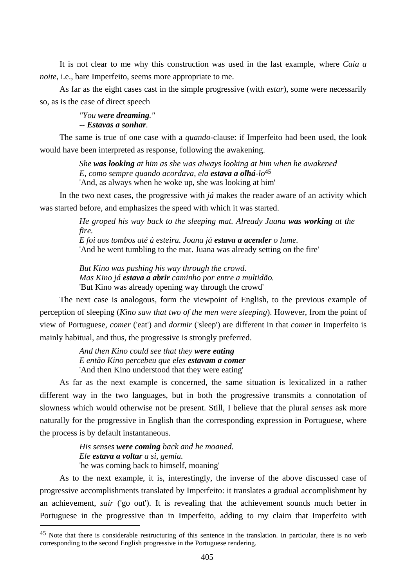It is not clear to me why this construction was used in the last example, where *Caía a noite*, i.e., bare Imperfeito, seems more appropriate to me.

As far as the eight cases cast in the simple progressive (with *estar*), some were necessarily so, as is the case of direct speech

> *"You were dreaming." -- Estavas a sonhar.*

The same is true of one case with a *quando*-clause: if Imperfeito had been used, the look would have been interpreted as response, following the awakening.

> *She was looking at him as she was always looking at him when he awakened E, como sempre quando acordava, ela estava a olhá-lo*45 'And, as always when he woke up, she was looking at him'

In the two next cases, the progressive with *já* makes the reader aware of an activity which was started before, and emphasizes the speed with which it was started.

> *He groped his way back to the sleeping mat. Already Juana was working at the fire. E foi aos tombos até à esteira. Joana já estava a acender o lume.*

'And he went tumbling to the mat. Juana was already setting on the fire'

*But Kino was pushing his way through the crowd. Mas Kino já estava a abrir caminho por entre a multidão.*  'But Kino was already opening way through the crowd'

The next case is analogous, form the viewpoint of English, to the previous example of perception of sleeping (*Kino saw that two of the men were sleeping*). However, from the point of view of Portuguese, *comer* ('eat') and *dormir* ('sleep') are different in that *comer* in Imperfeito is mainly habitual, and thus, the progressive is strongly preferred.

> *And then Kino could see that they were eating E então Kino percebeu que eles estavam a comer*  'And then Kino understood that they were eating'

As far as the next example is concerned, the same situation is lexicalized in a rather different way in the two languages, but in both the progressive transmits a connotation of slowness which would otherwise not be present. Still, I believe that the plural *senses* ask more naturally for the progressive in English than the corresponding expression in Portuguese, where the process is by default instantaneous.

> *His senses were coming back and he moaned. Ele estava a voltar a si, gemia.*  'he was coming back to himself, moaning'

 $\overline{a}$ 

As to the next example, it is, interestingly, the inverse of the above discussed case of progressive accomplishments translated by Imperfeito: it translates a gradual accomplishment by an achievement, *sair* ('go out'). It is revealing that the achievement sounds much better in Portuguese in the progressive than in Imperfeito, adding to my claim that Imperfeito with

<sup>&</sup>lt;sup>45</sup> Note that there is considerable restructuring of this sentence in the translation. In particular, there is no verb corresponding to the second English progressive in the Portuguese rendering.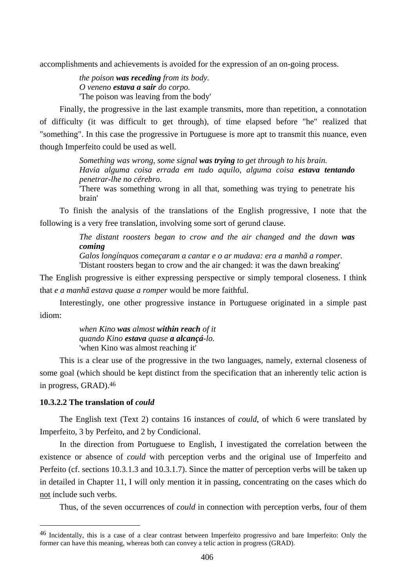accomplishments and achievements is avoided for the expression of an on-going process.

*the poison was receding from its body. O veneno estava a sair do corpo.*  'The poison was leaving from the body'

Finally, the progressive in the last example transmits, more than repetition, a connotation of difficulty (it was difficult to get through), of time elapsed before "he" realized that "something". In this case the progressive in Portuguese is more apt to transmit this nuance, even though Imperfeito could be used as well.

> *Something was wrong, some signal was trying to get through to his brain. Havia alguma coisa errada em tudo aquilo, alguma coisa estava tentando penetrar-lhe no cérebro.*

> 'There was something wrong in all that, something was trying to penetrate his brain'

To finish the analysis of the translations of the English progressive, I note that the following is a very free translation, involving some sort of gerund clause.

> *The distant roosters began to crow and the air changed and the dawn was coming*

*Galos longínquos começaram a cantar e o ar mudava: era a manhã a romper.*  'Distant roosters began to crow and the air changed: it was the dawn breaking'

The English progressive is either expressing perspective or simply temporal closeness. I think that *e a manhã estava quase a romper* would be more faithful.

Interestingly, one other progressive instance in Portuguese originated in a simple past idiom:

> *when Kino was almost within reach of it quando Kino estava quase a alcançá-lo.*  'when Kino was almost reaching it'

This is a clear use of the progressive in the two languages, namely, external closeness of some goal (which should be kept distinct from the specification that an inherently telic action is in progress, GRAD).46

## **10.3.2.2 The translation of** *could*

 $\overline{a}$ 

The English text (Text 2) contains 16 instances of *could*, of which 6 were translated by Imperfeito, 3 by Perfeito, and 2 by Condicional.

In the direction from Portuguese to English, I investigated the correlation between the existence or absence of *could* with perception verbs and the original use of Imperfeito and Perfeito (cf. sections 10.3.1.3 and 10.3.1.7). Since the matter of perception verbs will be taken up in detailed in Chapter 11, I will only mention it in passing, concentrating on the cases which do not include such verbs.

Thus, of the seven occurrences of *could* in connection with perception verbs, four of them

<sup>46</sup> Incidentally, this is a case of a clear contrast between Imperfeito progressivo and bare Imperfeito: Only the former can have this meaning, whereas both can convey a telic action in progress (GRAD).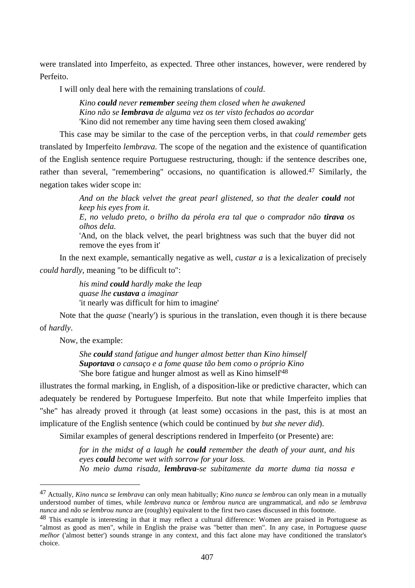were translated into Imperfeito, as expected. Three other instances, however, were rendered by Perfeito.

I will only deal here with the remaining translations of *could*.

*Kino could never remember seeing them closed when he awakened Kino não se lembrava de alguma vez os ter visto fechados ao acordar*  'Kino did not remember any time having seen them closed awaking'

This case may be similar to the case of the perception verbs, in that *could remember* gets translated by Imperfeito *lembrava*. The scope of the negation and the existence of quantification of the English sentence require Portuguese restructuring, though: if the sentence describes one, rather than several, "remembering" occasions, no quantification is allowed.<sup>47</sup> Similarly, the negation takes wider scope in:

> *And on the black velvet the great pearl glistened, so that the dealer could not keep his eyes from it.*

> *E, no veludo preto, o brilho da pérola era tal que o comprador não tirava os olhos dela.*

> 'And, on the black velvet, the pearl brightness was such that the buyer did not remove the eyes from it'

In the next example, semantically negative as well, *custar a* is a lexicalization of precisely *could hardly*, meaning "to be difficult to":

> *his mind could hardly make the leap quase lhe custava a imaginar*  'it nearly was difficult for him to imagine'

Note that the *quase* ('nearly') is spurious in the translation, even though it is there because of *hardly*.

Now, the example:

 $\overline{a}$ 

*She could stand fatigue and hunger almost better than Kino himself Suportava o cansaço e a fome quase tão bem como o próprio Kino* 'She bore fatigue and hunger almost as well as Kino himself'48

illustrates the formal marking, in English, of a disposition-like or predictive character, which can adequately be rendered by Portuguese Imperfeito. But note that while Imperfeito implies that "she" has already proved it through (at least some) occasions in the past, this is at most an implicature of the English sentence (which could be continued by *but she never did*).

Similar examples of general descriptions rendered in Imperfeito (or Presente) are:

*for in the midst of a laugh he could remember the death of your aunt, and his eyes could become wet with sorrow for your loss. No meio duma risada, lembrava-se subitamente da morte duma tia nossa e* 

<sup>47</sup> Actually, *Kino nunca se lembrava* can only mean habitually; *Kino nunca se lembrou* can only mean in a mutually understood number of times, while *lembrava nunca* or *lembrou nunca* are ungrammatical, and *não se lembrava nunca* and *não se lembrou nunca* are (roughly) equivalent to the first two cases discussed in this footnote.

<sup>48</sup> This example is interesting in that it may reflect a cultural difference: Women are praised in Portuguese as "almost as good as men", while in English the praise was "better than men". In any case, in Portuguese *quase melhor* ('almost better') sounds strange in any context, and this fact alone may have conditioned the translator's choice.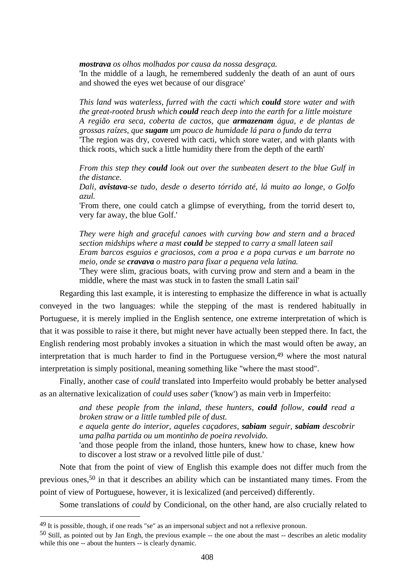*mostrava os olhos molhados por causa da nossa desgraça.* 

'In the middle of a laugh, he remembered suddenly the death of an aunt of ours and showed the eyes wet because of our disgrace'

*This land was waterless, furred with the cacti which could store water and with the great-rooted brush which could reach deep into the earth for a little moisture A região era seca, coberta de cactos, que armazenam água, e de plantas de grossas raízes, que sugam um pouco de humidade lá para o fundo da terra*  'The region was dry, covered with cacti, which store water, and with plants with thick roots, which suck a little humidity there from the depth of the earth'

*From this step they could look out over the sunbeaten desert to the blue Gulf in the distance.* 

*Dali, avistava-se tudo, desde o deserto tórrido até, lá muito ao longe, o Golfo azul.* 

'From there, one could catch a glimpse of everything, from the torrid desert to, very far away, the blue Golf.'

*They were high and graceful canoes with curving bow and stern and a braced section midships where a mast could be stepped to carry a small lateen sail Eram barcos esguios e graciosos, com a proa e a popa curvas e um barrote no meio, onde se cravava o mastro para fixar a pequena vela latina.* 

'They were slim, gracious boats, with curving prow and stern and a beam in the middle, where the mast was stuck in to fasten the small Latin sail'

Regarding this last example, it is interesting to emphasize the difference in what is actually conveyed in the two languages: while the stepping of the mast is rendered habitually in Portuguese, it is merely implied in the English sentence, one extreme interpretation of which is that it was possible to raise it there, but might never have actually been stepped there. In fact, the English rendering most probably invokes a situation in which the mast would often be away, an interpretation that is much harder to find in the Portuguese version.<sup>49</sup> where the most natural interpretation is simply positional, meaning something like "where the mast stood".

Finally, another case of *could* translated into Imperfeito would probably be better analysed as an alternative lexicalization of *could* uses *saber* ('know') as main verb in Imperfeito:

> *and these people from the inland, these hunters, could follow, could read a broken straw or a little tumbled pile of dust.*

> *e aquela gente do interior, aqueles caçadores, sabiam seguir, sabiam descobrir uma palha partida ou um montinho de poeira revolvido.*

> 'and those people from the inland, those hunters, knew how to chase, knew how to discover a lost straw or a revolved little pile of dust.'

Note that from the point of view of English this example does not differ much from the previous ones,50 in that it describes an ability which can be instantiated many times. From the point of view of Portuguese, however, it is lexicalized (and perceived) differently.

Some translations of *could* by Condicional, on the other hand, are also crucially related to

<sup>49</sup> It is possible, though, if one reads "se" as an impersonal subject and not a reflexive pronoun.

<sup>50</sup> Still, as pointed out by Jan Engh, the previous example -- the one about the mast -- describes an aletic modality while this one -- about the hunters -- is clearly dynamic.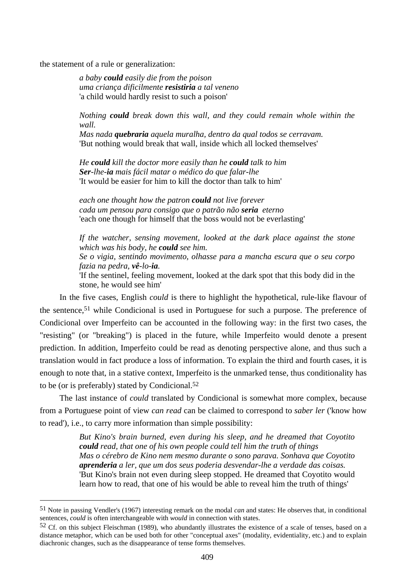the statement of a rule or generalization:

 $\overline{a}$ 

*a baby could easily die from the poison uma criança dificilmente resistiria a tal veneno*  'a child would hardly resist to such a poison'

*Nothing could break down this wall, and they could remain whole within the wall.* 

*Mas nada quebraria aquela muralha, dentro da qual todos se cerravam.*  'But nothing would break that wall, inside which all locked themselves'

*He could kill the doctor more easily than he could talk to him Ser-lhe-ia mais fácil matar o médico do que falar-lhe*  'It would be easier for him to kill the doctor than talk to him'

*each one thought how the patron could not live forever cada um pensou para consigo que o patrão não seria eterno*  'each one though for himself that the boss would not be everlasting'

*If the watcher, sensing movement, looked at the dark place against the stone which was his body, he could see him.* 

*Se o vigia, sentindo movimento, olhasse para a mancha escura que o seu corpo fazia na pedra, vê-lo-ia.* 

'If the sentinel, feeling movement, looked at the dark spot that this body did in the stone, he would see him'

In the five cases, English *could* is there to highlight the hypothetical, rule-like flavour of the sentence,51 while Condicional is used in Portuguese for such a purpose. The preference of Condicional over Imperfeito can be accounted in the following way: in the first two cases, the "resisting" (or "breaking") is placed in the future, while Imperfeito would denote a present prediction. In addition, Imperfeito could be read as denoting perspective alone, and thus such a translation would in fact produce a loss of information. To explain the third and fourth cases, it is enough to note that, in a stative context, Imperfeito is the unmarked tense, thus conditionality has to be (or is preferably) stated by Condicional.52

The last instance of *could* translated by Condicional is somewhat more complex, because from a Portuguese point of view *can read* can be claimed to correspond to *saber ler* ('know how to read'), i.e., to carry more information than simple possibility:

> *But Kino's brain burned, even during his sleep, and he dreamed that Coyotito could read, that one of his own people could tell him the truth of things Mas o cérebro de Kino nem mesmo durante o sono parava. Sonhava que Coyotito aprenderia a ler, que um dos seus poderia desvendar-lhe a verdade das coisas.*  'But Kino's brain not even during sleep stopped. He dreamed that Coyotito would learn how to read, that one of his would be able to reveal him the truth of things'

<sup>51</sup> Note in passing Vendler's (1967) interesting remark on the modal *can* and states: He observes that, in conditional sentences, *could* is often interchangeable with *would* in connection with states.

 $52$  Cf. on this subject Fleischman (1989), who abundantly illustrates the existence of a scale of tenses, based on a distance metaphor, which can be used both for other "conceptual axes" (modality, evidentiality, etc.) and to explain diachronic changes, such as the disappearance of tense forms themselves.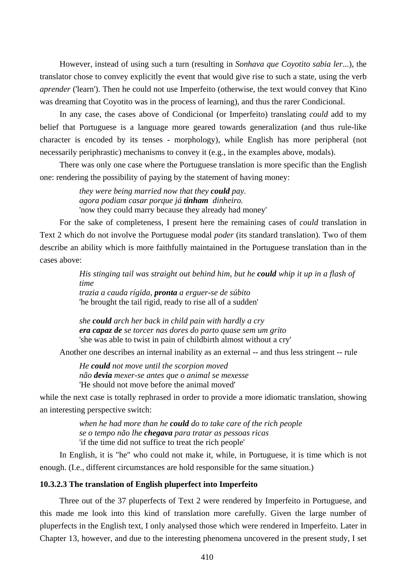However, instead of using such a turn (resulting in *Sonhava que Coyotito sabia ler*...), the translator chose to convey explicitly the event that would give rise to such a state, using the verb *aprender* ('learn'). Then he could not use Imperfeito (otherwise, the text would convey that Kino was dreaming that Coyotito was in the process of learning), and thus the rarer Condicional.

In any case, the cases above of Condicional (or Imperfeito) translating *could* add to my belief that Portuguese is a language more geared towards generalization (and thus rule-like character is encoded by its tenses - morphology), while English has more peripheral (not necessarily periphrastic) mechanisms to convey it (e.g., in the examples above, modals).

There was only one case where the Portuguese translation is more specific than the English one: rendering the possibility of paying by the statement of having money:

> *they were being married now that they could pay. agora podiam casar porque já tinham dinheiro.*  'now they could marry because they already had money'

For the sake of completeness, I present here the remaining cases of *could* translation in Text 2 which do not involve the Portuguese modal *poder* (its standard translation). Two of them describe an ability which is more faithfully maintained in the Portuguese translation than in the cases above:

> *His stinging tail was straight out behind him, but he could whip it up in a flash of time trazia a cauda rígida, pronta a erguer-se de súbito*  'he brought the tail rigid, ready to rise all of a sudden'

*she could arch her back in child pain with hardly a cry era capaz de se torcer nas dores do parto quase sem um grito*  'she was able to twist in pain of childbirth almost without a cry'

Another one describes an internal inability as an external -- and thus less stringent -- rule

*He could not move until the scorpion moved não devia mexer-se antes que o animal se mexesse*  'He should not move before the animal moved'

while the next case is totally rephrased in order to provide a more idiomatic translation, showing an interesting perspective switch:

> *when he had more than he could do to take care of the rich people se o tempo não lhe chegava para tratar as pessoas ricas*  'if the time did not suffice to treat the rich people'

In English, it is "he" who could not make it, while, in Portuguese, it is time which is not enough. (I.e., different circumstances are hold responsible for the same situation.)

#### **10.3.2.3 The translation of English pluperfect into Imperfeito**

Three out of the 37 pluperfects of Text 2 were rendered by Imperfeito in Portuguese, and this made me look into this kind of translation more carefully. Given the large number of pluperfects in the English text, I only analysed those which were rendered in Imperfeito. Later in Chapter 13, however, and due to the interesting phenomena uncovered in the present study, I set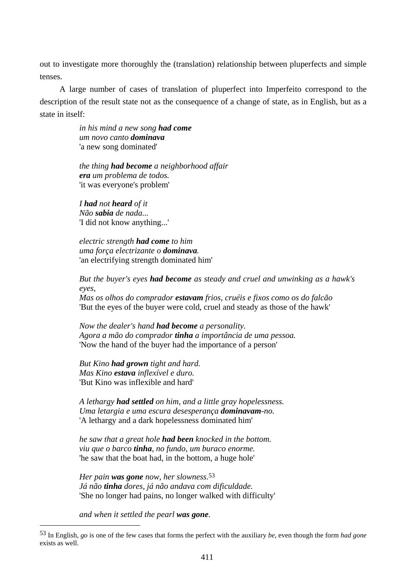out to investigate more thoroughly the (translation) relationship between pluperfects and simple tenses.

A large number of cases of translation of pluperfect into Imperfeito correspond to the description of the result state not as the consequence of a change of state, as in English, but as a state in itself:

> *in his mind a new song had come um novo canto dominava*  'a new song dominated'

*the thing had become a neighborhood affair era um problema de todos.*  'it was everyone's problem'

*I had not heard of it Não sabia de nada...*  'I did not know anything...'

*electric strength had come to him uma força electrizante o dominava.*  'an electrifying strength dominated him'

*But the buyer's eyes had become as steady and cruel and unwinking as a hawk's eyes,* 

*Mas os olhos do comprador estavam frios, cruéis e fixos como os do falcão*  'But the eyes of the buyer were cold, cruel and steady as those of the hawk'

*Now the dealer's hand had become a personality. Agora a mão do comprador tinha a importância de uma pessoa.*  'Now the hand of the buyer had the importance of a person'

*But Kino had grown tight and hard. Mas Kino estava inflexível e duro.*  'But Kino was inflexible and hard'

*A lethargy had settled on him, and a little gray hopelessness. Uma letargia e uma escura desesperança dominavam-no.*  'A lethargy and a dark hopelessness dominated him'

*he saw that a great hole had been knocked in the bottom. viu que o barco tinha, no fundo, um buraco enorme.*  'he saw that the boat had, in the bottom, a huge hole'

*Her pain was gone now, her slowness.*53 *Já não tinha dores, já não andava com dificuldade.*  'She no longer had pains, no longer walked with difficulty'

*and when it settled the pearl was gone.* 

<sup>53</sup> In English, *go* is one of the few cases that forms the perfect with the auxiliary *be*, even though the form *had gone*  exists as well.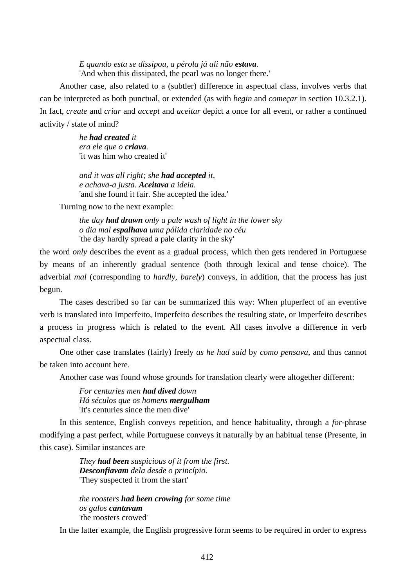*E quando esta se dissipou, a pérola já ali não estava.*  'And when this dissipated, the pearl was no longer there.'

Another case, also related to a (subtler) difference in aspectual class, involves verbs that can be interpreted as both punctual, or extended (as with *begin* and *começar* in section 10.3.2.1). In fact, *create* and *criar* and *accept* and *aceitar* depict a once for all event, or rather a continued activity / state of mind?

> *he had created it era ele que o criava.*  'it was him who created it'

*and it was all right; she had accepted it, e achava-a justa. Aceitava a ideia.*  'and she found it fair. She accepted the idea.'

Turning now to the next example:

*the day had drawn only a pale wash of light in the lower sky o dia mal espalhava uma pálida claridade no céu*  'the day hardly spread a pale clarity in the sky'

the word *only* describes the event as a gradual process, which then gets rendered in Portuguese by means of an inherently gradual sentence (both through lexical and tense choice). The adverbial *mal* (corresponding to *hardly*, *barely*) conveys, in addition, that the process has just begun.

The cases described so far can be summarized this way: When pluperfect of an eventive verb is translated into Imperfeito, Imperfeito describes the resulting state, or Imperfeito describes a process in progress which is related to the event. All cases involve a difference in verb aspectual class.

One other case translates (fairly) freely *as he had said* by *como pensava*, and thus cannot be taken into account here.

Another case was found whose grounds for translation clearly were altogether different:

*For centuries men had dived down Há séculos que os homens mergulham*  'It's centuries since the men dive'

In this sentence, English conveys repetition, and hence habituality, through a *for*-phrase modifying a past perfect, while Portuguese conveys it naturally by an habitual tense (Presente, in this case). Similar instances are

> *They had been suspicious of it from the first. Desconfiavam dela desde o princípio.*  'They suspected it from the start'

> *the roosters had been crowing for some time os galos cantavam*  'the roosters crowed'

In the latter example, the English progressive form seems to be required in order to express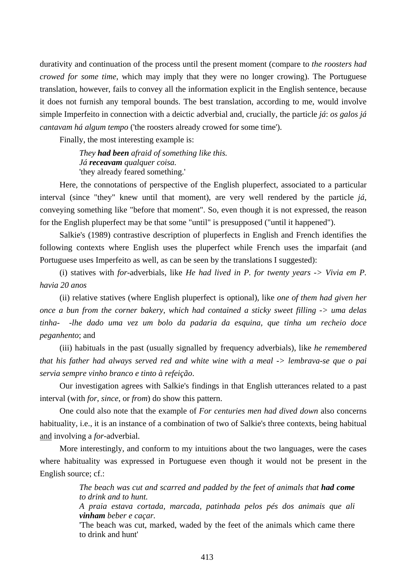durativity and continuation of the process until the present moment (compare to *the roosters had crowed for some time*, which may imply that they were no longer crowing). The Portuguese translation, however, fails to convey all the information explicit in the English sentence, because it does not furnish any temporal bounds. The best translation, according to me, would involve simple Imperfeito in connection with a deictic adverbial and, crucially, the particle *já*: *os galos já cantavam há algum tempo* ('the roosters already crowed for some time').

Finally, the most interesting example is:

*They had been afraid of something like this. Já receavam qualquer coisa.*  'they already feared something.'

Here, the connotations of perspective of the English pluperfect, associated to a particular interval (since "they" knew until that moment), are very well rendered by the particle *já*, conveying something like "before that moment". So, even though it is not expressed, the reason for the English pluperfect may be that some "until" is presupposed ("until it happened").

Salkie's (1989) contrastive description of pluperfects in English and French identifies the following contexts where English uses the pluperfect while French uses the imparfait (and Portuguese uses Imperfeito as well, as can be seen by the translations I suggested):

(i) statives with *for*-adverbials, like *He had lived in P. for twenty years -> Vivia em P. havia 20 anos*

(ii) relative statives (where English pluperfect is optional), like *one of them had given her once a bun from the corner bakery, which had contained a sticky sweet filling -> uma delas tinha- -lhe dado uma vez um bolo da padaria da esquina, que tinha um recheio doce peganhento*; and

(iii) habituals in the past (usually signalled by frequency adverbials), like *he remembered that his father had always served red and white wine with a meal -> lembrava-se que o pai servia sempre vinho branco e tinto à refeição*.

Our investigation agrees with Salkie's findings in that English utterances related to a past interval (with *for*, *since*, or *from*) do show this pattern.

One could also note that the example of *For centuries men had dived down* also concerns habituality, i.e., it is an instance of a combination of two of Salkie's three contexts, being habitual and involving a *for*-adverbial.

More interestingly, and conform to my intuitions about the two languages, were the cases where habituality was expressed in Portuguese even though it would not be present in the English source; cf.:

> *The beach was cut and scarred and padded by the feet of animals that had come to drink and to hunt.*

> *A praia estava cortada, marcada, patinhada pelos pés dos animais que ali vinham beber e caçar.*

> 'The beach was cut, marked, waded by the feet of the animals which came there to drink and hunt'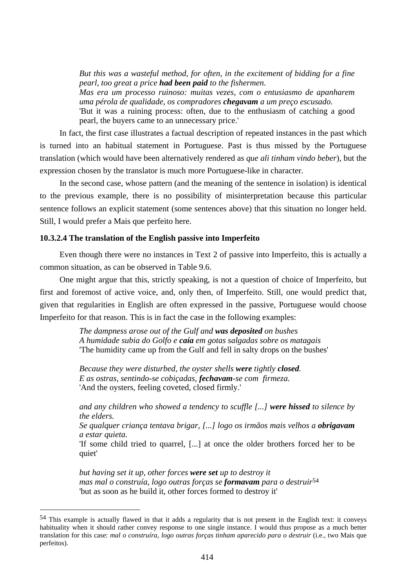*But this was a wasteful method, for often, in the excitement of bidding for a fine pearl, too great a price had been paid to the fishermen. Mas era um processo ruinoso: muitas vezes, com o entusiasmo de apanharem uma pérola de qualidade, os compradores chegavam a um preço escusado.*  'But it was a ruining process: often, due to the enthusiasm of catching a good pearl, the buyers came to an unnecessary price.'

In fact, the first case illustrates a factual description of repeated instances in the past which is turned into an habitual statement in Portuguese. Past is thus missed by the Portuguese translation (which would have been alternatively rendered as *que ali tinham vindo beber*), but the expression chosen by the translator is much more Portuguese-like in character.

In the second case, whose pattern (and the meaning of the sentence in isolation) is identical to the previous example, there is no possibility of misinterpretation because this particular sentence follows an explicit statement (some sentences above) that this situation no longer held. Still, I would prefer a Mais que perfeito here.

## **10.3.2.4 The translation of the English passive into Imperfeito**

 $\overline{a}$ 

Even though there were no instances in Text 2 of passive into Imperfeito, this is actually a common situation, as can be observed in Table 9.6.

One might argue that this, strictly speaking, is not a question of choice of Imperfeito, but first and foremost of active voice, and, only then, of Imperfeito. Still, one would predict that, given that regularities in English are often expressed in the passive, Portuguese would choose Imperfeito for that reason. This is in fact the case in the following examples:

> *The dampness arose out of the Gulf and was deposited on bushes A humidade subia do Golfo e caía em gotas salgadas sobre os matagais*  'The humidity came up from the Gulf and fell in salty drops on the bushes'

*Because they were disturbed, the oyster shells were tightly closed. E as ostras, sentindo-se cobiçadas, fechavam-se com firmeza.*  'And the oysters, feeling coveted, closed firmly.'

*and any children who showed a tendency to scuffle [...] were hissed to silence by the elders.* 

*Se qualquer criança tentava brigar, [...] logo os irmãos mais velhos a obrigavam a estar quieta.* 

'If some child tried to quarrel, [...] at once the older brothers forced her to be quiet'

*but having set it up, other forces were set up to destroy it mas mal o construía, logo outras forças se formavam para o destruir*54 'but as soon as he build it, other forces formed to destroy it'

<sup>54</sup> This example is actually flawed in that it adds a regularity that is not present in the English text: it conveys habituality when it should rather convey response to one single instance. I would thus propose as a much better translation for this case: *mal o construíra, logo outras forças tinham aparecido para o destruir* (i.e., two Mais que perfeitos).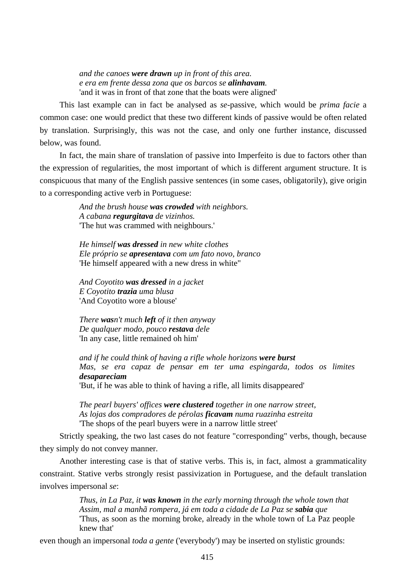*and the canoes were drawn up in front of this area. e era em frente dessa zona que os barcos se alinhavam.*  'and it was in front of that zone that the boats were aligned'

This last example can in fact be analysed as *se*-passive, which would be *prima facie* a common case: one would predict that these two different kinds of passive would be often related by translation. Surprisingly, this was not the case, and only one further instance, discussed below, was found.

In fact, the main share of translation of passive into Imperfeito is due to factors other than the expression of regularities, the most important of which is different argument structure. It is conspicuous that many of the English passive sentences (in some cases, obligatorily), give origin to a corresponding active verb in Portuguese:

> *And the brush house was crowded with neighbors. A cabana regurgitava de vizinhos.*  'The hut was crammed with neighbours.'

*He himself was dressed in new white clothes Ele próprio se apresentava com um fato novo, branco*  'He himself appeared with a new dress in white"

*And Coyotito was dressed in a jacket E Coyotito trazia uma blusa*  'And Coyotito wore a blouse'

*There wasn't much left of it then anyway De qualquer modo, pouco restava dele*  'In any case, little remained oh him'

*and if he could think of having a rifle whole horizons were burst Mas, se era capaz de pensar em ter uma espingarda, todos os limites desapareciam* 

'But, if he was able to think of having a rifle, all limits disappeared'

*The pearl buyers' offices were clustered together in one narrow street, As lojas dos compradores de pérolas ficavam numa ruazinha estreita*  'The shops of the pearl buyers were in a narrow little street'

Strictly speaking, the two last cases do not feature "corresponding" verbs, though, because they simply do not convey manner.

Another interesting case is that of stative verbs. This is, in fact, almost a grammaticality constraint. Stative verbs strongly resist passivization in Portuguese, and the default translation involves impersonal *se*:

> *Thus, in La Paz, it was known in the early morning through the whole town that Assim, mal a manhã rompera, já em toda a cidade de La Paz se sabia que*  'Thus, as soon as the morning broke, already in the whole town of La Paz people knew that'

even though an impersonal *toda a gente* ('everybody') may be inserted on stylistic grounds: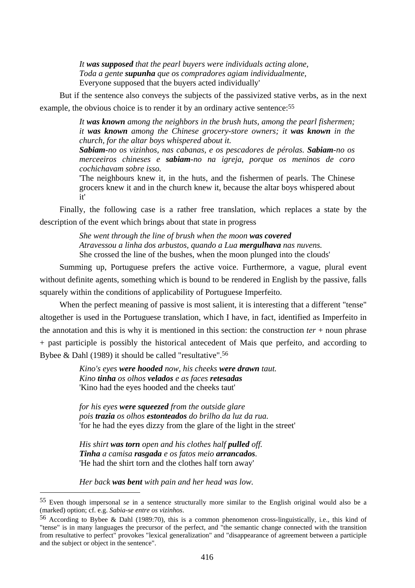*It was supposed that the pearl buyers were individuals acting alone, Toda a gente supunha que os compradores agiam individualmente,*  Everyone supposed that the buyers acted individually'

But if the sentence also conveys the subjects of the passivized stative verbs, as in the next example, the obvious choice is to render it by an ordinary active sentence:<sup>55</sup>

> *It was known among the neighbors in the brush huts, among the pearl fishermen; it was known among the Chinese grocery-store owners; it was known in the church, for the altar boys whispered about it.*

> *Sabiam-no os vizinhos, nas cabanas, e os pescadores de pérolas. Sabiam-no os merceeiros chineses e sabiam-no na igreja, porque os meninos de coro cochichavam sobre isso.*

> 'The neighbours knew it, in the huts, and the fishermen of pearls. The Chinese grocers knew it and in the church knew it, because the altar boys whispered about it'

Finally, the following case is a rather free translation, which replaces a state by the description of the event which brings about that state in progress

> *She went through the line of brush when the moon was covered Atravessou a linha dos arbustos, quando a Lua mergulhava nas nuvens.*  She crossed the line of the bushes, when the moon plunged into the clouds'

Summing up, Portuguese prefers the active voice. Furthermore, a vague, plural event without definite agents, something which is bound to be rendered in English by the passive, falls squarely within the conditions of applicability of Portuguese Imperfeito.

When the perfect meaning of passive is most salient, it is interesting that a different "tense" altogether is used in the Portuguese translation, which I have, in fact, identified as Imperfeito in the annotation and this is why it is mentioned in this section: the construction *ter* + noun phrase + past participle is possibly the historical antecedent of Mais que perfeito, and according to Bybee & Dahl (1989) it should be called "resultative".56

> *Kino's eyes were hooded now, his cheeks were drawn taut. Kino tinha os olhos velados e as faces retesadas* 'Kino had the eyes hooded and the cheeks taut'

*for his eyes were squeezed from the outside glare pois trazia os olhos estonteados do brilho da luz da rua.*  'for he had the eyes dizzy from the glare of the light in the street'

*His shirt was torn open and his clothes half pulled off. Tinha a camisa rasgada e os fatos meio arrancados.*  'He had the shirt torn and the clothes half torn away'

*Her back was bent with pain and her head was low.* 

 $\overline{a}$ 

<sup>55</sup> Even though impersonal *se* in a sentence structurally more similar to the English original would also be a (marked) option; cf. e.g. *Sabia-se entre os vizinhos*.

<sup>56</sup> According to Bybee & Dahl (1989:70), this is a common phenomenon cross-linguistically, i.e., this kind of "tense" is in many languages the precursor of the perfect, and "the semantic change connected with the transition from resultative to perfect" provokes "lexical generalization" and "disappearance of agreement between a participle and the subject or object in the sentence".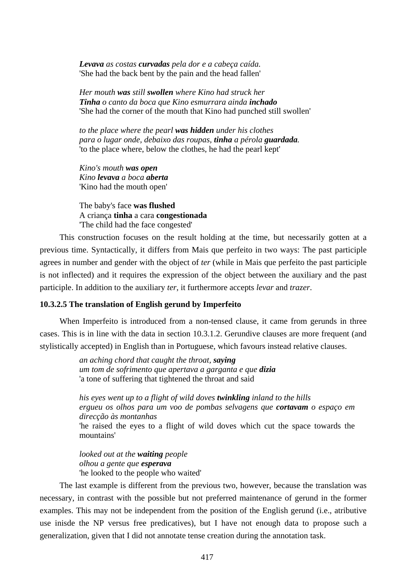*Levava as costas curvadas pela dor e a cabeça caída.*  'She had the back bent by the pain and the head fallen'

*Her mouth was still swollen where Kino had struck her Tinha o canto da boca que Kino esmurrara ainda inchado*  'She had the corner of the mouth that Kino had punched still swollen'

*to the place where the pearl was hidden under his clothes para o lugar onde, debaixo das roupas, tinha a pérola guardada.*  'to the place where, below the clothes, he had the pearl kept'

*Kino's mouth was open Kino levava a boca aberta*  'Kino had the mouth open'

The baby's face **was flushed** A criança **tinha** a cara **congestionada**  'The child had the face congested'

This construction focuses on the result holding at the time, but necessarily gotten at a previous time. Syntactically, it differs from Mais que perfeito in two ways: The past participle agrees in number and gender with the object of *ter* (while in Mais que perfeito the past participle is not inflected) and it requires the expression of the object between the auxiliary and the past participle. In addition to the auxiliary *ter*, it furthermore accepts *levar* and *trazer*.

### **10.3.2.5 The translation of English gerund by Imperfeito**

When Imperfeito is introduced from a non-tensed clause, it came from gerunds in three cases. This is in line with the data in section 10.3.1.2. Gerundive clauses are more frequent (and stylistically accepted) in English than in Portuguese, which favours instead relative clauses.

> *an aching chord that caught the throat, saying um tom de sofrimento que apertava a garganta e que dizia*  'a tone of suffering that tightened the throat and said

*his eyes went up to a flight of wild doves twinkling inland to the hills ergueu os olhos para um voo de pombas selvagens que cortavam o espaço em direcção às montanhas*  'he raised the eyes to a flight of wild doves which cut the space towards the mountains'

*looked out at the waiting people olhou a gente que esperava*  'he looked to the people who waited'

The last example is different from the previous two, however, because the translation was necessary, in contrast with the possible but not preferred maintenance of gerund in the former examples. This may not be independent from the position of the English gerund (i.e., atributive use inisde the NP versus free predicatives), but I have not enough data to propose such a generalization, given that I did not annotate tense creation during the annotation task.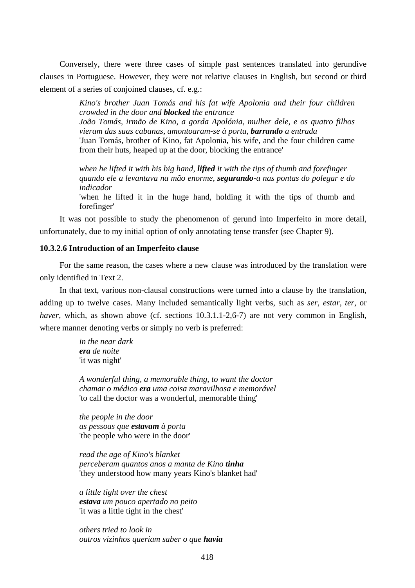Conversely, there were three cases of simple past sentences translated into gerundive clauses in Portuguese. However, they were not relative clauses in English, but second or third element of a series of conjoined clauses, cf. e.g.:

> *Kino's brother Juan Tomás and his fat wife Apolonia and their four children crowded in the door and blocked the entrance João Tomás, irmão de Kino, a gorda Apolónia, mulher dele, e os quatro filhos vieram das suas cabanas, amontoaram-se à porta, barrando a entrada*  'Juan Tomás, brother of Kino, fat Apolonia, his wife, and the four children came from their huts, heaped up at the door, blocking the entrance'

> *when he lifted it with his big hand, lifted it with the tips of thumb and forefinger quando ele a levantava na mão enorme, segurando-a nas pontas do polegar e do indicador*

> 'when he lifted it in the huge hand, holding it with the tips of thumb and forefinger'

It was not possible to study the phenomenon of gerund into Imperfeito in more detail, unfortunately, due to my initial option of only annotating tense transfer (see Chapter 9).

### **10.3.2.6 Introduction of an Imperfeito clause**

For the same reason, the cases where a new clause was introduced by the translation were only identified in Text 2.

In that text, various non-clausal constructions were turned into a clause by the translation, adding up to twelve cases. Many included semantically light verbs, such as *ser*, *estar*, *ter*, or *haver*, which, as shown above (cf. sections 10.3.1.1-2,6-7) are not very common in English, where manner denoting verbs or simply no verb is preferred:

> *in the near dark era de noite*  'it was night'

*A wonderful thing, a memorable thing, to want the doctor chamar o médico era uma coisa maravilhosa e memorável*  'to call the doctor was a wonderful, memorable thing'

*the people in the door as pessoas que estavam à porta*  'the people who were in the door'

*read the age of Kino's blanket perceberam quantos anos a manta de Kino tinha* 'they understood how many years Kino's blanket had'

*a little tight over the chest estava um pouco apertado no peito*  'it was a little tight in the chest'

*others tried to look in outros vizinhos queriam saber o que havia*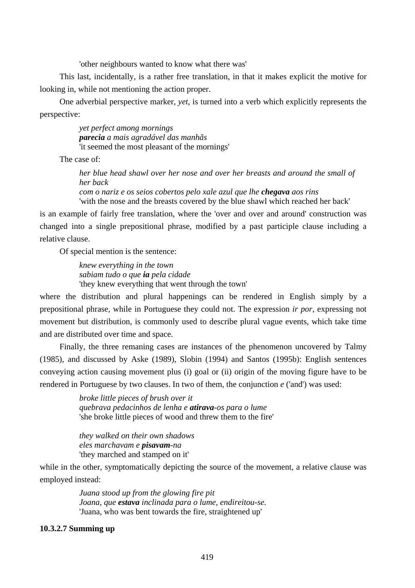'other neighbours wanted to know what there was'

This last, incidentally, is a rather free translation, in that it makes explicit the motive for looking in, while not mentioning the action proper.

One adverbial perspective marker, *yet*, is turned into a verb which explicitly represents the perspective:

> *yet perfect among mornings parecia a mais agradável das manhãs*  'it seemed the most pleasant of the mornings'

The case of:

*her blue head shawl over her nose and over her breasts and around the small of her back com o nariz e os seios cobertos pelo xale azul que lhe chegava aos rins* 

'with the nose and the breasts covered by the blue shawl which reached her back'

is an example of fairly free translation, where the 'over and over and around' construction was changed into a single prepositional phrase, modified by a past participle clause including a relative clause.

Of special mention is the sentence:

*knew everything in the town sabiam tudo o que ia pela cidade*  'they knew everything that went through the town'

where the distribution and plural happenings can be rendered in English simply by a prepositional phrase, while in Portuguese they could not. The expression *ir por*, expressing not movement but distribution, is commonly used to describe plural vague events, which take time and are distributed over time and space.

Finally, the three remaning cases are instances of the phenomenon uncovered by Talmy (1985), and discussed by Aske (1989), Slobin (1994) and Santos (1995b): English sentences conveying action causing movement plus (i) goal or (ii) origin of the moving figure have to be rendered in Portuguese by two clauses. In two of them, the conjunction *e* ('and') was used:

> *broke little pieces of brush over it quebrava pedacinhos de lenha e atirava-os para o lume*  'she broke little pieces of wood and threw them to the fire'

*they walked on their own shadows eles marchavam e pisavam-na*  'they marched and stamped on it'

while in the other, symptomatically depicting the source of the movement, a relative clause was employed instead:

> *Juana stood up from the glowing fire pit Joana, que estava inclinada para o lume, endireitou-se.*  'Juana, who was bent towards the fire, straightened up'

# **10.3.2.7 Summing up**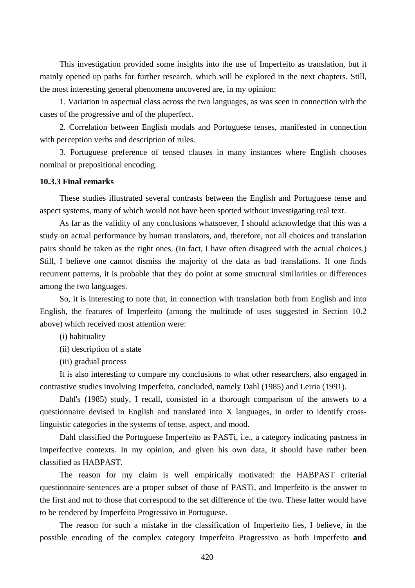This investigation provided some insights into the use of Imperfeito as translation, but it mainly opened up paths for further research, which will be explored in the next chapters. Still, the most interesting general phenomena uncovered are, in my opinion:

1. Variation in aspectual class across the two languages, as was seen in connection with the cases of the progressive and of the pluperfect.

2. Correlation between English modals and Portuguese tenses, manifested in connection with perception verbs and description of rules.

3. Portuguese preference of tensed clauses in many instances where English chooses nominal or prepositional encoding.

# **10.3.3 Final remarks**

These studies illustrated several contrasts between the English and Portuguese tense and aspect systems, many of which would not have been spotted without investigating real text.

As far as the validity of any conclusions whatsoever, I should acknowledge that this was a study on actual performance by human translators, and, therefore, not all choices and translation pairs should be taken as the right ones. (In fact, I have often disagreed with the actual choices.) Still, I believe one cannot dismiss the majority of the data as bad translations. If one finds recurrent patterns, it is probable that they do point at some structural similarities or differences among the two languages.

So, it is interesting to note that, in connection with translation both from English and into English, the features of Imperfeito (among the multitude of uses suggested in Section 10.2 above) which received most attention were:

(i) habituality

(ii) description of a state

(iii) gradual process

It is also interesting to compare my conclusions to what other researchers, also engaged in contrastive studies involving Imperfeito, concluded, namely Dahl (1985) and Leiria (1991).

Dahl's (1985) study, I recall, consisted in a thorough comparison of the answers to a questionnaire devised in English and translated into X languages, in order to identify crosslinguistic categories in the systems of tense, aspect, and mood.

Dahl classified the Portuguese Imperfeito as PASTi, i.e., a category indicating pastness in imperfective contexts. In my opinion, and given his own data, it should have rather been classified as HABPAST.

The reason for my claim is well empirically motivated: the HABPAST criterial questionnaire sentences are a proper subset of those of PASTi, and Imperfeito is the answer to the first and not to those that correspond to the set difference of the two. These latter would have to be rendered by Imperfeito Progressivo in Portuguese.

The reason for such a mistake in the classification of Imperfeito lies, I believe, in the possible encoding of the complex category Imperfeito Progressivo as both Imperfeito **and**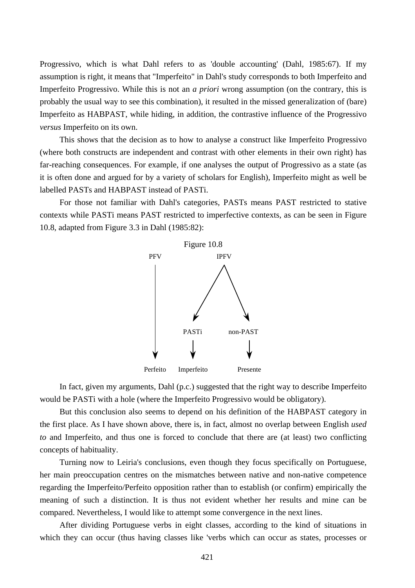Progressivo, which is what Dahl refers to as 'double accounting' (Dahl, 1985:67). If my assumption is right, it means that "Imperfeito" in Dahl's study corresponds to both Imperfeito and Imperfeito Progressivo. While this is not an *a priori* wrong assumption (on the contrary, this is probably the usual way to see this combination), it resulted in the missed generalization of (bare) Imperfeito as HABPAST, while hiding, in addition, the contrastive influence of the Progressivo *versus* Imperfeito on its own.

This shows that the decision as to how to analyse a construct like Imperfeito Progressivo (where both constructs are independent and contrast with other elements in their own right) has far-reaching consequences. For example, if one analyses the output of Progressivo as a state (as it is often done and argued for by a variety of scholars for English), Imperfeito might as well be labelled PASTs and HABPAST instead of PASTi.

For those not familiar with Dahl's categories, PASTs means PAST restricted to stative contexts while PASTi means PAST restricted to imperfective contexts, as can be seen in Figure 10.8, adapted from Figure 3.3 in Dahl (1985:82):



In fact, given my arguments, Dahl (p.c.) suggested that the right way to describe Imperfeito would be PASTi with a hole (where the Imperfeito Progressivo would be obligatory).

But this conclusion also seems to depend on his definition of the HABPAST category in the first place. As I have shown above, there is, in fact, almost no overlap between English *used to* and Imperfeito, and thus one is forced to conclude that there are (at least) two conflicting concepts of habituality.

Turning now to Leiria's conclusions, even though they focus specifically on Portuguese, her main preoccupation centres on the mismatches between native and non-native competence regarding the Imperfeito/Perfeito opposition rather than to establish (or confirm) empirically the meaning of such a distinction. It is thus not evident whether her results and mine can be compared. Nevertheless, I would like to attempt some convergence in the next lines.

After dividing Portuguese verbs in eight classes, according to the kind of situations in which they can occur (thus having classes like 'verbs which can occur as states, processes or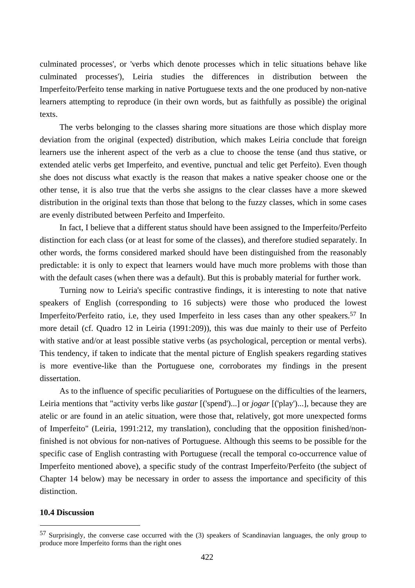culminated processes', or 'verbs which denote processes which in telic situations behave like culminated processes'), Leiria studies the differences in distribution between the Imperfeito/Perfeito tense marking in native Portuguese texts and the one produced by non-native learners attempting to reproduce (in their own words, but as faithfully as possible) the original texts.

The verbs belonging to the classes sharing more situations are those which display more deviation from the original (expected) distribution, which makes Leiria conclude that foreign learners use the inherent aspect of the verb as a clue to choose the tense (and thus stative, or extended atelic verbs get Imperfeito, and eventive, punctual and telic get Perfeito). Even though she does not discuss what exactly is the reason that makes a native speaker choose one or the other tense, it is also true that the verbs she assigns to the clear classes have a more skewed distribution in the original texts than those that belong to the fuzzy classes, which in some cases are evenly distributed between Perfeito and Imperfeito.

In fact, I believe that a different status should have been assigned to the Imperfeito/Perfeito distinction for each class (or at least for some of the classes), and therefore studied separately. In other words, the forms considered marked should have been distinguished from the reasonably predictable: it is only to expect that learners would have much more problems with those than with the default cases (when there was a default). But this is probably material for further work.

Turning now to Leiria's specific contrastive findings, it is interesting to note that native speakers of English (corresponding to 16 subjects) were those who produced the lowest Imperfeito/Perfeito ratio, i.e, they used Imperfeito in less cases than any other speakers.57 In more detail (cf. Quadro 12 in Leiria (1991:209)), this was due mainly to their use of Perfeito with stative and/or at least possible stative verbs (as psychological, perception or mental verbs). This tendency, if taken to indicate that the mental picture of English speakers regarding statives is more eventive-like than the Portuguese one, corroborates my findings in the present dissertation.

As to the influence of specific peculiarities of Portuguese on the difficulties of the learners, Leiria mentions that "activity verbs like *gastar* [('spend')...] or *jogar* [('play')...], because they are atelic or are found in an atelic situation, were those that, relatively, got more unexpected forms of Imperfeito" (Leiria, 1991:212, my translation), concluding that the opposition finished/nonfinished is not obvious for non-natives of Portuguese. Although this seems to be possible for the specific case of English contrasting with Portuguese (recall the temporal co-occurrence value of Imperfeito mentioned above), a specific study of the contrast Imperfeito/Perfeito (the subject of Chapter 14 below) may be necessary in order to assess the importance and specificity of this distinction.

### **10.4 Discussion**

 $\overline{a}$ 

<sup>57</sup> Surprisingly, the converse case occurred with the (3) speakers of Scandinavian languages, the only group to produce more Imperfeito forms than the right ones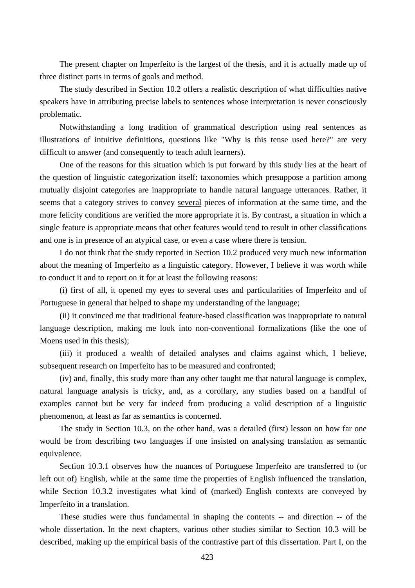The present chapter on Imperfeito is the largest of the thesis, and it is actually made up of three distinct parts in terms of goals and method.

The study described in Section 10.2 offers a realistic description of what difficulties native speakers have in attributing precise labels to sentences whose interpretation is never consciously problematic.

Notwithstanding a long tradition of grammatical description using real sentences as illustrations of intuitive definitions, questions like "Why is this tense used here?" are very difficult to answer (and consequently to teach adult learners).

One of the reasons for this situation which is put forward by this study lies at the heart of the question of linguistic categorization itself: taxonomies which presuppose a partition among mutually disjoint categories are inappropriate to handle natural language utterances. Rather, it seems that a category strives to convey several pieces of information at the same time, and the more felicity conditions are verified the more appropriate it is. By contrast, a situation in which a single feature is appropriate means that other features would tend to result in other classifications and one is in presence of an atypical case, or even a case where there is tension.

I do not think that the study reported in Section 10.2 produced very much new information about the meaning of Imperfeito as a linguistic category. However, I believe it was worth while to conduct it and to report on it for at least the following reasons:

(i) first of all, it opened my eyes to several uses and particularities of Imperfeito and of Portuguese in general that helped to shape my understanding of the language;

(ii) it convinced me that traditional feature-based classification was inappropriate to natural language description, making me look into non-conventional formalizations (like the one of Moens used in this thesis);

(iii) it produced a wealth of detailed analyses and claims against which, I believe, subsequent research on Imperfeito has to be measured and confronted;

(iv) and, finally, this study more than any other taught me that natural language is complex, natural language analysis is tricky, and, as a corollary, any studies based on a handful of examples cannot but be very far indeed from producing a valid description of a linguistic phenomenon, at least as far as semantics is concerned.

The study in Section 10.3, on the other hand, was a detailed (first) lesson on how far one would be from describing two languages if one insisted on analysing translation as semantic equivalence.

Section 10.3.1 observes how the nuances of Portuguese Imperfeito are transferred to (or left out of) English, while at the same time the properties of English influenced the translation, while Section 10.3.2 investigates what kind of (marked) English contexts are conveyed by Imperfeito in a translation.

These studies were thus fundamental in shaping the contents -- and direction -- of the whole dissertation. In the next chapters, various other studies similar to Section 10.3 will be described, making up the empirical basis of the contrastive part of this dissertation. Part I, on the